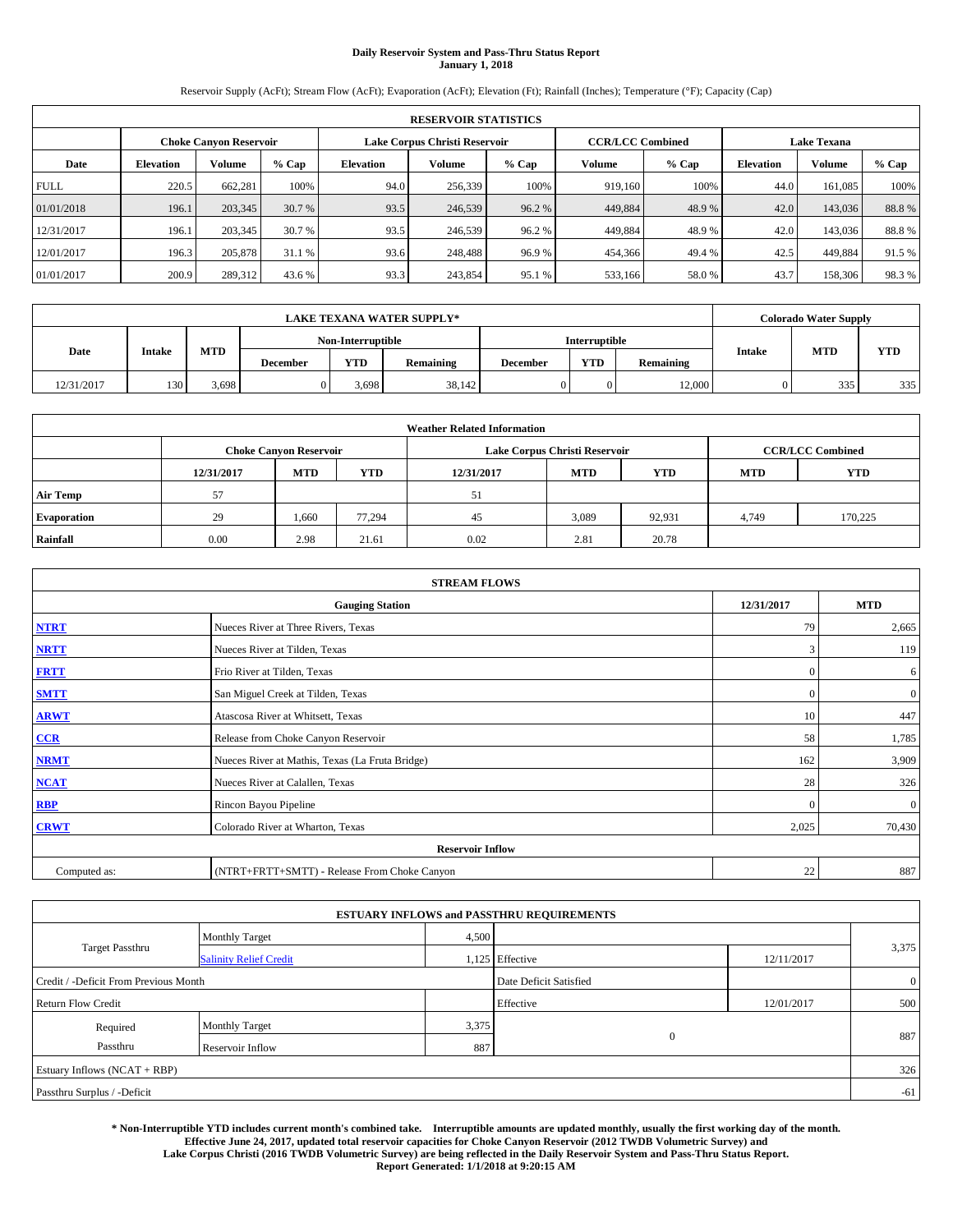# **Daily Reservoir System and Pass-Thru Status Report January 1, 2018**

Reservoir Supply (AcFt); Stream Flow (AcFt); Evaporation (AcFt); Elevation (Ft); Rainfall (Inches); Temperature (°F); Capacity (Cap)

|             | <b>RESERVOIR STATISTICS</b> |                               |        |                               |         |                            |                         |                  |                    |         |       |
|-------------|-----------------------------|-------------------------------|--------|-------------------------------|---------|----------------------------|-------------------------|------------------|--------------------|---------|-------|
|             |                             | <b>Choke Canvon Reservoir</b> |        | Lake Corpus Christi Reservoir |         |                            | <b>CCR/LCC Combined</b> |                  | <b>Lake Texana</b> |         |       |
| Date        | <b>Elevation</b>            | <b>Volume</b>                 | % Cap  | <b>Elevation</b>              | Volume  | % Cap<br>$%$ Cap<br>Volume |                         | <b>Elevation</b> | <b>Volume</b>      | % Cap   |       |
| <b>FULL</b> | 220.5                       | 662.281                       | 100%   | 94.0                          | 256,339 | 100%                       | 919.160                 | 100%             | 44.0               | 161,085 | 100%  |
| 01/01/2018  | 196.1                       | 203,345                       | 30.7 % | 93.5                          | 246,539 | 96.2 %                     | 449,884                 | 48.9%            | 42.0               | 143,036 | 88.8% |
| 12/31/2017  | 196.1                       | 203,345                       | 30.7 % | 93.5                          | 246,539 | 96.2%                      | 449.884                 | 48.9%            | 42.0               | 143,036 | 88.8% |
| 12/01/2017  | 196.3                       | 205,878                       | 31.1 % | 93.6                          | 248,488 | 96.9%                      | 454,366                 | 49.4 %           | 42.5               | 449.884 | 91.5% |
| 01/01/2017  | 200.9                       | 289,312                       | 43.6 % | 93.3                          | 243,854 | 95.1 %                     | 533,166                 | 58.0%            | 43.7               | 158,306 | 98.3% |

|            | <b>LAKE TEXANA WATER SUPPLY*</b> |            |                 |                   |           |          |               |           |               | <b>Colorado Water Supply</b> |            |  |
|------------|----------------------------------|------------|-----------------|-------------------|-----------|----------|---------------|-----------|---------------|------------------------------|------------|--|
|            |                                  |            |                 | Non-Interruptible |           |          | Interruptible |           |               |                              |            |  |
| Date       | <b>Intake</b>                    | <b>MTD</b> | <b>December</b> | <b>YTD</b>        | Remaining | December | <b>YTD</b>    | Remaining | <b>Intake</b> | <b>MTD</b>                   | <b>YTD</b> |  |
| 12/31/2017 | 130                              | 3,698      |                 | 3,698             | 38,142    |          |               | 12,000    |               | 335                          | 335        |  |

| <b>Weather Related Information</b> |            |                               |            |            |                               |                         |            |            |  |  |
|------------------------------------|------------|-------------------------------|------------|------------|-------------------------------|-------------------------|------------|------------|--|--|
|                                    |            | <b>Choke Canyon Reservoir</b> |            |            | Lake Corpus Christi Reservoir | <b>CCR/LCC Combined</b> |            |            |  |  |
|                                    | 12/31/2017 | <b>MTD</b>                    | <b>YTD</b> | 12/31/2017 | <b>MTD</b>                    | <b>YTD</b>              | <b>MTD</b> | <b>YTD</b> |  |  |
| <b>Air Temp</b>                    | 57         |                               |            | 51         |                               |                         |            |            |  |  |
| <b>Evaporation</b>                 | 29         | 1,660                         | 77,294     | 45         | 3,089                         | 92,931                  | 4,749      | 170.225    |  |  |
| Rainfall                           | 0.00       | 2.98                          | 21.61      | 0.02       | 2.81                          | 20.78                   |            |            |  |  |

| <b>STREAM FLOWS</b> |                                                 |              |              |  |  |  |  |  |  |
|---------------------|-------------------------------------------------|--------------|--------------|--|--|--|--|--|--|
|                     | <b>Gauging Station</b>                          | 12/31/2017   | <b>MTD</b>   |  |  |  |  |  |  |
| <b>NTRT</b>         | Nueces River at Three Rivers, Texas             | 79           | 2,665        |  |  |  |  |  |  |
| <b>NRTT</b>         | Nueces River at Tilden, Texas                   | 3            | 119          |  |  |  |  |  |  |
| <b>FRTT</b>         | Frio River at Tilden, Texas                     | $\mathbf{0}$ | 6            |  |  |  |  |  |  |
| <b>SMTT</b>         | San Miguel Creek at Tilden, Texas               | $\mathbf{0}$ | $\mathbf{0}$ |  |  |  |  |  |  |
| <b>ARWT</b>         | Atascosa River at Whitsett, Texas               | 10           | 447          |  |  |  |  |  |  |
| $CCR$               | Release from Choke Canyon Reservoir             | 58           | 1,785        |  |  |  |  |  |  |
| <b>NRMT</b>         | Nueces River at Mathis, Texas (La Fruta Bridge) | 162          | 3,909        |  |  |  |  |  |  |
| <b>NCAT</b>         | Nueces River at Calallen, Texas                 | 28           | 326          |  |  |  |  |  |  |
| RBP                 | Rincon Bayou Pipeline                           | $\Omega$     | $\mathbf{0}$ |  |  |  |  |  |  |
| <b>CRWT</b>         | Colorado River at Wharton, Texas                | 2,025        | 70,430       |  |  |  |  |  |  |
|                     | <b>Reservoir Inflow</b>                         |              |              |  |  |  |  |  |  |
| Computed as:        | (NTRT+FRTT+SMTT) - Release From Choke Canyon    | 22           | 887          |  |  |  |  |  |  |

|                                       |                               |       | <b>ESTUARY INFLOWS and PASSTHRU REQUIREMENTS</b> |            |                |
|---------------------------------------|-------------------------------|-------|--------------------------------------------------|------------|----------------|
|                                       | <b>Monthly Target</b>         | 4,500 |                                                  |            |                |
| <b>Target Passthru</b>                | <b>Salinity Relief Credit</b> |       | 1,125 Effective                                  | 12/11/2017 | 3,375          |
| Credit / -Deficit From Previous Month |                               |       | Date Deficit Satisfied                           |            | $\overline{0}$ |
| <b>Return Flow Credit</b>             |                               |       | Effective                                        | 12/01/2017 | 500            |
| Required                              | <b>Monthly Target</b>         | 3,375 |                                                  |            |                |
| Passthru                              | <b>Reservoir Inflow</b>       | 887   | $\mathbf{0}$                                     |            | 887            |
| Estuary Inflows (NCAT + RBP)          |                               |       |                                                  |            | 326            |
| Passthru Surplus / -Deficit           |                               |       |                                                  |            | $-61$          |

**\* Non-Interruptible YTD includes current month's combined take. Interruptible amounts are updated monthly, usually the first working day of the month. Effective June 24, 2017, updated total reservoir capacities for Choke Canyon Reservoir (2012 TWDB Volumetric Survey) and Lake Corpus Christi (2016 TWDB Volumetric Survey) are being reflected in the Daily Reservoir System and Pass-Thru Status Report. Report Generated: 1/1/2018 at 9:20:15 AM**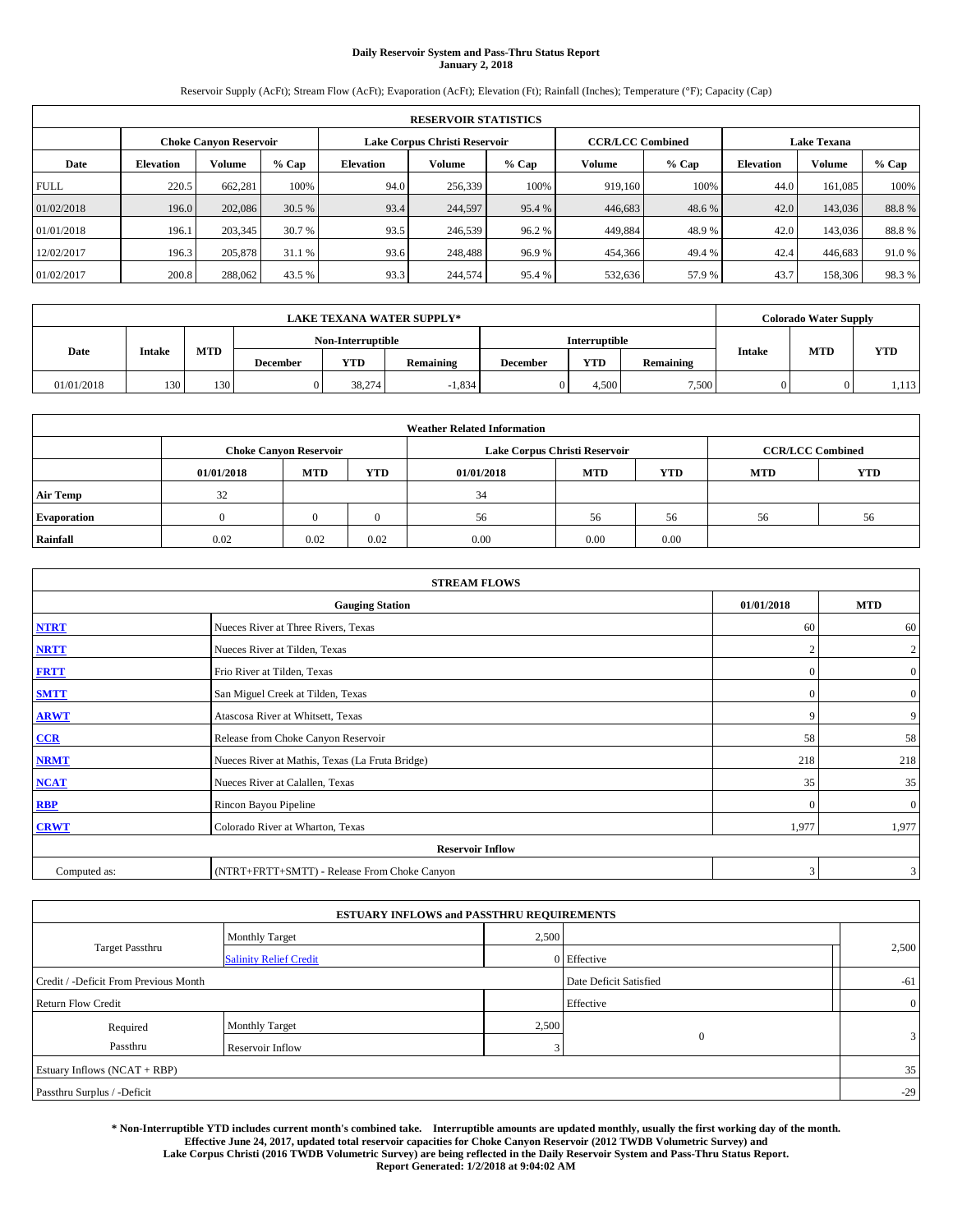# **Daily Reservoir System and Pass-Thru Status Report January 2, 2018**

Reservoir Supply (AcFt); Stream Flow (AcFt); Evaporation (AcFt); Elevation (Ft); Rainfall (Inches); Temperature (°F); Capacity (Cap)

|             | <b>RESERVOIR STATISTICS</b> |                        |        |                               |         |         |                         |         |                    |         |       |
|-------------|-----------------------------|------------------------|--------|-------------------------------|---------|---------|-------------------------|---------|--------------------|---------|-------|
|             |                             | Choke Canvon Reservoir |        | Lake Corpus Christi Reservoir |         |         | <b>CCR/LCC Combined</b> |         | <b>Lake Texana</b> |         |       |
| Date        | <b>Elevation</b>            | Volume                 | % Cap  | Elevation                     | Volume  | $%$ Cap | Volume                  | $%$ Cap | <b>Elevation</b>   | Volume  | % Cap |
| <b>FULL</b> | 220.5                       | 662.281                | 100%   | 94.0                          | 256,339 | 100%    | 919.160                 | 100%    | 44.0               | 161.085 | 100%  |
| 01/02/2018  | 196.0                       | 202,086                | 30.5 % | 93.4                          | 244,597 | 95.4 %  | 446,683                 | 48.6 %  | 42.0               | 143,036 | 88.8% |
| 01/01/2018  | 196.1                       | 203,345                | 30.7 % | 93.5                          | 246,539 | 96.2%   | 449,884                 | 48.9 %  | 42.0               | 143,036 | 88.8% |
| 12/02/2017  | 196.3                       | 205,878                | 31.1 % | 93.6                          | 248,488 | 96.9%   | 454,366                 | 49.4 %  | 42.4               | 446,683 | 91.0% |
| 01/02/2017  | 200.8                       | 288,062                | 43.5 % | 93.3                          | 244,574 | 95.4 %  | 532,636                 | 57.9 %  | 43.7               | 158,306 | 98.3% |

|            | <b>LAKE TEXANA WATER SUPPLY*</b> |                  |                 |                   |           |          |                      |           |               |            | <b>Colorado Water Supply</b> |  |  |
|------------|----------------------------------|------------------|-----------------|-------------------|-----------|----------|----------------------|-----------|---------------|------------|------------------------------|--|--|
|            |                                  |                  |                 | Non-Interruptible |           |          | <b>Interruptible</b> |           |               |            |                              |  |  |
| Date       | <b>Intake</b>                    | <b>MTD</b>       | <b>December</b> | <b>YTD</b>        | Remaining | December | <b>YTD</b>           | Remaining | <b>Intake</b> | <b>MTD</b> | <b>YTD</b>                   |  |  |
| 01/01/2018 | 130                              | 130 <sup>1</sup> |                 | 38.274            | $-1,834$  |          | 4.500                | 7.500     |               |            | 1,113                        |  |  |

| <b>Weather Related Information</b> |            |                               |      |            |                               |                         |            |            |  |  |
|------------------------------------|------------|-------------------------------|------|------------|-------------------------------|-------------------------|------------|------------|--|--|
|                                    |            | <b>Choke Canyon Reservoir</b> |      |            | Lake Corpus Christi Reservoir | <b>CCR/LCC Combined</b> |            |            |  |  |
|                                    | 01/01/2018 | <b>MTD</b>                    | YTD  | 01/01/2018 | <b>MTD</b>                    | <b>YTD</b>              | <b>MTD</b> | <b>YTD</b> |  |  |
| Air Temp                           | 32         |                               |      | 34         |                               |                         |            |            |  |  |
| <b>Evaporation</b>                 |            |                               |      | 56         | 56                            | 56                      | 56         | 56         |  |  |
| Rainfall                           | 0.02       | 0.02                          | 0.02 | 0.00       | 0.00                          | 0.00                    |            |            |  |  |

|              | <b>STREAM FLOWS</b>                             |            |                |  |  |  |  |  |  |
|--------------|-------------------------------------------------|------------|----------------|--|--|--|--|--|--|
|              | <b>Gauging Station</b>                          | 01/01/2018 | <b>MTD</b>     |  |  |  |  |  |  |
| <b>NTRT</b>  | Nueces River at Three Rivers, Texas             | 60         | 60             |  |  |  |  |  |  |
| <b>NRTT</b>  | Nueces River at Tilden, Texas                   | ി          | $\overline{2}$ |  |  |  |  |  |  |
| <b>FRTT</b>  | Frio River at Tilden, Texas                     | $\Omega$   | $\overline{0}$ |  |  |  |  |  |  |
| <b>SMTT</b>  | San Miguel Creek at Tilden, Texas               | $\Omega$   | $\overline{0}$ |  |  |  |  |  |  |
| <b>ARWT</b>  | Atascosa River at Whitsett, Texas               | 9          | 9              |  |  |  |  |  |  |
| CCR          | Release from Choke Canyon Reservoir             | 58         | 58             |  |  |  |  |  |  |
| <b>NRMT</b>  | Nueces River at Mathis, Texas (La Fruta Bridge) | 218        | 218            |  |  |  |  |  |  |
| <b>NCAT</b>  | Nueces River at Calallen, Texas                 | 35         | 35             |  |  |  |  |  |  |
| <b>RBP</b>   | Rincon Bayou Pipeline                           | $\Omega$   | $\overline{0}$ |  |  |  |  |  |  |
| <b>CRWT</b>  | Colorado River at Wharton, Texas                | 1,977      | 1,977          |  |  |  |  |  |  |
|              | <b>Reservoir Inflow</b>                         |            |                |  |  |  |  |  |  |
| Computed as: | (NTRT+FRTT+SMTT) - Release From Choke Canyon    | 3          | $\mathbf{3}$   |  |  |  |  |  |  |

| <b>ESTUARY INFLOWS and PASSTHRU REQUIREMENTS</b> |                               |       |                        |  |                |  |  |  |  |
|--------------------------------------------------|-------------------------------|-------|------------------------|--|----------------|--|--|--|--|
|                                                  | <b>Monthly Target</b>         | 2,500 |                        |  |                |  |  |  |  |
| <b>Target Passthru</b>                           | <b>Salinity Relief Credit</b> |       | 0 Effective            |  | 2,500          |  |  |  |  |
| Credit / -Deficit From Previous Month            |                               |       | Date Deficit Satisfied |  | $-61$          |  |  |  |  |
| <b>Return Flow Credit</b>                        |                               |       | Effective              |  | $\overline{0}$ |  |  |  |  |
| Required                                         | <b>Monthly Target</b>         | 2,500 |                        |  |                |  |  |  |  |
| Passthru                                         | Reservoir Inflow              | 3     | $\overline{0}$         |  | $\mathbf{3}$   |  |  |  |  |
| Estuary Inflows (NCAT + RBP)                     |                               |       |                        |  | 35             |  |  |  |  |
| Passthru Surplus / -Deficit                      |                               |       |                        |  | $-29$          |  |  |  |  |

**\* Non-Interruptible YTD includes current month's combined take. Interruptible amounts are updated monthly, usually the first working day of the month. Effective June 24, 2017, updated total reservoir capacities for Choke Canyon Reservoir (2012 TWDB Volumetric Survey) and Lake Corpus Christi (2016 TWDB Volumetric Survey) are being reflected in the Daily Reservoir System and Pass-Thru Status Report. Report Generated: 1/2/2018 at 9:04:02 AM**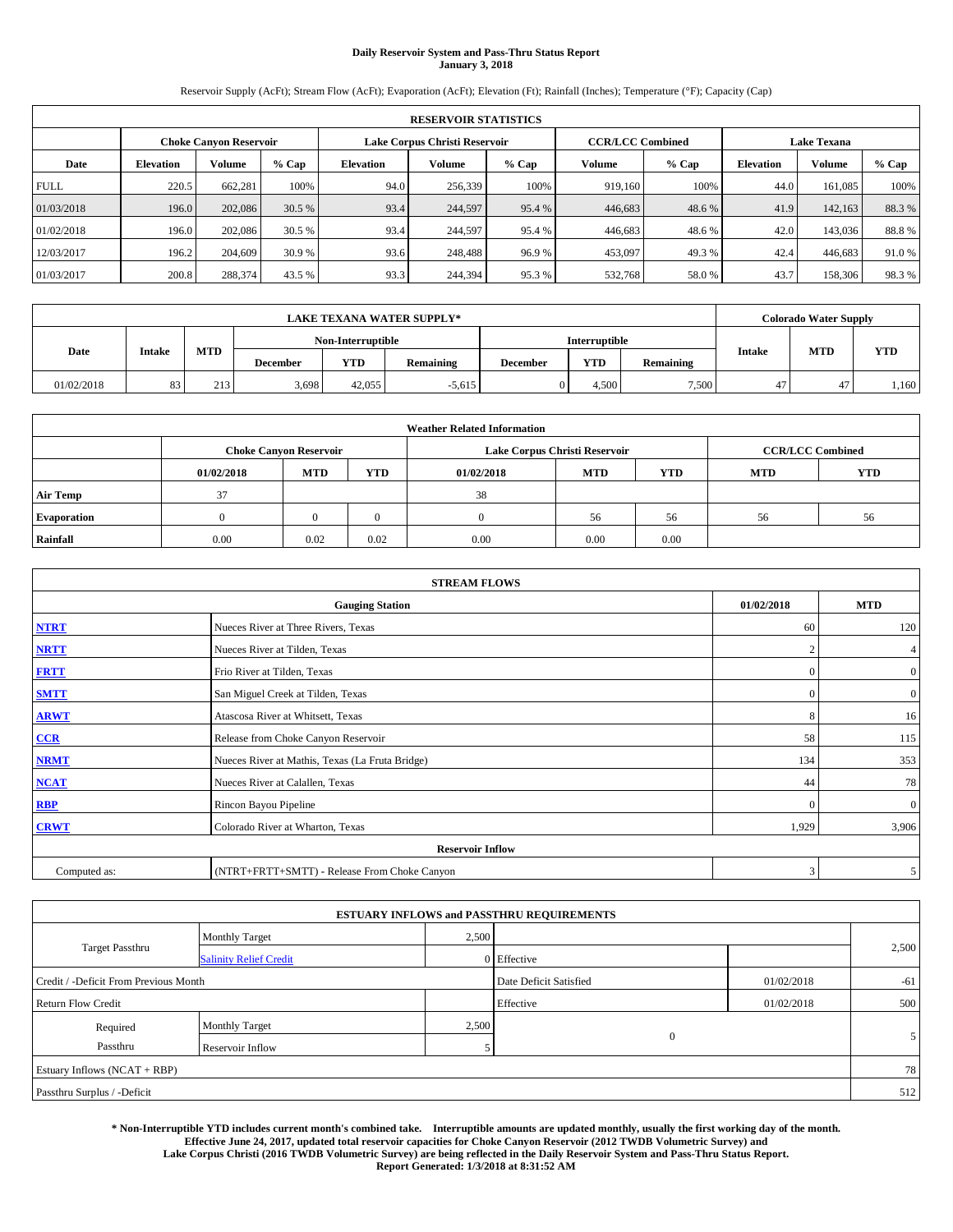# **Daily Reservoir System and Pass-Thru Status Report January 3, 2018**

Reservoir Supply (AcFt); Stream Flow (AcFt); Evaporation (AcFt); Elevation (Ft); Rainfall (Inches); Temperature (°F); Capacity (Cap)

|             | <b>RESERVOIR STATISTICS</b> |                               |        |                               |         |         |                         |         |                    |         |       |
|-------------|-----------------------------|-------------------------------|--------|-------------------------------|---------|---------|-------------------------|---------|--------------------|---------|-------|
|             |                             | <b>Choke Canyon Reservoir</b> |        | Lake Corpus Christi Reservoir |         |         | <b>CCR/LCC Combined</b> |         | <b>Lake Texana</b> |         |       |
| Date        | <b>Elevation</b>            | Volume                        | % Cap  | Elevation                     | Volume  | $%$ Cap | Volume                  | $%$ Cap | <b>Elevation</b>   | Volume  | % Cap |
| <b>FULL</b> | 220.5                       | 662.281                       | 100%   | 94.0                          | 256,339 | 100%    | 919.160                 | 100%    | 44.0               | 161.085 | 100%  |
| 01/03/2018  | 196.0                       | 202,086                       | 30.5 % | 93.4                          | 244,597 | 95.4 %  | 446,683                 | 48.6 %  | 41.9               | 142,163 | 88.3% |
| 01/02/2018  | 196.0                       | 202,086                       | 30.5 % | 93.4                          | 244.597 | 95.4 %  | 446.683                 | 48.6 %  | 42.0               | 143,036 | 88.8% |
| 12/03/2017  | 196.2                       | 204,609                       | 30.9 % | 93.6                          | 248,488 | 96.9%   | 453,097                 | 49.3 %  | 42.4               | 446,683 | 91.0% |
| 01/03/2017  | 200.8                       | 288,374                       | 43.5 % | 93.3                          | 244,394 | 95.3%   | 532,768                 | 58.0%   | 43.7               | 158,306 | 98.3% |

|            | <b>LAKE TEXANA WATER SUPPLY*</b> |            |          |                   |                  |                 |                      |           |               |            | <b>Colorado Water Supply</b> |  |  |
|------------|----------------------------------|------------|----------|-------------------|------------------|-----------------|----------------------|-----------|---------------|------------|------------------------------|--|--|
|            |                                  |            |          | Non-Interruptible |                  |                 | <b>Interruptible</b> |           |               |            |                              |  |  |
| Date       | <b>Intake</b>                    | <b>MTD</b> | December | <b>YTD</b>        | <b>Remaining</b> | <b>December</b> | YTD                  | Remaining | <b>Intake</b> | <b>MTD</b> | <b>YTD</b>                   |  |  |
| 01/02/2018 | 83                               | 213        | 3,698    | 42,055            | $-5,615$         |                 | 4.500                | 7,500     |               | 47         | 1,160                        |  |  |

| <b>Weather Related Information</b> |            |                               |      |            |                               |                         |            |            |  |
|------------------------------------|------------|-------------------------------|------|------------|-------------------------------|-------------------------|------------|------------|--|
|                                    |            | <b>Choke Canyon Reservoir</b> |      |            | Lake Corpus Christi Reservoir | <b>CCR/LCC Combined</b> |            |            |  |
|                                    | 01/02/2018 | <b>MTD</b>                    | YTD  | 01/02/2018 | <b>MTD</b>                    | <b>YTD</b>              | <b>MTD</b> | <b>YTD</b> |  |
| Air Temp                           | 37         |                               |      | 38         |                               |                         |            |            |  |
| <b>Evaporation</b>                 |            |                               |      |            | 56                            | 56                      | 56         | 56         |  |
| Rainfall                           | 0.00       | 0.02                          | 0.02 | 0.00       | 0.00                          | 0.00                    |            |            |  |

| <b>STREAM FLOWS</b> |                                                 |               |                |  |  |  |  |  |
|---------------------|-------------------------------------------------|---------------|----------------|--|--|--|--|--|
|                     | 01/02/2018                                      | <b>MTD</b>    |                |  |  |  |  |  |
| <b>NTRT</b>         | Nueces River at Three Rivers, Texas             | 60            | 120            |  |  |  |  |  |
| <b>NRTT</b>         | Nueces River at Tilden, Texas                   | $\mathcal{D}$ | $\overline{4}$ |  |  |  |  |  |
| <b>FRTT</b>         | Frio River at Tilden, Texas                     | $\Omega$      | $\overline{0}$ |  |  |  |  |  |
| <b>SMTT</b>         | San Miguel Creek at Tilden, Texas               | $\Omega$      | $\overline{0}$ |  |  |  |  |  |
| <b>ARWT</b>         | Atascosa River at Whitsett, Texas               | 8             | 16             |  |  |  |  |  |
| $CCR$               | Release from Choke Canyon Reservoir             | 58            | 115            |  |  |  |  |  |
| <b>NRMT</b>         | Nueces River at Mathis, Texas (La Fruta Bridge) | 134           | 353            |  |  |  |  |  |
| <b>NCAT</b>         | Nueces River at Calallen, Texas                 | 44            | 78             |  |  |  |  |  |
| RBP                 | Rincon Bayou Pipeline                           | $\Omega$      | $\overline{0}$ |  |  |  |  |  |
| <b>CRWT</b>         | Colorado River at Wharton, Texas                | 1,929         | 3,906          |  |  |  |  |  |
|                     | <b>Reservoir Inflow</b>                         |               |                |  |  |  |  |  |
| Computed as:        | (NTRT+FRTT+SMTT) - Release From Choke Canyon    | 3             | 5              |  |  |  |  |  |

|                                       |                               |       | <b>ESTUARY INFLOWS and PASSTHRU REQUIREMENTS</b> |            |       |
|---------------------------------------|-------------------------------|-------|--------------------------------------------------|------------|-------|
|                                       | <b>Monthly Target</b>         | 2,500 |                                                  |            |       |
| <b>Target Passthru</b>                | <b>Salinity Relief Credit</b> |       | 0 Effective                                      |            | 2,500 |
| Credit / -Deficit From Previous Month |                               |       | Date Deficit Satisfied                           | 01/02/2018 | $-61$ |
| <b>Return Flow Credit</b>             |                               |       | Effective                                        | 01/02/2018 | 500   |
| Required                              | <b>Monthly Target</b>         | 2,500 |                                                  |            |       |
| Passthru                              | Reservoir Inflow              |       | $\mathbf{0}$                                     |            | 5     |
| Estuary Inflows (NCAT + RBP)          |                               |       |                                                  |            | 78    |
| Passthru Surplus / -Deficit           |                               |       |                                                  |            | 512   |

**\* Non-Interruptible YTD includes current month's combined take. Interruptible amounts are updated monthly, usually the first working day of the month. Effective June 24, 2017, updated total reservoir capacities for Choke Canyon Reservoir (2012 TWDB Volumetric Survey) and Lake Corpus Christi (2016 TWDB Volumetric Survey) are being reflected in the Daily Reservoir System and Pass-Thru Status Report. Report Generated: 1/3/2018 at 8:31:52 AM**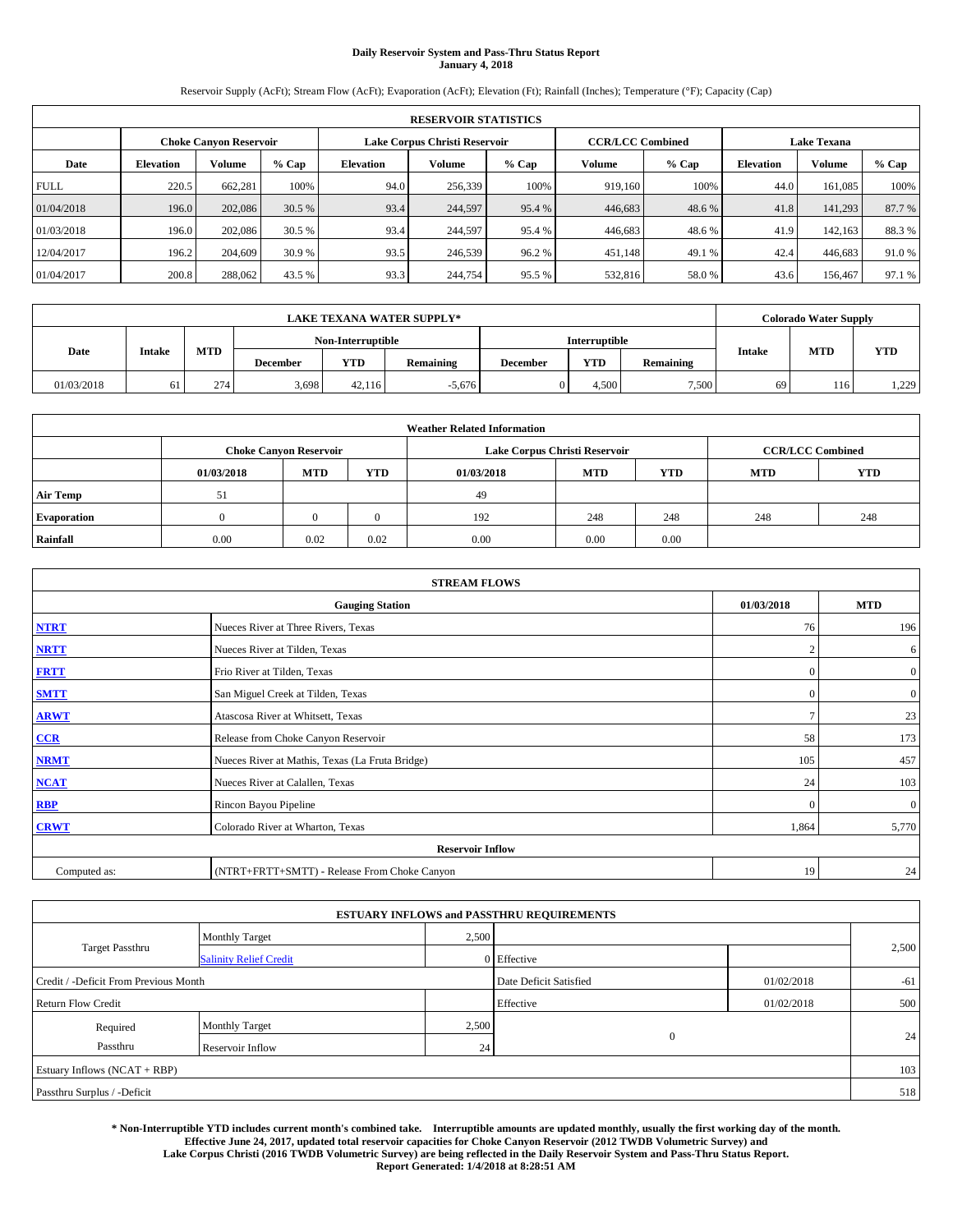# **Daily Reservoir System and Pass-Thru Status Report January 4, 2018**

Reservoir Supply (AcFt); Stream Flow (AcFt); Evaporation (AcFt); Elevation (Ft); Rainfall (Inches); Temperature (°F); Capacity (Cap)

| <b>RESERVOIR STATISTICS</b> |                  |                        |        |                               |         |         |                         |         |                    |         |        |
|-----------------------------|------------------|------------------------|--------|-------------------------------|---------|---------|-------------------------|---------|--------------------|---------|--------|
|                             |                  | Choke Canvon Reservoir |        | Lake Corpus Christi Reservoir |         |         | <b>CCR/LCC Combined</b> |         | <b>Lake Texana</b> |         |        |
| Date                        | <b>Elevation</b> | Volume                 | % Cap  | Elevation                     | Volume  | $%$ Cap | Volume                  | $%$ Cap | <b>Elevation</b>   | Volume  | % Cap  |
| <b>FULL</b>                 | 220.5            | 662.281                | 100%   | 94.0                          | 256,339 | 100%    | 919.160                 | 100%    | 44.0               | 161.085 | 100%   |
| 01/04/2018                  | 196.0            | 202,086                | 30.5 % | 93.4                          | 244,597 | 95.4 %  | 446,683                 | 48.6 %  | 41.8               | 141.293 | 87.7%  |
| 01/03/2018                  | 196.0            | 202,086                | 30.5 % | 93.4                          | 244.597 | 95.4 %  | 446.683                 | 48.6 %  | 41.9               | 142.163 | 88.3%  |
| 12/04/2017                  | 196.2            | 204,609                | 30.9 % | 93.5                          | 246,539 | 96.2%   | 451.148                 | 49.1 %  | 42.4               | 446,683 | 91.0%  |
| 01/04/2017                  | 200.8            | 288,062                | 43.5 % | 93.3                          | 244,754 | 95.5 %  | 532,816                 | 58.0%   | 43.6               | 156,467 | 97.1 % |

| <b>LAKE TEXANA WATER SUPPLY*</b> |                   |            |          |                      |                  |                 |       |           |                             | <b>Colorado Water Supply</b> |            |
|----------------------------------|-------------------|------------|----------|----------------------|------------------|-----------------|-------|-----------|-----------------------------|------------------------------|------------|
|                                  | Non-Interruptible |            |          | <b>Interruptible</b> |                  |                 |       |           |                             |                              |            |
| Date                             | <b>Intake</b>     | <b>MTD</b> | December | <b>YTD</b>           | <b>Remaining</b> | <b>December</b> | YTD   | Remaining | <b>MTD</b><br><b>Intake</b> |                              | <b>YTD</b> |
| 01/03/2018                       | 61                | 274        | 3,698    | 42.116               | $-5.676$         |                 | 4.500 | 7,500     | 69                          | 116                          | 1,229      |

| <b>Weather Related Information</b> |            |                               |      |            |                               |                         |     |     |  |
|------------------------------------|------------|-------------------------------|------|------------|-------------------------------|-------------------------|-----|-----|--|
|                                    |            | <b>Choke Canyon Reservoir</b> |      |            | Lake Corpus Christi Reservoir | <b>CCR/LCC Combined</b> |     |     |  |
|                                    | 01/03/2018 | <b>MTD</b>                    | YTD  | <b>MTD</b> | <b>YTD</b>                    |                         |     |     |  |
| <b>Air Temp</b>                    | 51         |                               |      | 49         |                               |                         |     |     |  |
| <b>Evaporation</b>                 |            |                               |      | 192        | 248                           | 248                     | 248 | 248 |  |
| Rainfall                           | 0.00       | 0.02                          | 0.02 | 0.00       | 0.00                          | 0.00                    |     |     |  |

| <b>STREAM FLOWS</b> |                                                 |                |                |  |  |  |  |  |
|---------------------|-------------------------------------------------|----------------|----------------|--|--|--|--|--|
|                     | <b>Gauging Station</b>                          | 01/03/2018     | <b>MTD</b>     |  |  |  |  |  |
| <b>NTRT</b>         | Nueces River at Three Rivers, Texas             | 76             | 196            |  |  |  |  |  |
| <b>NRTT</b>         | Nueces River at Tilden, Texas                   | $\overline{2}$ | 6              |  |  |  |  |  |
| <b>FRTT</b>         | Frio River at Tilden, Texas                     | $\mathbf{0}$   | $\overline{0}$ |  |  |  |  |  |
| <b>SMTT</b>         | San Miguel Creek at Tilden, Texas               | $\mathbf{0}$   | $\mathbf{0}$   |  |  |  |  |  |
| <b>ARWT</b>         | Atascosa River at Whitsett, Texas               | 7              | 23             |  |  |  |  |  |
| CCR                 | Release from Choke Canyon Reservoir             | 58             | 173            |  |  |  |  |  |
| <b>NRMT</b>         | Nueces River at Mathis, Texas (La Fruta Bridge) | 105            | 457            |  |  |  |  |  |
| <b>NCAT</b>         | Nueces River at Calallen, Texas                 | 24             | 103            |  |  |  |  |  |
| <b>RBP</b>          | Rincon Bayou Pipeline                           | $\Omega$       | $\mathbf{0}$   |  |  |  |  |  |
| <b>CRWT</b>         | Colorado River at Wharton, Texas                | 1,864          | 5,770          |  |  |  |  |  |
|                     | <b>Reservoir Inflow</b>                         |                |                |  |  |  |  |  |
| Computed as:        | (NTRT+FRTT+SMTT) - Release From Choke Canyon    | 19             | 24             |  |  |  |  |  |

|                                       |                               | <b>ESTUARY INFLOWS and PASSTHRU REQUIREMENTS</b> |                        |            |       |
|---------------------------------------|-------------------------------|--------------------------------------------------|------------------------|------------|-------|
|                                       | <b>Monthly Target</b>         | 2,500                                            |                        |            |       |
| <b>Target Passthru</b>                | <b>Salinity Relief Credit</b> |                                                  | 0 Effective            |            | 2,500 |
| Credit / -Deficit From Previous Month |                               |                                                  | Date Deficit Satisfied | 01/02/2018 | $-61$ |
| <b>Return Flow Credit</b>             |                               |                                                  | Effective              | 01/02/2018 | 500   |
| Required                              | <b>Monthly Target</b>         | 2,500                                            |                        |            |       |
| Passthru                              | <b>Reservoir Inflow</b>       | 24                                               | $\mathbf{0}$           |            | 24    |
| Estuary Inflows (NCAT + RBP)          |                               |                                                  |                        |            | 103   |
| Passthru Surplus / -Deficit           |                               |                                                  |                        |            | 518   |

**\* Non-Interruptible YTD includes current month's combined take. Interruptible amounts are updated monthly, usually the first working day of the month. Effective June 24, 2017, updated total reservoir capacities for Choke Canyon Reservoir (2012 TWDB Volumetric Survey) and Lake Corpus Christi (2016 TWDB Volumetric Survey) are being reflected in the Daily Reservoir System and Pass-Thru Status Report. Report Generated: 1/4/2018 at 8:28:51 AM**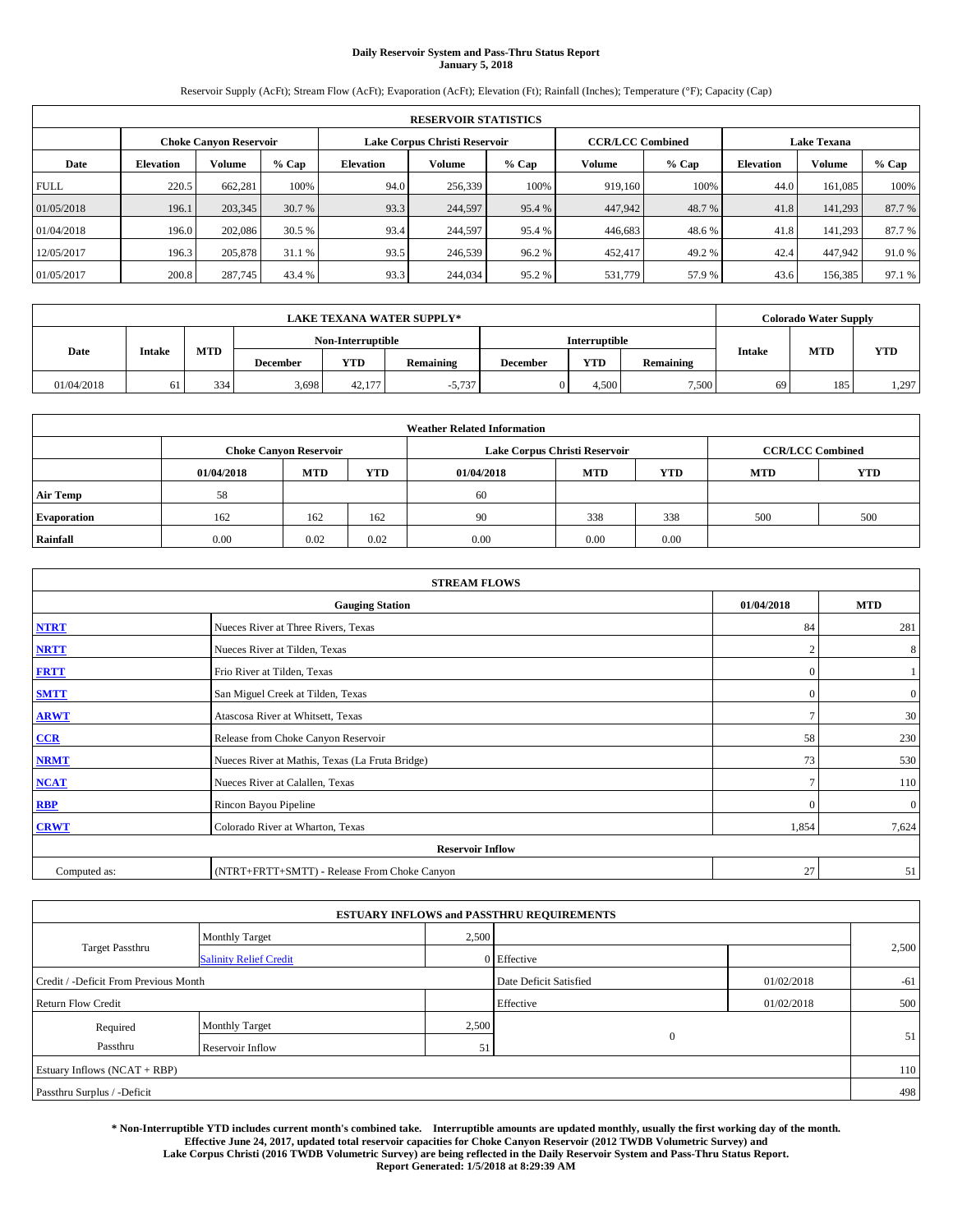# **Daily Reservoir System and Pass-Thru Status Report January 5, 2018**

Reservoir Supply (AcFt); Stream Flow (AcFt); Evaporation (AcFt); Elevation (Ft); Rainfall (Inches); Temperature (°F); Capacity (Cap)

| <b>RESERVOIR STATISTICS</b> |                  |                        |        |           |                               |         |                         |         |                    |         |        |
|-----------------------------|------------------|------------------------|--------|-----------|-------------------------------|---------|-------------------------|---------|--------------------|---------|--------|
|                             |                  | Choke Canvon Reservoir |        |           | Lake Corpus Christi Reservoir |         | <b>CCR/LCC Combined</b> |         | <b>Lake Texana</b> |         |        |
| Date                        | <b>Elevation</b> | Volume                 | % Cap  | Elevation | Volume                        | $%$ Cap | Volume                  | $%$ Cap | <b>Elevation</b>   | Volume  | % Cap  |
| <b>FULL</b>                 | 220.5            | 662.281                | 100%   | 94.0      | 256,339                       | 100%    | 919.160                 | 100%    | 44.0               | 161.085 | 100%   |
| 01/05/2018                  | 196.1            | 203,345                | 30.7 % | 93.3      | 244,597                       | 95.4 %  | 447,942                 | 48.7 %  | 41.8               | 141.293 | 87.7 % |
| 01/04/2018                  | 196.0            | 202,086                | 30.5 % | 93.4      | 244.597                       | 95.4 %  | 446,683                 | 48.6 %  | 41.8               | 141.293 | 87.7 % |
| 12/05/2017                  | 196.3            | 205,878                | 31.1 % | 93.5      | 246,539                       | 96.2%   | 452,417                 | 49.2 %  | 42.4               | 447.942 | 91.0 % |
| 01/05/2017                  | 200.8            | 287,745                | 43.4 % | 93.3      | 244,034                       | 95.2%   | 531,779                 | 57.9 %  | 43.6               | 156,385 | 97.1 % |

| <b>LAKE TEXANA WATER SUPPLY*</b> |               |            |          |                   |                  |                 |                      |           |                             | <b>Colorado Water Supply</b> |            |
|----------------------------------|---------------|------------|----------|-------------------|------------------|-----------------|----------------------|-----------|-----------------------------|------------------------------|------------|
|                                  |               |            |          | Non-Interruptible |                  |                 | <b>Interruptible</b> |           |                             |                              |            |
| Date                             | <b>Intake</b> | <b>MTD</b> | December | <b>YTD</b>        | <b>Remaining</b> | <b>December</b> | YTD                  | Remaining | <b>MTD</b><br><b>Intake</b> |                              | <b>YTD</b> |
| 01/04/2018                       | 61            | 334        | 3,698    | 42,177            | $-5,737$         |                 | 4.500                | 7,500     | 69                          | 185                          | 1,297      |

| <b>Weather Related Information</b> |            |                               |      |                                                      |                               |                         |     |     |  |  |
|------------------------------------|------------|-------------------------------|------|------------------------------------------------------|-------------------------------|-------------------------|-----|-----|--|--|
|                                    |            | <b>Choke Canyon Reservoir</b> |      |                                                      | Lake Corpus Christi Reservoir | <b>CCR/LCC Combined</b> |     |     |  |  |
|                                    | 01/04/2018 | <b>MTD</b>                    | YTD  | <b>MTD</b><br><b>YTD</b><br><b>MTD</b><br>01/04/2018 |                               |                         |     |     |  |  |
| <b>Air Temp</b>                    | 58         |                               |      | 60                                                   |                               |                         |     |     |  |  |
| <b>Evaporation</b>                 | 162        | 162                           | 162  | 90                                                   | 338                           | 338                     | 500 | 500 |  |  |
| Rainfall                           | 0.00       | 0.02                          | 0.02 | 0.00                                                 | 0.00                          | 0.00                    |     |     |  |  |

| <b>STREAM FLOWS</b> |                                                 |                |                  |  |  |  |  |  |
|---------------------|-------------------------------------------------|----------------|------------------|--|--|--|--|--|
|                     | 01/04/2018                                      | <b>MTD</b>     |                  |  |  |  |  |  |
| <b>NTRT</b>         | Nueces River at Three Rivers, Texas             | 84             | 281              |  |  |  |  |  |
| <b>NRTT</b>         | Nueces River at Tilden, Texas                   | $\overline{2}$ | 8                |  |  |  |  |  |
| <b>FRTT</b>         | Frio River at Tilden, Texas                     | $\mathbf{0}$   |                  |  |  |  |  |  |
| <b>SMTT</b>         | San Miguel Creek at Tilden, Texas               | $\mathbf{0}$   | $\boldsymbol{0}$ |  |  |  |  |  |
| <b>ARWT</b>         | Atascosa River at Whitsett, Texas               | $\mathcal{I}$  | 30               |  |  |  |  |  |
| $CCR$               | Release from Choke Canyon Reservoir             | 58             | 230              |  |  |  |  |  |
| <b>NRMT</b>         | Nueces River at Mathis, Texas (La Fruta Bridge) | 73             | 530              |  |  |  |  |  |
| <b>NCAT</b>         | Nueces River at Calallen, Texas                 | $\mathcal{I}$  | 110              |  |  |  |  |  |
| RBP                 | Rincon Bayou Pipeline                           | $\Omega$       | $\mathbf{0}$     |  |  |  |  |  |
| <b>CRWT</b>         | Colorado River at Wharton, Texas                | 1,854          | 7,624            |  |  |  |  |  |
|                     | <b>Reservoir Inflow</b>                         |                |                  |  |  |  |  |  |
| Computed as:        | (NTRT+FRTT+SMTT) - Release From Choke Canyon    | 27             | 51               |  |  |  |  |  |

|                                       |                               |                        | <b>ESTUARY INFLOWS and PASSTHRU REQUIREMENTS</b> |            |       |
|---------------------------------------|-------------------------------|------------------------|--------------------------------------------------|------------|-------|
|                                       | <b>Monthly Target</b>         | 2,500                  |                                                  |            |       |
| Target Passthru                       | <b>Salinity Relief Credit</b> |                        | 0 Effective                                      |            | 2,500 |
| Credit / -Deficit From Previous Month |                               | Date Deficit Satisfied | 01/02/2018                                       | $-61$      |       |
| <b>Return Flow Credit</b>             |                               |                        | Effective                                        | 01/02/2018 | 500   |
| Required                              | Monthly Target                | 2,500                  |                                                  |            |       |
| Passthru                              | <b>Reservoir Inflow</b>       | 51                     | $\mathbf{0}$                                     |            | 51    |
| Estuary Inflows (NCAT + RBP)          |                               |                        |                                                  |            | 110   |
| Passthru Surplus / -Deficit           |                               |                        |                                                  |            | 498   |

**\* Non-Interruptible YTD includes current month's combined take. Interruptible amounts are updated monthly, usually the first working day of the month. Effective June 24, 2017, updated total reservoir capacities for Choke Canyon Reservoir (2012 TWDB Volumetric Survey) and Lake Corpus Christi (2016 TWDB Volumetric Survey) are being reflected in the Daily Reservoir System and Pass-Thru Status Report. Report Generated: 1/5/2018 at 8:29:39 AM**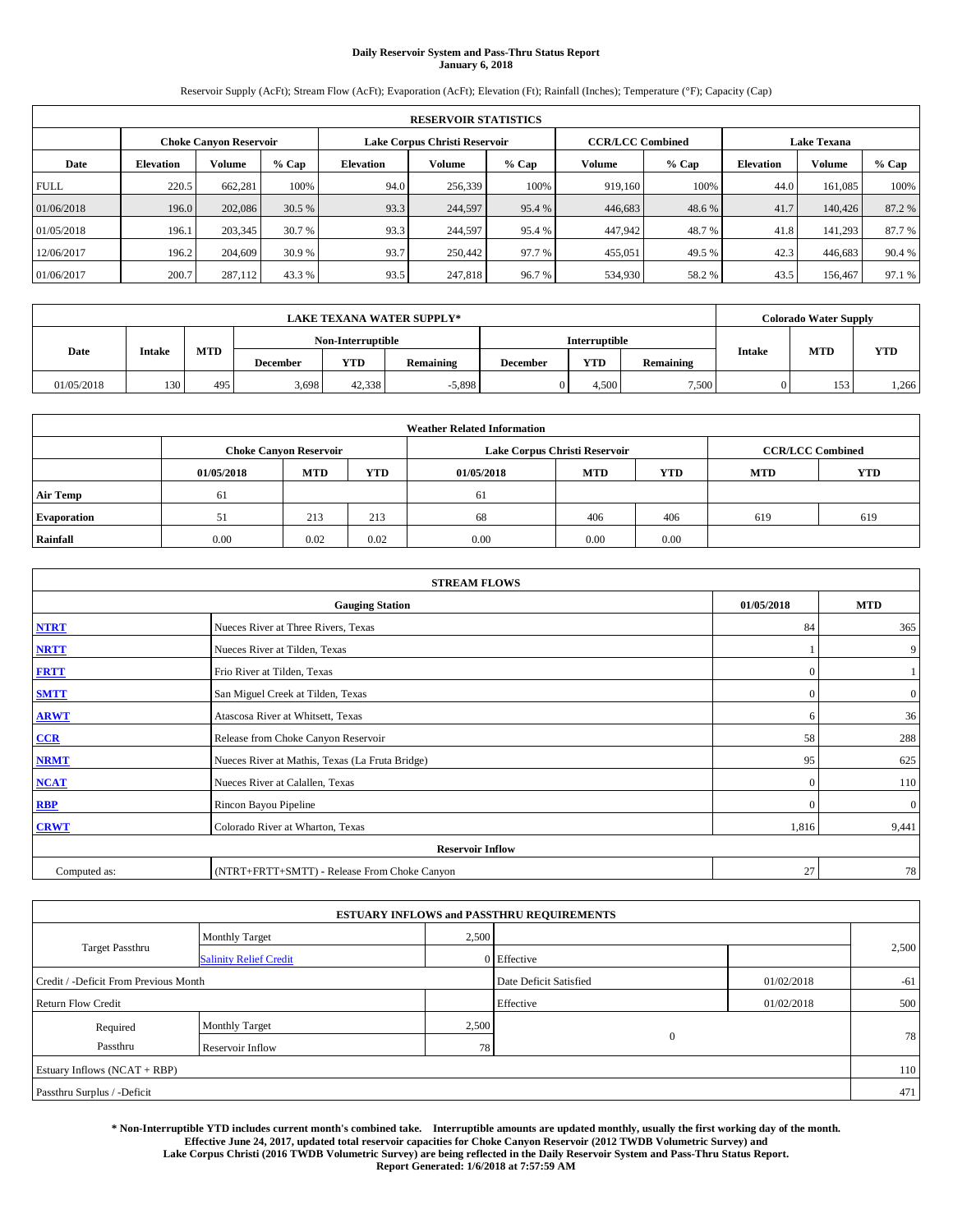# **Daily Reservoir System and Pass-Thru Status Report January 6, 2018**

Reservoir Supply (AcFt); Stream Flow (AcFt); Evaporation (AcFt); Elevation (Ft); Rainfall (Inches); Temperature (°F); Capacity (Cap)

| <b>RESERVOIR STATISTICS</b> |                  |                               |        |           |                               |         |                                               |         |                  |         |        |
|-----------------------------|------------------|-------------------------------|--------|-----------|-------------------------------|---------|-----------------------------------------------|---------|------------------|---------|--------|
|                             |                  | <b>Choke Canyon Reservoir</b> |        |           | Lake Corpus Christi Reservoir |         | <b>Lake Texana</b><br><b>CCR/LCC Combined</b> |         |                  |         |        |
| Date                        | <b>Elevation</b> | Volume                        | % Cap  | Elevation | Volume                        | $%$ Cap | Volume                                        | $%$ Cap | <b>Elevation</b> | Volume  | % Cap  |
| <b>FULL</b>                 | 220.5            | 662.281                       | 100%   | 94.0      | 256,339                       | 100%    | 919.160                                       | 100%    | 44.0             | 161.085 | 100%   |
| 01/06/2018                  | 196.0            | 202,086                       | 30.5 % | 93.3      | 244,597                       | 95.4 %  | 446,683                                       | 48.6 %  | 41.7             | 140,426 | 87.2%  |
| 01/05/2018                  | 196.1            | 203,345                       | 30.7 % | 93.3      | 244.597                       | 95.4 %  | 447,942                                       | 48.7 %  | 41.8             | 141.293 | 87.7 % |
| 12/06/2017                  | 196.2            | 204,609                       | 30.9 % | 93.7      | 250,442                       | 97.7 %  | 455,051                                       | 49.5 %  | 42.3             | 446,683 | 90.4%  |
| 01/06/2017                  | 200.7            | 287,112                       | 43.3 % | 93.5      | 247,818                       | 96.7%   | 534,930                                       | 58.2 %  | 43.5             | 156,467 | 97.1 % |

|            | <b>LAKE TEXANA WATER SUPPLY*</b> |            |          |                   |                  |                 |                      |           | <b>Colorado Water Supply</b> |            |            |
|------------|----------------------------------|------------|----------|-------------------|------------------|-----------------|----------------------|-----------|------------------------------|------------|------------|
|            |                                  |            |          | Non-Interruptible |                  |                 | <b>Interruptible</b> |           |                              |            |            |
| Date       | <b>Intake</b>                    | <b>MTD</b> | December | <b>YTD</b>        | <b>Remaining</b> | <b>December</b> | YTD                  | Remaining | <b>Intake</b>                | <b>MTD</b> | <b>YTD</b> |
| 01/05/2018 | 130                              | 495        | 3,698    | 42.338            | $-5,898$         |                 | 4.500                | 7,500     |                              | 153        | 1,266      |

| <b>Weather Related Information</b> |            |                               |      |                                                      |                                                          |      |     |     |  |  |  |
|------------------------------------|------------|-------------------------------|------|------------------------------------------------------|----------------------------------------------------------|------|-----|-----|--|--|--|
|                                    |            | <b>Choke Canyon Reservoir</b> |      |                                                      | Lake Corpus Christi Reservoir<br><b>CCR/LCC Combined</b> |      |     |     |  |  |  |
|                                    | 01/05/2018 | <b>MTD</b>                    | YTD  | <b>MTD</b><br><b>YTD</b><br><b>MTD</b><br>01/05/2018 |                                                          |      |     |     |  |  |  |
| <b>Air Temp</b>                    | 61         |                               |      | 61                                                   |                                                          |      |     |     |  |  |  |
| <b>Evaporation</b>                 |            | 213                           | 213  | 68                                                   | 406                                                      | 406  | 619 | 619 |  |  |  |
| Rainfall                           | 0.00       | 0.02                          | 0.02 | 0.00                                                 | 0.00                                                     | 0.00 |     |     |  |  |  |

| <b>STREAM FLOWS</b> |                                                 |              |                  |  |  |  |  |  |  |
|---------------------|-------------------------------------------------|--------------|------------------|--|--|--|--|--|--|
|                     | <b>Gauging Station</b>                          | 01/05/2018   | <b>MTD</b>       |  |  |  |  |  |  |
| <b>NTRT</b>         | Nueces River at Three Rivers, Texas             | 84           | 365              |  |  |  |  |  |  |
| <b>NRTT</b>         | Nueces River at Tilden, Texas                   |              | 9                |  |  |  |  |  |  |
| <b>FRTT</b>         | Frio River at Tilden, Texas                     | $\mathbf{0}$ |                  |  |  |  |  |  |  |
| <b>SMTT</b>         | San Miguel Creek at Tilden, Texas               | $\mathbf{0}$ | $\boldsymbol{0}$ |  |  |  |  |  |  |
| <b>ARWT</b>         | Atascosa River at Whitsett, Texas               |              |                  |  |  |  |  |  |  |
| $CCR$               | 58                                              | 288          |                  |  |  |  |  |  |  |
| <b>NRMT</b>         | Nueces River at Mathis, Texas (La Fruta Bridge) | 95           | 625              |  |  |  |  |  |  |
| <b>NCAT</b>         | Nueces River at Calallen, Texas                 | $\Omega$     | 110              |  |  |  |  |  |  |
| RBP                 | Rincon Bayou Pipeline                           | $\Omega$     | $\mathbf{0}$     |  |  |  |  |  |  |
| <b>CRWT</b>         | Colorado River at Wharton, Texas                | 1,816        | 9,441            |  |  |  |  |  |  |
|                     | <b>Reservoir Inflow</b>                         |              |                  |  |  |  |  |  |  |
| Computed as:        | (NTRT+FRTT+SMTT) - Release From Choke Canyon    | 27           | 78               |  |  |  |  |  |  |

|                                       |                               |       | <b>ESTUARY INFLOWS and PASSTHRU REQUIREMENTS</b> |            |       |
|---------------------------------------|-------------------------------|-------|--------------------------------------------------|------------|-------|
|                                       | <b>Monthly Target</b>         | 2,500 |                                                  |            |       |
| Target Passthru                       | <b>Salinity Relief Credit</b> |       | 0 Effective                                      |            | 2,500 |
| Credit / -Deficit From Previous Month |                               |       | Date Deficit Satisfied                           | 01/02/2018 | $-61$ |
| <b>Return Flow Credit</b>             |                               |       | Effective                                        | 01/02/2018 | 500   |
| Required                              | <b>Monthly Target</b>         | 2,500 |                                                  |            |       |
| Passthru                              | <b>Reservoir Inflow</b>       | 78    | $\mathbf{0}$                                     |            | 78    |
| Estuary Inflows (NCAT + RBP)          |                               |       |                                                  |            | 110   |
| Passthru Surplus / -Deficit           |                               |       |                                                  |            | 471   |

**\* Non-Interruptible YTD includes current month's combined take. Interruptible amounts are updated monthly, usually the first working day of the month. Effective June 24, 2017, updated total reservoir capacities for Choke Canyon Reservoir (2012 TWDB Volumetric Survey) and Lake Corpus Christi (2016 TWDB Volumetric Survey) are being reflected in the Daily Reservoir System and Pass-Thru Status Report. Report Generated: 1/6/2018 at 7:57:59 AM**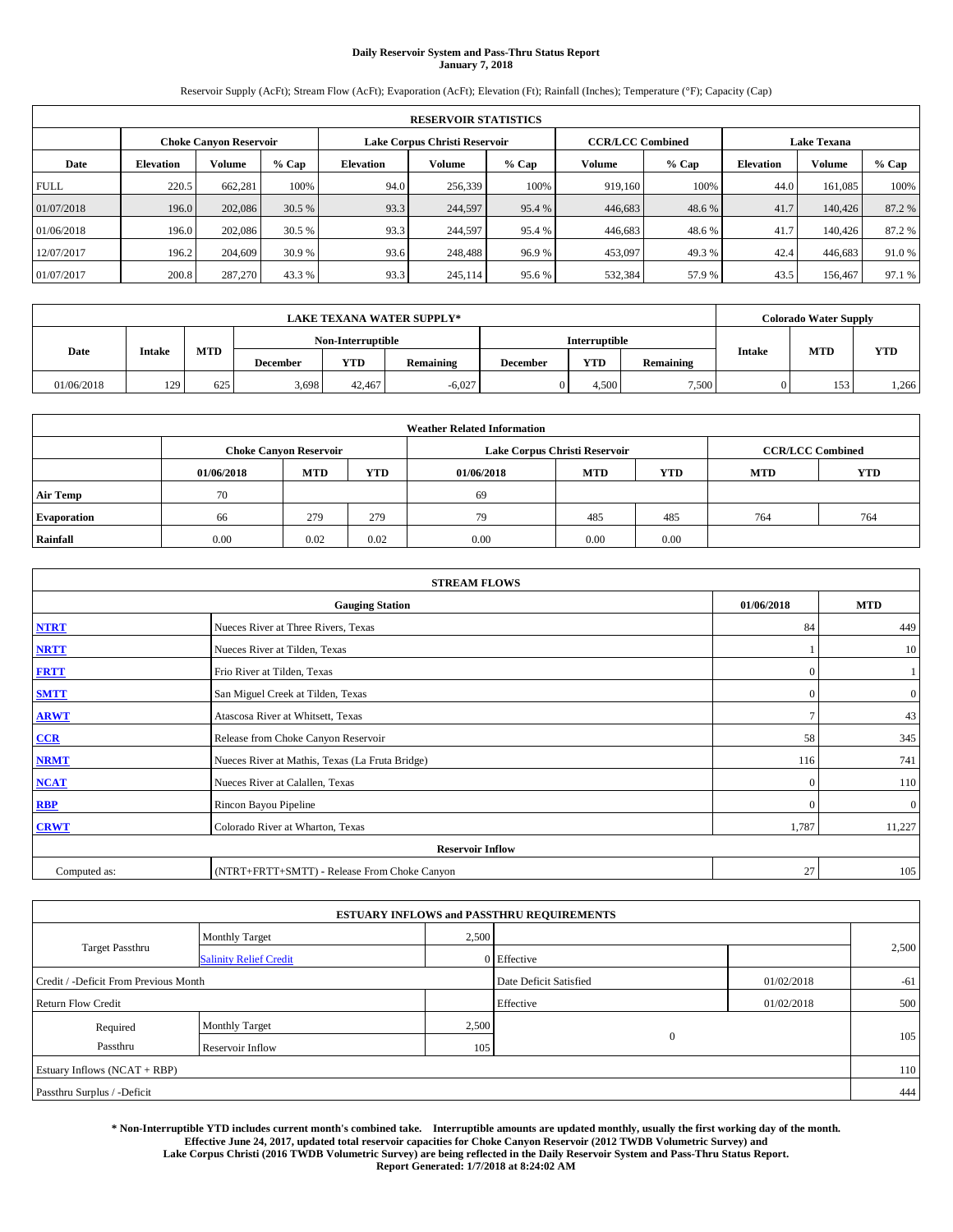# **Daily Reservoir System and Pass-Thru Status Report January 7, 2018**

Reservoir Supply (AcFt); Stream Flow (AcFt); Evaporation (AcFt); Elevation (Ft); Rainfall (Inches); Temperature (°F); Capacity (Cap)

| <b>RESERVOIR STATISTICS</b> |                  |                               |        |                  |                               |         |                                               |         |                  |         |        |
|-----------------------------|------------------|-------------------------------|--------|------------------|-------------------------------|---------|-----------------------------------------------|---------|------------------|---------|--------|
|                             |                  | <b>Choke Canvon Reservoir</b> |        |                  | Lake Corpus Christi Reservoir |         | <b>Lake Texana</b><br><b>CCR/LCC Combined</b> |         |                  |         |        |
| Date                        | <b>Elevation</b> | <b>Volume</b>                 | % Cap  | <b>Elevation</b> | Volume                        | $%$ Cap | Volume                                        | $%$ Cap | <b>Elevation</b> | Volume  | % Cap  |
| <b>FULL</b>                 | 220.5            | 662.281                       | 100%   | 94.0             | 256,339                       | 100%    | 919,160                                       | 100%    | 44.0             | 161.085 | 100%   |
| 01/07/2018                  | 196.0            | 202,086                       | 30.5 % | 93.3             | 244,597                       | 95.4 %  | 446,683                                       | 48.6 %  | 41.7             | 140,426 | 87.2 % |
| 01/06/2018                  | 196.0            | 202,086                       | 30.5 % | 93.3             | 244.597                       | 95.4 %  | 446.683                                       | 48.6 %  | 41.7             | 140,426 | 87.2 % |
| 12/07/2017                  | 196.2            | 204,609                       | 30.9 % | 93.6             | 248,488                       | 96.9%   | 453,097                                       | 49.3 %  | 42.4             | 446,683 | 91.0%  |
| 01/07/2017                  | 200.8            | 287,270                       | 43.3 % | 93.3             | 245,114                       | 95.6%   | 532,384                                       | 57.9 %  | 43.5             | 156,467 | 97.1 % |

|            | <b>LAKE TEXANA WATER SUPPLY*</b> |            |       |                   |            |                  |                      |            |           | <b>Colorado Water Supply</b> |            |            |
|------------|----------------------------------|------------|-------|-------------------|------------|------------------|----------------------|------------|-----------|------------------------------|------------|------------|
|            |                                  |            |       | Non-Interruptible |            |                  | <b>Interruptible</b> |            |           |                              |            |            |
| Date       | <b>Intake</b>                    | <b>MTD</b> |       | <b>December</b>   | <b>YTD</b> | <b>Remaining</b> | December             | <b>YTD</b> | Remaining | <b>Intake</b>                | <b>MTD</b> | <b>YTD</b> |
| 01/06/2018 | 129                              | 625        | 3,698 | 42,467            | $-6.027$   |                  | 4.500                | 7,500      |           | 153                          | 1,266      |            |

| <b>Weather Related Information</b> |            |                                                                           |      |      |                                                          |      |     |     |  |  |
|------------------------------------|------------|---------------------------------------------------------------------------|------|------|----------------------------------------------------------|------|-----|-----|--|--|
|                                    |            | <b>Choke Canvon Reservoir</b>                                             |      |      | Lake Corpus Christi Reservoir<br><b>CCR/LCC Combined</b> |      |     |     |  |  |
|                                    | 01/06/2018 | <b>MTD</b><br>YTD<br><b>MTD</b><br><b>YTD</b><br><b>MTD</b><br>01/06/2018 |      |      |                                                          |      |     |     |  |  |
| <b>Air Temp</b>                    | 70         |                                                                           |      | 69   |                                                          |      |     |     |  |  |
| <b>Evaporation</b>                 | 66         | 279                                                                       | 279  | 79   | 485                                                      | 485  | 764 | 764 |  |  |
| Rainfall                           | 0.00       | 0.02                                                                      | 0.02 | 0.00 | 0.00                                                     | 0.00 |     |     |  |  |

| <b>STREAM FLOWS</b> |                                                 |              |                  |  |  |  |  |  |  |
|---------------------|-------------------------------------------------|--------------|------------------|--|--|--|--|--|--|
|                     | <b>Gauging Station</b>                          | 01/06/2018   | <b>MTD</b>       |  |  |  |  |  |  |
| <b>NTRT</b>         | Nueces River at Three Rivers, Texas             | 84           | 449              |  |  |  |  |  |  |
| <b>NRTT</b>         | Nueces River at Tilden, Texas                   |              | 10               |  |  |  |  |  |  |
| <b>FRTT</b>         | Frio River at Tilden, Texas                     | $\mathbf{0}$ |                  |  |  |  |  |  |  |
| <b>SMTT</b>         | San Miguel Creek at Tilden, Texas               | $\mathbf{0}$ | $\boldsymbol{0}$ |  |  |  |  |  |  |
| <b>ARWT</b>         | Atascosa River at Whitsett, Texas               |              |                  |  |  |  |  |  |  |
| $CCR$               | 58                                              | 345          |                  |  |  |  |  |  |  |
| <b>NRMT</b>         | Nueces River at Mathis, Texas (La Fruta Bridge) | 116          | 741              |  |  |  |  |  |  |
| <b>NCAT</b>         | Nueces River at Calallen, Texas                 | $\Omega$     | 110              |  |  |  |  |  |  |
| RBP                 | Rincon Bayou Pipeline                           | $\Omega$     | $\mathbf{0}$     |  |  |  |  |  |  |
| <b>CRWT</b>         | Colorado River at Wharton, Texas                | 1,787        | 11,227           |  |  |  |  |  |  |
|                     | <b>Reservoir Inflow</b>                         |              |                  |  |  |  |  |  |  |
| Computed as:        | (NTRT+FRTT+SMTT) - Release From Choke Canyon    | 27           | 105              |  |  |  |  |  |  |

|                                       |                               |       | <b>ESTUARY INFLOWS and PASSTHRU REQUIREMENTS</b> |            |       |
|---------------------------------------|-------------------------------|-------|--------------------------------------------------|------------|-------|
|                                       | <b>Monthly Target</b>         | 2,500 |                                                  |            |       |
| <b>Target Passthru</b>                | <b>Salinity Relief Credit</b> |       | 0 Effective                                      |            | 2,500 |
| Credit / -Deficit From Previous Month |                               |       | Date Deficit Satisfied                           | 01/02/2018 | $-61$ |
| <b>Return Flow Credit</b>             |                               |       | Effective                                        | 01/02/2018 | 500   |
| Required                              | <b>Monthly Target</b>         | 2,500 |                                                  |            |       |
| Passthru                              | Reservoir Inflow              | 105   | $\mathbf{0}$                                     |            | 105   |
| Estuary Inflows (NCAT + RBP)          |                               |       |                                                  |            | 110   |
| Passthru Surplus / -Deficit           |                               |       |                                                  |            | 444   |

**\* Non-Interruptible YTD includes current month's combined take. Interruptible amounts are updated monthly, usually the first working day of the month. Effective June 24, 2017, updated total reservoir capacities for Choke Canyon Reservoir (2012 TWDB Volumetric Survey) and Lake Corpus Christi (2016 TWDB Volumetric Survey) are being reflected in the Daily Reservoir System and Pass-Thru Status Report. Report Generated: 1/7/2018 at 8:24:02 AM**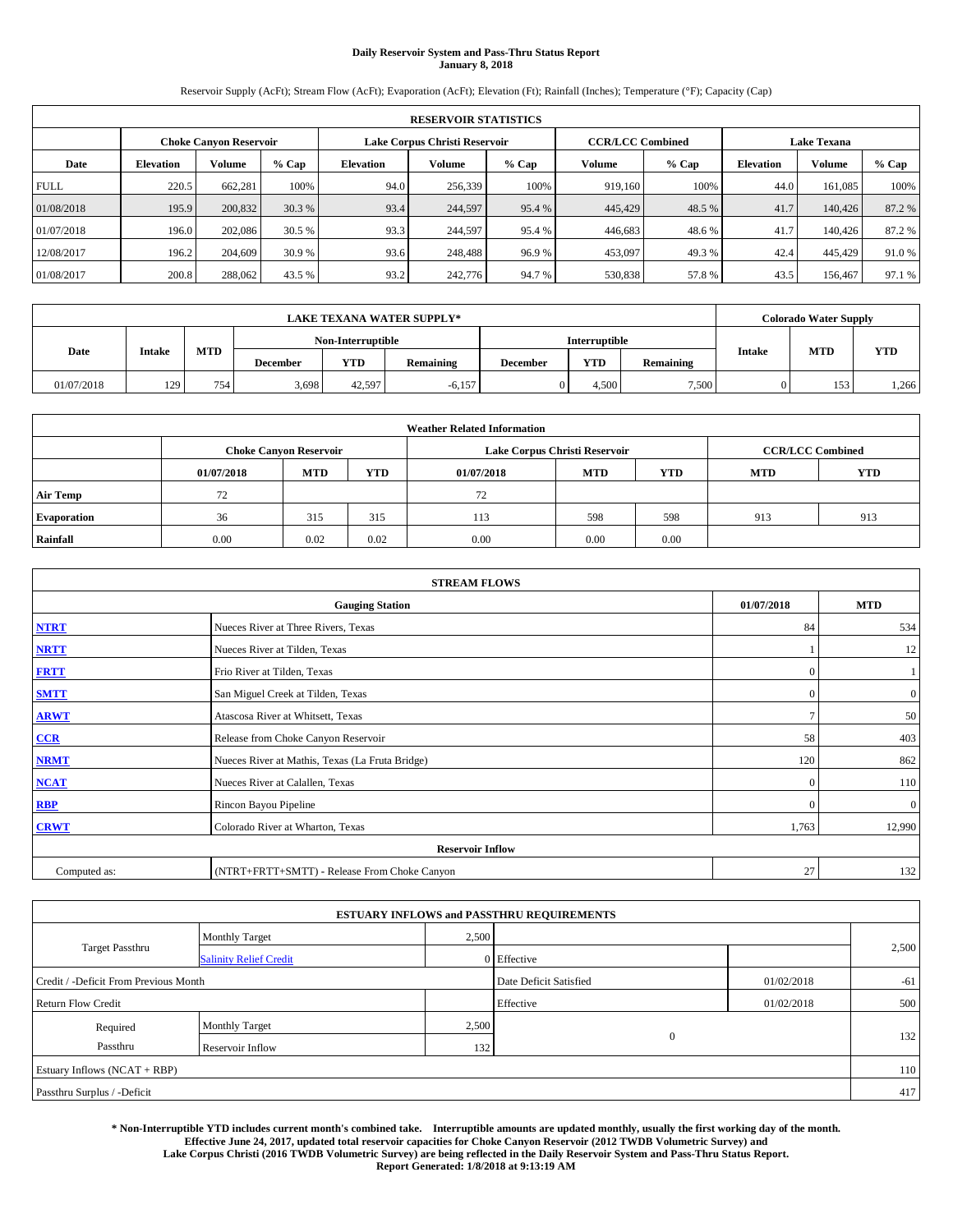# **Daily Reservoir System and Pass-Thru Status Report January 8, 2018**

Reservoir Supply (AcFt); Stream Flow (AcFt); Evaporation (AcFt); Elevation (Ft); Rainfall (Inches); Temperature (°F); Capacity (Cap)

| <b>RESERVOIR STATISTICS</b> |                  |                               |        |           |                               |         |                                               |         |                  |         |        |
|-----------------------------|------------------|-------------------------------|--------|-----------|-------------------------------|---------|-----------------------------------------------|---------|------------------|---------|--------|
|                             |                  | <b>Choke Canyon Reservoir</b> |        |           | Lake Corpus Christi Reservoir |         | <b>Lake Texana</b><br><b>CCR/LCC Combined</b> |         |                  |         |        |
| Date                        | <b>Elevation</b> | Volume                        | % Cap  | Elevation | Volume                        | $%$ Cap | Volume                                        | $%$ Cap | <b>Elevation</b> | Volume  | % Cap  |
| <b>FULL</b>                 | 220.5            | 662.281                       | 100%   | 94.0      | 256,339                       | 100%    | 919.160                                       | 100%    | 44.0             | 161.085 | 100%   |
| 01/08/2018                  | 195.9            | 200,832                       | 30.3 % | 93.4      | 244,597                       | 95.4 %  | 445,429                                       | 48.5 %  | 41.7             | 140,426 | 87.2%  |
| 01/07/2018                  | 196.0            | 202,086                       | 30.5 % | 93.3      | 244.597                       | 95.4 %  | 446.683                                       | 48.6 %  | 41.7             | 140,426 | 87.2 % |
| 12/08/2017                  | 196.2            | 204,609                       | 30.9 % | 93.6      | 248,488                       | 96.9%   | 453,097                                       | 49.3 %  | 42.4             | 445,429 | 91.0%  |
| 01/08/2017                  | 200.8            | 288,062                       | 43.5 % | 93.2      | 242,776                       | 94.7 %  | 530,838                                       | 57.8%   | 43.5             | 156,467 | 97.1 % |

|            | <b>LAKE TEXANA WATER SUPPLY*</b> |            |                   |            |                  |          |                      |           |               | <b>Colorado Water Supply</b> |            |  |
|------------|----------------------------------|------------|-------------------|------------|------------------|----------|----------------------|-----------|---------------|------------------------------|------------|--|
|            |                                  | <b>MTD</b> | Non-Interruptible |            |                  |          | <b>Interruptible</b> |           |               |                              |            |  |
| Date       | <b>Intake</b>                    |            | <b>December</b>   | <b>YTD</b> | <b>Remaining</b> | December | <b>YTD</b>           | Remaining | <b>Intake</b> | <b>MTD</b>                   | <b>YTD</b> |  |
| 01/07/2018 | 129                              | 754        | 3,698             | 42.597     | $-6,157$         |          | 4.500                | 7,500     |               | 153                          | 1,266      |  |

| <b>Weather Related Information</b> |            |                               |      |            |                               |                         |            |            |  |  |  |
|------------------------------------|------------|-------------------------------|------|------------|-------------------------------|-------------------------|------------|------------|--|--|--|
|                                    |            | <b>Choke Canvon Reservoir</b> |      |            | Lake Corpus Christi Reservoir | <b>CCR/LCC Combined</b> |            |            |  |  |  |
|                                    | 01/07/2018 | <b>MTD</b>                    | YTD  | 01/07/2018 | <b>MTD</b>                    | <b>YTD</b>              | <b>MTD</b> | <b>YTD</b> |  |  |  |
| <b>Air Temp</b>                    | 72         |                               |      | 72         |                               |                         |            |            |  |  |  |
| <b>Evaporation</b>                 | 36         | 315                           | 315  | 113        | 598                           | 598                     | 913        | 913        |  |  |  |
| Rainfall                           | 0.00       | 0.02                          | 0.02 | 0.00       | 0.00                          | 0.00                    |            |            |  |  |  |

| <b>STREAM FLOWS</b> |                                                 |               |                  |  |  |  |  |  |  |
|---------------------|-------------------------------------------------|---------------|------------------|--|--|--|--|--|--|
|                     | <b>Gauging Station</b>                          | 01/07/2018    | <b>MTD</b>       |  |  |  |  |  |  |
| <b>NTRT</b>         | Nueces River at Three Rivers, Texas             | 84            | 534              |  |  |  |  |  |  |
| <b>NRTT</b>         | Nueces River at Tilden, Texas                   |               | 12               |  |  |  |  |  |  |
| <b>FRTT</b>         | Frio River at Tilden, Texas                     | $\mathbf{0}$  |                  |  |  |  |  |  |  |
| <b>SMTT</b>         | San Miguel Creek at Tilden, Texas               | $\mathbf{0}$  | $\boldsymbol{0}$ |  |  |  |  |  |  |
| <b>ARWT</b>         | Atascosa River at Whitsett, Texas               | $\mathcal{I}$ | 50               |  |  |  |  |  |  |
| $CCR$               | Release from Choke Canyon Reservoir             | 58            | 403              |  |  |  |  |  |  |
| <b>NRMT</b>         | Nueces River at Mathis, Texas (La Fruta Bridge) | 120           | 862              |  |  |  |  |  |  |
| <b>NCAT</b>         | Nueces River at Calallen, Texas                 | $\Omega$      | 110              |  |  |  |  |  |  |
| RBP                 | Rincon Bayou Pipeline                           | $\Omega$      | $\mathbf{0}$     |  |  |  |  |  |  |
| <b>CRWT</b>         | Colorado River at Wharton, Texas                | 1,763         | 12,990           |  |  |  |  |  |  |
|                     | <b>Reservoir Inflow</b>                         |               |                  |  |  |  |  |  |  |
| Computed as:        | (NTRT+FRTT+SMTT) - Release From Choke Canyon    | 27            | 132              |  |  |  |  |  |  |

|                                       |                               |       | <b>ESTUARY INFLOWS and PASSTHRU REQUIREMENTS</b> |            |       |
|---------------------------------------|-------------------------------|-------|--------------------------------------------------|------------|-------|
|                                       | <b>Monthly Target</b>         | 2,500 |                                                  |            |       |
| Target Passthru                       | <b>Salinity Relief Credit</b> |       | 0 Effective                                      |            | 2,500 |
| Credit / -Deficit From Previous Month |                               |       | Date Deficit Satisfied                           | 01/02/2018 | $-61$ |
| <b>Return Flow Credit</b>             |                               |       | Effective                                        | 01/02/2018 | 500   |
| Required                              | <b>Monthly Target</b>         | 2,500 |                                                  |            |       |
| Passthru                              | <b>Reservoir Inflow</b>       | 132   | $\mathbf{0}$                                     |            | 132   |
| Estuary Inflows (NCAT + RBP)          |                               |       |                                                  |            | 110   |
| Passthru Surplus / -Deficit           |                               |       |                                                  |            | 417   |

**\* Non-Interruptible YTD includes current month's combined take. Interruptible amounts are updated monthly, usually the first working day of the month. Effective June 24, 2017, updated total reservoir capacities for Choke Canyon Reservoir (2012 TWDB Volumetric Survey) and Lake Corpus Christi (2016 TWDB Volumetric Survey) are being reflected in the Daily Reservoir System and Pass-Thru Status Report. Report Generated: 1/8/2018 at 9:13:19 AM**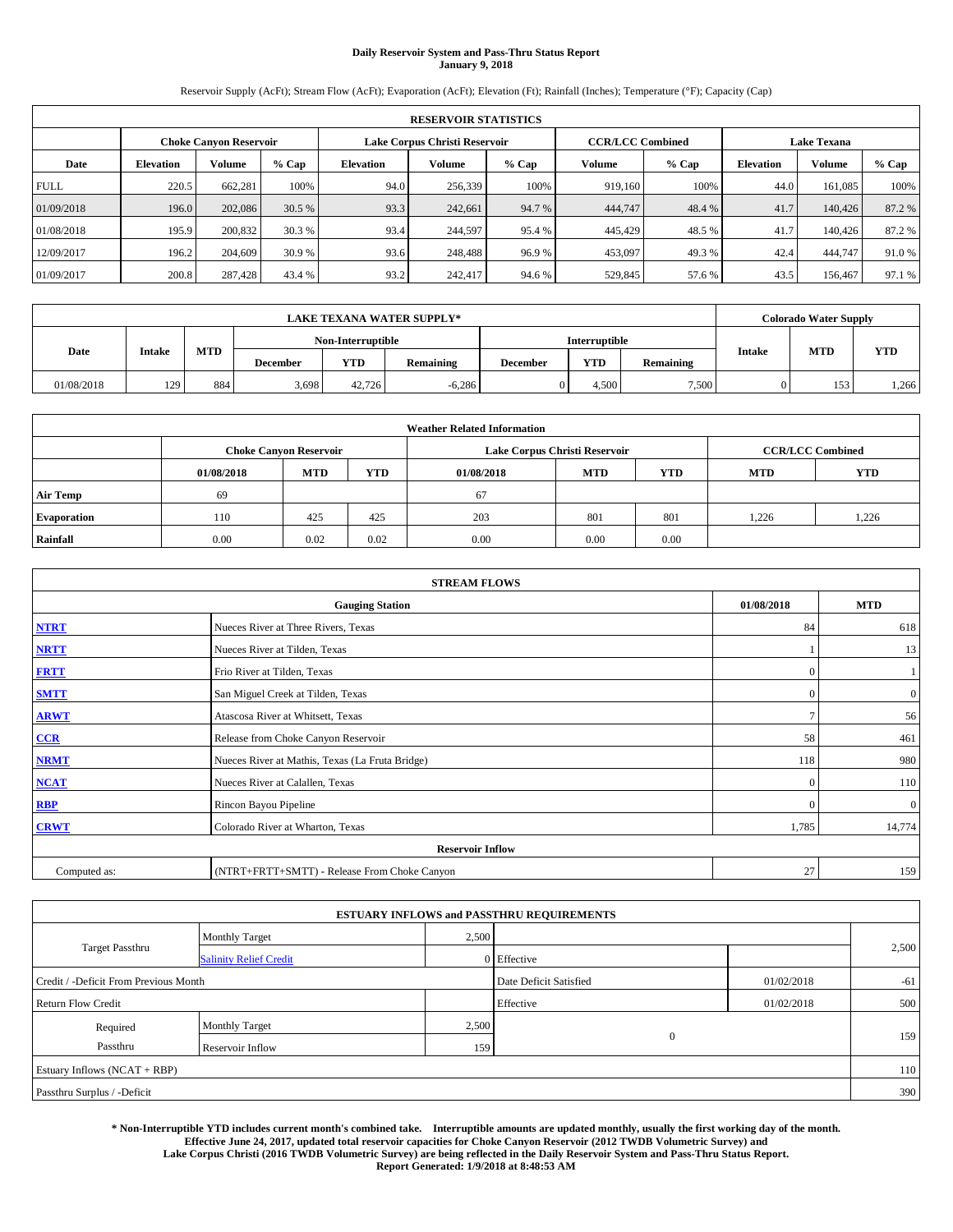# **Daily Reservoir System and Pass-Thru Status Report January 9, 2018**

Reservoir Supply (AcFt); Stream Flow (AcFt); Evaporation (AcFt); Elevation (Ft); Rainfall (Inches); Temperature (°F); Capacity (Cap)

|             | <b>RESERVOIR STATISTICS</b> |                        |        |                               |         |         |                         |         |                    |         |        |  |  |  |
|-------------|-----------------------------|------------------------|--------|-------------------------------|---------|---------|-------------------------|---------|--------------------|---------|--------|--|--|--|
|             |                             | Choke Canvon Reservoir |        | Lake Corpus Christi Reservoir |         |         | <b>CCR/LCC Combined</b> |         | <b>Lake Texana</b> |         |        |  |  |  |
| Date        | <b>Elevation</b>            | Volume                 | % Cap  | Elevation                     | Volume  | $%$ Cap | Volume                  | $%$ Cap | <b>Elevation</b>   | Volume  | % Cap  |  |  |  |
| <b>FULL</b> | 220.5                       | 662.281                | 100%   | 94.0                          | 256,339 | 100%    | 919.160                 | 100%    | 44.0               | 161.085 | 100%   |  |  |  |
| 01/09/2018  | 196.0                       | 202,086                | 30.5 % | 93.3                          | 242,661 | 94.7 %  | 444,747                 | 48.4 %  | 41.7               | 140,426 | 87.2%  |  |  |  |
| 01/08/2018  | 195.9                       | 200,832                | 30.3 % | 93.4                          | 244.597 | 95.4 %  | 445,429                 | 48.5 %  | 41.7               | 140,426 | 87.2 % |  |  |  |
| 12/09/2017  | 196.2                       | 204,609                | 30.9 % | 93.6                          | 248,488 | 96.9%   | 453,097                 | 49.3 %  | 42.4               | 444,747 | 91.0%  |  |  |  |
| 01/09/2017  | 200.8                       | 287,428                | 43.4 % | 93.2                          | 242,417 | 94.6%   | 529,845                 | 57.6 %  | 43.5               | 156,467 | 97.1 % |  |  |  |

|            | <b>LAKE TEXANA WATER SUPPLY*</b> |            |                   |            |                  |          |                      |           |               | <b>Colorado Water Supply</b> |            |  |
|------------|----------------------------------|------------|-------------------|------------|------------------|----------|----------------------|-----------|---------------|------------------------------|------------|--|
|            | <b>Intake</b>                    | <b>MTD</b> | Non-Interruptible |            |                  |          | <b>Interruptible</b> |           |               |                              |            |  |
| Date       |                                  |            | <b>December</b>   | <b>YTD</b> | <b>Remaining</b> | December | <b>YTD</b>           | Remaining | <b>Intake</b> | <b>MTD</b>                   | <b>YTD</b> |  |
| 01/08/2018 | 129                              | 884 l      | 3,698             | 42.726     | $-6,286$         |          | 4.500                | 7,500     |               | 153                          | 1,266      |  |

| <b>Weather Related Information</b> |            |                                                                                         |      |      |                               |                         |      |       |  |  |  |
|------------------------------------|------------|-----------------------------------------------------------------------------------------|------|------|-------------------------------|-------------------------|------|-------|--|--|--|
|                                    |            | <b>Choke Canyon Reservoir</b>                                                           |      |      | Lake Corpus Christi Reservoir | <b>CCR/LCC Combined</b> |      |       |  |  |  |
|                                    | 01/08/2018 | <b>MTD</b><br>YTD<br><b>MTD</b><br><b>YTD</b><br><b>YTD</b><br><b>MTD</b><br>01/08/2018 |      |      |                               |                         |      |       |  |  |  |
| <b>Air Temp</b>                    | 69         |                                                                                         |      | 67   |                               |                         |      |       |  |  |  |
| <b>Evaporation</b>                 | 110        | 425                                                                                     | 425  | 203  | 801                           | 801                     | .226 | 1,226 |  |  |  |
| Rainfall                           | 0.00       | 0.02                                                                                    | 0.02 | 0.00 | 0.00                          | 0.00                    |      |       |  |  |  |

| <b>STREAM FLOWS</b> |                                                 |               |              |  |  |  |  |  |  |
|---------------------|-------------------------------------------------|---------------|--------------|--|--|--|--|--|--|
|                     | <b>Gauging Station</b>                          | 01/08/2018    | <b>MTD</b>   |  |  |  |  |  |  |
| <b>NTRT</b>         | Nueces River at Three Rivers, Texas             | 84            | 618          |  |  |  |  |  |  |
| <b>NRTT</b>         | Nueces River at Tilden, Texas                   |               | 13           |  |  |  |  |  |  |
| <b>FRTT</b>         | Frio River at Tilden, Texas                     | $\mathbf{0}$  |              |  |  |  |  |  |  |
| <b>SMTT</b>         | San Miguel Creek at Tilden, Texas               | $\mathbf{0}$  | $\mathbf{0}$ |  |  |  |  |  |  |
| <b>ARWT</b>         | Atascosa River at Whitsett, Texas               | $\mathcal{I}$ | 56           |  |  |  |  |  |  |
| $CCR$               | Release from Choke Canyon Reservoir             | 58            | 461          |  |  |  |  |  |  |
| <b>NRMT</b>         | Nueces River at Mathis, Texas (La Fruta Bridge) | 118           | 980          |  |  |  |  |  |  |
| <b>NCAT</b>         | Nueces River at Calallen, Texas                 | $\Omega$      | 110          |  |  |  |  |  |  |
| RBP                 | Rincon Bayou Pipeline                           | $\Omega$      | $\mathbf{0}$ |  |  |  |  |  |  |
| <b>CRWT</b>         | Colorado River at Wharton, Texas                | 1,785         | 14,774       |  |  |  |  |  |  |
|                     | <b>Reservoir Inflow</b>                         |               |              |  |  |  |  |  |  |
| Computed as:        | (NTRT+FRTT+SMTT) - Release From Choke Canyon    | 27            | 159          |  |  |  |  |  |  |

|                                       |                               |       | <b>ESTUARY INFLOWS and PASSTHRU REQUIREMENTS</b> |            |       |
|---------------------------------------|-------------------------------|-------|--------------------------------------------------|------------|-------|
|                                       | <b>Monthly Target</b>         | 2,500 |                                                  |            |       |
| <b>Target Passthru</b>                | <b>Salinity Relief Credit</b> |       | 0 Effective                                      |            | 2,500 |
| Credit / -Deficit From Previous Month |                               |       | Date Deficit Satisfied                           | 01/02/2018 | $-61$ |
| <b>Return Flow Credit</b>             |                               |       | Effective                                        | 01/02/2018 | 500   |
| Required                              | <b>Monthly Target</b>         | 2,500 |                                                  |            |       |
| Passthru                              | Reservoir Inflow              | 159   | $\mathbf{0}$                                     |            | 159   |
| Estuary Inflows (NCAT + RBP)          |                               |       |                                                  |            | 110   |
| Passthru Surplus / -Deficit           |                               |       |                                                  |            | 390   |

**\* Non-Interruptible YTD includes current month's combined take. Interruptible amounts are updated monthly, usually the first working day of the month. Effective June 24, 2017, updated total reservoir capacities for Choke Canyon Reservoir (2012 TWDB Volumetric Survey) and Lake Corpus Christi (2016 TWDB Volumetric Survey) are being reflected in the Daily Reservoir System and Pass-Thru Status Report. Report Generated: 1/9/2018 at 8:48:53 AM**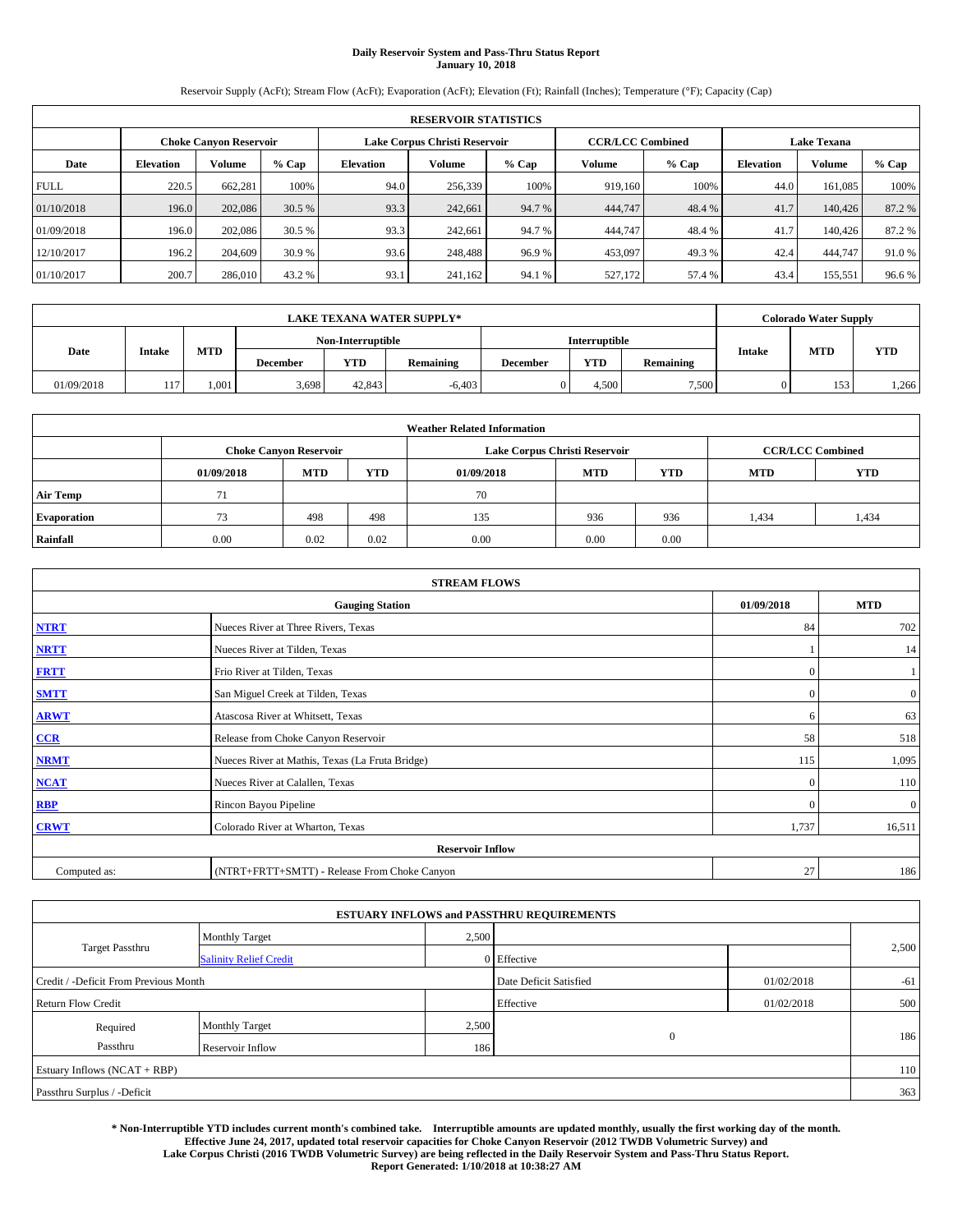# **Daily Reservoir System and Pass-Thru Status Report January 10, 2018**

Reservoir Supply (AcFt); Stream Flow (AcFt); Evaporation (AcFt); Elevation (Ft); Rainfall (Inches); Temperature (°F); Capacity (Cap)

|             | <b>RESERVOIR STATISTICS</b> |                               |        |                               |         |         |                         |         |                    |         |        |  |  |  |
|-------------|-----------------------------|-------------------------------|--------|-------------------------------|---------|---------|-------------------------|---------|--------------------|---------|--------|--|--|--|
|             |                             | <b>Choke Canvon Reservoir</b> |        | Lake Corpus Christi Reservoir |         |         | <b>CCR/LCC Combined</b> |         | <b>Lake Texana</b> |         |        |  |  |  |
| Date        | <b>Elevation</b>            | <b>Volume</b>                 | % Cap  | Elevation                     | Volume  | $%$ Cap | Volume                  | $%$ Cap | <b>Elevation</b>   | Volume  | % Cap  |  |  |  |
| <b>FULL</b> | 220.5                       | 662.281                       | 100%   | 94.0                          | 256,339 | 100%    | 919,160                 | 100%    | 44.0               | 161.085 | 100%   |  |  |  |
| 01/10/2018  | 196.0                       | 202,086                       | 30.5 % | 93.3                          | 242,661 | 94.7 %  | 444,747                 | 48.4 %  | 41.7               | 140,426 | 87.2 % |  |  |  |
| 01/09/2018  | 196.0                       | 202,086                       | 30.5 % | 93.3                          | 242,661 | 94.7 %  | 444,747                 | 48.4 %  | 41.7               | 140,426 | 87.2 % |  |  |  |
| 12/10/2017  | 196.2                       | 204,609                       | 30.9 % | 93.6                          | 248,488 | 96.9%   | 453,097                 | 49.3 %  | 42.4               | 444,747 | 91.0%  |  |  |  |
| 01/10/2017  | 200.7                       | 286,010                       | 43.2 % | 93.1                          | 241,162 | 94.1 %  | 527,172                 | 57.4 %  | 43.4               | 155,551 | 96.6%  |  |  |  |

|            | LAKE TEXANA WATER SUPPLY* |                                           |                 |            |           |                 |            |                  |               | <b>Colorado Water Supply</b> |            |
|------------|---------------------------|-------------------------------------------|-----------------|------------|-----------|-----------------|------------|------------------|---------------|------------------------------|------------|
|            |                           | Non-Interruptible<br><b>Interruptible</b> |                 |            |           |                 |            |                  |               |                              |            |
| Date       | <b>Intake</b>             | <b>MTD</b>                                | <b>December</b> | <b>YTD</b> | Remaining | <b>December</b> | <b>YTD</b> | <b>Remaining</b> | <b>Intake</b> | <b>MTD</b>                   | <b>YTD</b> |
| 01/09/2018 | 117                       | 1.001                                     | 3,698           | 42,843     | $-6.403$  |                 | 4.500      | 7,500            |               | 153                          | 1,266      |

| <b>Weather Related Information</b> |            |                               |      |            |                               |                         |            |            |  |  |  |
|------------------------------------|------------|-------------------------------|------|------------|-------------------------------|-------------------------|------------|------------|--|--|--|
|                                    |            | <b>Choke Canyon Reservoir</b> |      |            | Lake Corpus Christi Reservoir | <b>CCR/LCC Combined</b> |            |            |  |  |  |
|                                    | 01/09/2018 | <b>MTD</b>                    | YTD  | 01/09/2018 | <b>MTD</b>                    | <b>YTD</b>              | <b>MTD</b> | <b>YTD</b> |  |  |  |
| <b>Air Temp</b>                    | 71         |                               |      | 70         |                               |                         |            |            |  |  |  |
| <b>Evaporation</b>                 | 73.        | 498                           | 498  | 135        | 936                           | 936                     | 1,434      | 1,434      |  |  |  |
| Rainfall                           | 0.00       | 0.02                          | 0.02 | 0.00       | 0.00                          | 0.00                    |            |            |  |  |  |

| <b>STREAM FLOWS</b> |                                                 |              |                |  |  |  |  |  |  |
|---------------------|-------------------------------------------------|--------------|----------------|--|--|--|--|--|--|
|                     | <b>Gauging Station</b>                          |              |                |  |  |  |  |  |  |
| <b>NTRT</b>         | Nueces River at Three Rivers, Texas             | 84           | 702            |  |  |  |  |  |  |
| <b>NRTT</b>         | Nueces River at Tilden, Texas                   |              | 14             |  |  |  |  |  |  |
| <b>FRTT</b>         | Frio River at Tilden, Texas                     | $\mathbf{0}$ |                |  |  |  |  |  |  |
| <b>SMTT</b>         | San Miguel Creek at Tilden, Texas               | $\mathbf{0}$ | $\overline{0}$ |  |  |  |  |  |  |
| <b>ARWT</b>         | Atascosa River at Whitsett, Texas               | 6            | 63             |  |  |  |  |  |  |
| $CCR$               | Release from Choke Canyon Reservoir             | 58           | 518            |  |  |  |  |  |  |
| <b>NRMT</b>         | Nueces River at Mathis, Texas (La Fruta Bridge) | 115          | 1,095          |  |  |  |  |  |  |
| <b>NCAT</b>         | Nueces River at Calallen, Texas                 | $\mathbf{0}$ | 110            |  |  |  |  |  |  |
| RBP                 | Rincon Bayou Pipeline                           | $\Omega$     | $\mathbf{0}$   |  |  |  |  |  |  |
| <b>CRWT</b>         | Colorado River at Wharton, Texas                | 1,737        | 16,511         |  |  |  |  |  |  |
|                     | <b>Reservoir Inflow</b>                         |              |                |  |  |  |  |  |  |
| Computed as:        | (NTRT+FRTT+SMTT) - Release From Choke Canyon    | 27           | 186            |  |  |  |  |  |  |

|                                       |                               |       | <b>ESTUARY INFLOWS and PASSTHRU REQUIREMENTS</b> |            |       |
|---------------------------------------|-------------------------------|-------|--------------------------------------------------|------------|-------|
|                                       | <b>Monthly Target</b>         | 2,500 |                                                  |            |       |
| Target Passthru                       | <b>Salinity Relief Credit</b> |       | 0 Effective                                      |            | 2,500 |
| Credit / -Deficit From Previous Month |                               |       | Date Deficit Satisfied                           | 01/02/2018 | $-61$ |
| <b>Return Flow Credit</b>             |                               |       | Effective                                        | 01/02/2018 | 500   |
| Required                              | <b>Monthly Target</b>         | 2,500 |                                                  |            |       |
| Passthru                              | <b>Reservoir Inflow</b>       | 186   | $\mathbf{0}$                                     |            | 186   |
| Estuary Inflows (NCAT + RBP)          |                               |       |                                                  |            | 110   |
| Passthru Surplus / -Deficit           |                               |       |                                                  |            | 363   |

**\* Non-Interruptible YTD includes current month's combined take. Interruptible amounts are updated monthly, usually the first working day of the month. Effective June 24, 2017, updated total reservoir capacities for Choke Canyon Reservoir (2012 TWDB Volumetric Survey) and Lake Corpus Christi (2016 TWDB Volumetric Survey) are being reflected in the Daily Reservoir System and Pass-Thru Status Report. Report Generated: 1/10/2018 at 10:38:27 AM**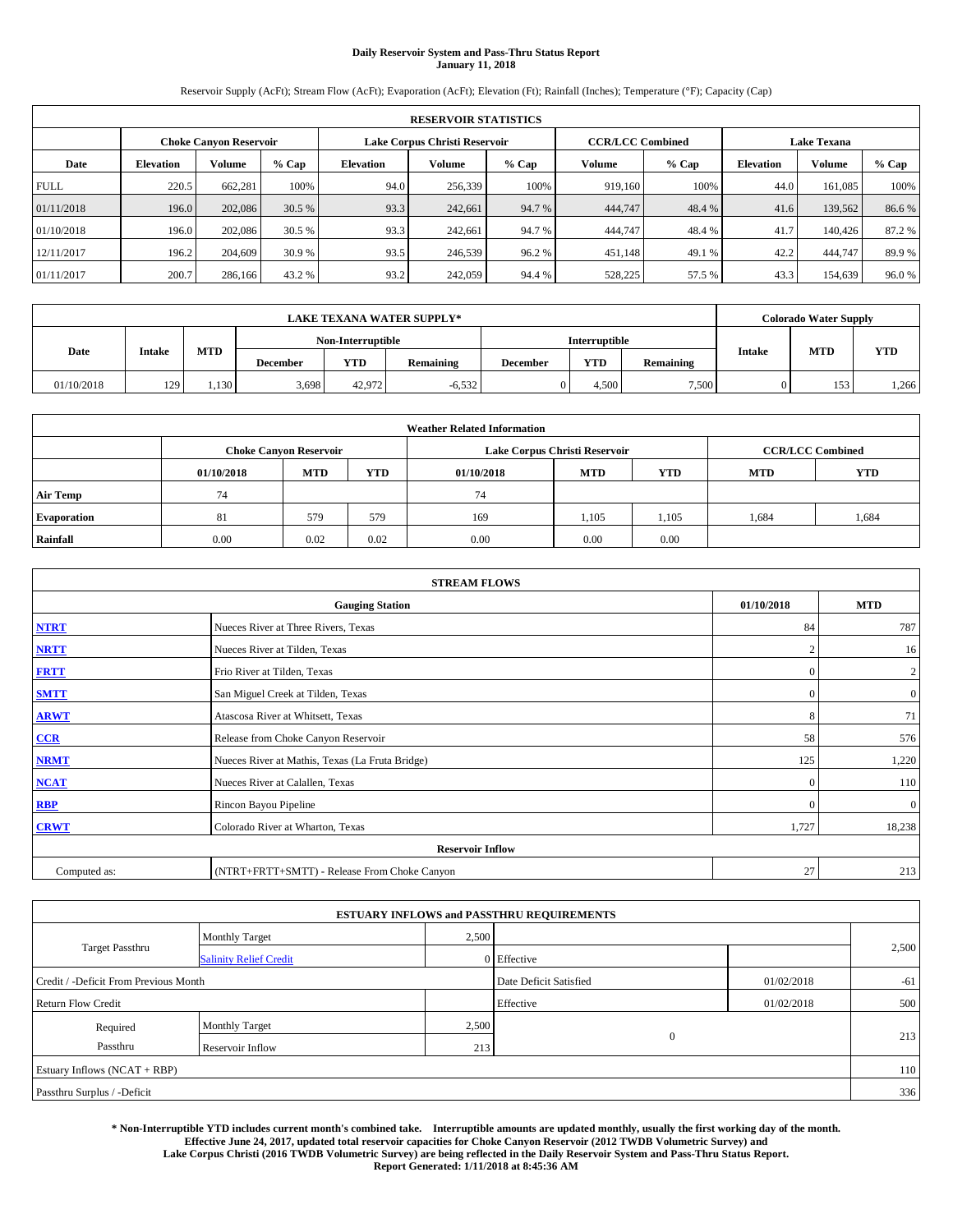# **Daily Reservoir System and Pass-Thru Status Report January 11, 2018**

Reservoir Supply (AcFt); Stream Flow (AcFt); Evaporation (AcFt); Elevation (Ft); Rainfall (Inches); Temperature (°F); Capacity (Cap)

|             | <b>RESERVOIR STATISTICS</b>   |               |        |                  |                               |        |                         |         |                    |               |        |  |
|-------------|-------------------------------|---------------|--------|------------------|-------------------------------|--------|-------------------------|---------|--------------------|---------------|--------|--|
|             | <b>Choke Canvon Reservoir</b> |               |        |                  | Lake Corpus Christi Reservoir |        | <b>CCR/LCC Combined</b> |         | <b>Lake Texana</b> |               |        |  |
| Date        | <b>Elevation</b>              | <b>Volume</b> | % Cap  | <b>Elevation</b> | Volume                        | % Cap  | Volume                  | $%$ Cap | <b>Elevation</b>   | <b>Volume</b> | % Cap  |  |
| <b>FULL</b> | 220.5                         | 662.281       | 100%   | 94.0             | 256,339                       | 100%   | 919.160                 | 100%    | 44.0               | 161,085       | 100%   |  |
| 01/11/2018  | 196.0                         | 202,086       | 30.5 % | 93.3             | 242,661                       | 94.7 % | 444,747                 | 48.4 %  | 41.6               | 139.562       | 86.6%  |  |
| 01/10/2018  | 196.0                         | 202,086       | 30.5 % | 93.3             | 242,661                       | 94.7 % | 444,747                 | 48.4 %  | 41.7               | 140,426       | 87.2 % |  |
| 12/11/2017  | 196.2                         | 204,609       | 30.9 % | 93.5             | 246,539                       | 96.2 % | 451,148                 | 49.1 %  | 42.2               | 444,747       | 89.9%  |  |
| 01/11/2017  | 200.7                         | 286,166       | 43.2 % | 93.2             | 242,059                       | 94.4 % | 528,225                 | 57.5 %  | 43.3               | 154,639       | 96.0%  |  |

| <b>LAKE TEXANA WATER SUPPLY*</b> |               |            |                 |                                    |           |                 |            | <b>Colorado Water Supply</b> |               |            |            |
|----------------------------------|---------------|------------|-----------------|------------------------------------|-----------|-----------------|------------|------------------------------|---------------|------------|------------|
|                                  |               |            |                 | Non-Interruptible<br>Interruptible |           |                 |            |                              |               |            |            |
| Date                             | <b>Intake</b> | <b>MTD</b> | <b>December</b> | <b>YTD</b>                         | Remaining | <b>December</b> | <b>YTD</b> | Remaining                    | <b>Intake</b> | <b>MTD</b> | <b>YTD</b> |
| 01/10/2018                       | 129           | $.130 -$   | 3,698           | 42,972                             | $-6,532$  |                 | 4,500      | 7,500                        |               | 153        | 1,266      |

| <b>Weather Related Information</b> |            |                               |      |            |                               |                         |            |            |  |  |  |
|------------------------------------|------------|-------------------------------|------|------------|-------------------------------|-------------------------|------------|------------|--|--|--|
|                                    |            | <b>Choke Canvon Reservoir</b> |      |            | Lake Corpus Christi Reservoir | <b>CCR/LCC Combined</b> |            |            |  |  |  |
|                                    | 01/10/2018 | <b>MTD</b>                    | YTD  | 01/10/2018 | <b>MTD</b>                    | <b>YTD</b>              | <b>MTD</b> | <b>YTD</b> |  |  |  |
| <b>Air Temp</b>                    | 74         |                               |      | 74         |                               |                         |            |            |  |  |  |
| <b>Evaporation</b>                 | 81         | 579                           | 579  | 169        | 1,105                         | 1,105                   | 1,684      | 1,684      |  |  |  |
| Rainfall                           | 0.00       | 0.02                          | 0.02 | 0.00       | 0.00                          | 0.00                    |            |            |  |  |  |

| <b>STREAM FLOWS</b> |                                                 |                |                  |  |  |  |  |  |  |
|---------------------|-------------------------------------------------|----------------|------------------|--|--|--|--|--|--|
|                     | <b>Gauging Station</b>                          |                |                  |  |  |  |  |  |  |
| <b>NTRT</b>         | Nueces River at Three Rivers, Texas             | 84             | 787              |  |  |  |  |  |  |
| <b>NRTT</b>         | Nueces River at Tilden, Texas                   | $\overline{2}$ | 16               |  |  |  |  |  |  |
| <b>FRTT</b>         | Frio River at Tilden, Texas                     | $\mathbf{0}$   | $\boldsymbol{2}$ |  |  |  |  |  |  |
| <b>SMTT</b>         | San Miguel Creek at Tilden, Texas               | $\mathbf{0}$   | $\overline{0}$   |  |  |  |  |  |  |
| <b>ARWT</b>         | Atascosa River at Whitsett, Texas               | 8              | 71               |  |  |  |  |  |  |
| CCR                 | Release from Choke Canyon Reservoir             | 58             | 576              |  |  |  |  |  |  |
| <b>NRMT</b>         | Nueces River at Mathis, Texas (La Fruta Bridge) | 125            | 1,220            |  |  |  |  |  |  |
| <b>NCAT</b>         | Nueces River at Calallen, Texas                 | $\Omega$       | 110              |  |  |  |  |  |  |
| <b>RBP</b>          | Rincon Bayou Pipeline                           | $\Omega$       | $\mathbf{0}$     |  |  |  |  |  |  |
| <b>CRWT</b>         | Colorado River at Wharton, Texas                | 1,727          | 18,238           |  |  |  |  |  |  |
|                     | <b>Reservoir Inflow</b>                         |                |                  |  |  |  |  |  |  |
| Computed as:        | (NTRT+FRTT+SMTT) - Release From Choke Canyon    | 27             | 213              |  |  |  |  |  |  |

|                                       |                               |       | <b>ESTUARY INFLOWS and PASSTHRU REQUIREMENTS</b> |            |       |
|---------------------------------------|-------------------------------|-------|--------------------------------------------------|------------|-------|
|                                       | <b>Monthly Target</b>         | 2,500 |                                                  |            |       |
| <b>Target Passthru</b>                | <b>Salinity Relief Credit</b> |       | 0 Effective                                      |            | 2,500 |
| Credit / -Deficit From Previous Month |                               |       | Date Deficit Satisfied                           | 01/02/2018 | $-61$ |
| <b>Return Flow Credit</b>             |                               |       | Effective                                        | 01/02/2018 | 500   |
| Required                              | <b>Monthly Target</b>         | 2,500 |                                                  |            |       |
| Passthru                              | Reservoir Inflow              | 213   | $\theta$                                         |            | 213   |
| Estuary Inflows (NCAT + RBP)          |                               |       |                                                  |            | 110   |
| Passthru Surplus / -Deficit           |                               |       |                                                  |            | 336   |

**\* Non-Interruptible YTD includes current month's combined take. Interruptible amounts are updated monthly, usually the first working day of the month. Effective June 24, 2017, updated total reservoir capacities for Choke Canyon Reservoir (2012 TWDB Volumetric Survey) and Lake Corpus Christi (2016 TWDB Volumetric Survey) are being reflected in the Daily Reservoir System and Pass-Thru Status Report. Report Generated: 1/11/2018 at 8:45:36 AM**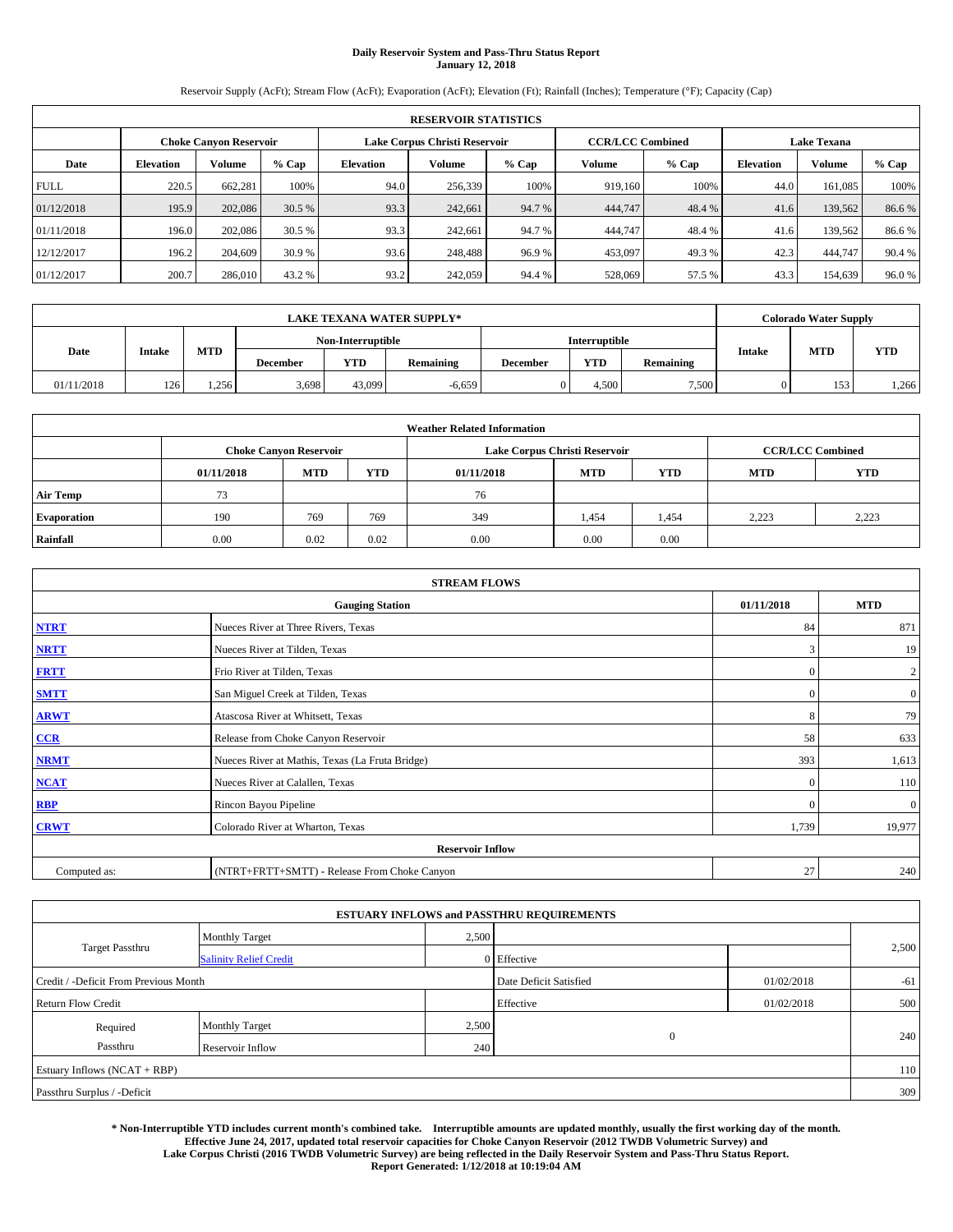# **Daily Reservoir System and Pass-Thru Status Report January 12, 2018**

Reservoir Supply (AcFt); Stream Flow (AcFt); Evaporation (AcFt); Elevation (Ft); Rainfall (Inches); Temperature (°F); Capacity (Cap)

|             | <b>RESERVOIR STATISTICS</b>   |               |        |                  |                               |         |                         |         |                    |         |        |  |
|-------------|-------------------------------|---------------|--------|------------------|-------------------------------|---------|-------------------------|---------|--------------------|---------|--------|--|
|             | <b>Choke Canyon Reservoir</b> |               |        |                  | Lake Corpus Christi Reservoir |         | <b>CCR/LCC Combined</b> |         | <b>Lake Texana</b> |         |        |  |
| Date        | <b>Elevation</b>              | <b>Volume</b> | % Cap  | <b>Elevation</b> | Volume                        | $%$ Cap | Volume                  | $%$ Cap | <b>Elevation</b>   | Volume  | % Cap  |  |
| <b>FULL</b> | 220.5                         | 662.281       | 100%   | 94.0             | 256,339                       | 100%    | 919.160                 | 100%    | 44.0               | 161.085 | 100%   |  |
| 01/12/2018  | 195.9                         | 202,086       | 30.5 % | 93.3             | 242,661                       | 94.7 %  | 444,747                 | 48.4 %  | 41.6               | 139.562 | 86.6%  |  |
| 01/11/2018  | 196.0                         | 202,086       | 30.5 % | 93.3             | 242,661                       | 94.7 %  | 444,747                 | 48.4 %  | 41.6               | 139,562 | 86.6%  |  |
| 12/12/2017  | 196.2                         | 204,609       | 30.9 % | 93.6             | 248,488                       | 96.9%   | 453,097                 | 49.3 %  | 42.3               | 444,747 | 90.4 % |  |
| 01/12/2017  | 200.7                         | 286,010       | 43.2 % | 93.2             | 242,059                       | 94.4 %  | 528,069                 | 57.5 %  | 43.3               | 154,639 | 96.0%  |  |

| <b>LAKE TEXANA WATER SUPPLY*</b> |               |            |                 |                                    |           |                 |            | <b>Colorado Water Supply</b> |               |            |            |
|----------------------------------|---------------|------------|-----------------|------------------------------------|-----------|-----------------|------------|------------------------------|---------------|------------|------------|
|                                  |               |            |                 | Non-Interruptible<br>Interruptible |           |                 |            |                              |               |            |            |
| Date                             | <b>Intake</b> | <b>MTD</b> | <b>December</b> | <b>YTD</b>                         | Remaining | <b>December</b> | <b>YTD</b> | Remaining                    | <b>Intake</b> | <b>MTD</b> | <b>YTD</b> |
| 01/11/2018                       | 126           | .256       | 3,698           | 43,099                             | $-6,659$  |                 | 4,500      | 7,500                        |               | 153        | 1,266      |

| <b>Weather Related Information</b> |            |                               |      |            |                               |                         |            |            |  |  |  |
|------------------------------------|------------|-------------------------------|------|------------|-------------------------------|-------------------------|------------|------------|--|--|--|
|                                    |            | <b>Choke Canyon Reservoir</b> |      |            | Lake Corpus Christi Reservoir | <b>CCR/LCC Combined</b> |            |            |  |  |  |
|                                    | 01/11/2018 | <b>MTD</b>                    | YTD  | 01/11/2018 | <b>MTD</b>                    | <b>YTD</b>              | <b>MTD</b> | <b>YTD</b> |  |  |  |
| <b>Air Temp</b>                    | 73         |                               |      | 76         |                               |                         |            |            |  |  |  |
| <b>Evaporation</b>                 | 190        | 769                           | 769  | 349        | 1,454                         | 1,454                   | 2.223      | 2,223      |  |  |  |
| Rainfall                           | 0.00       | 0.02                          | 0.02 | 0.00       | 0.00                          | 0.00                    |            |            |  |  |  |

| <b>STREAM FLOWS</b> |                                                 |              |                  |  |  |  |  |  |  |
|---------------------|-------------------------------------------------|--------------|------------------|--|--|--|--|--|--|
|                     | <b>Gauging Station</b>                          |              |                  |  |  |  |  |  |  |
| <b>NTRT</b>         | Nueces River at Three Rivers, Texas             | 84           | 871              |  |  |  |  |  |  |
| <b>NRTT</b>         | Nueces River at Tilden, Texas                   | 3            | 19               |  |  |  |  |  |  |
| <b>FRTT</b>         | Frio River at Tilden, Texas                     | $\mathbf{0}$ | $\boldsymbol{2}$ |  |  |  |  |  |  |
| <b>SMTT</b>         | San Miguel Creek at Tilden, Texas               | $\mathbf{0}$ | $\mathbf{0}$     |  |  |  |  |  |  |
| <b>ARWT</b>         | Atascosa River at Whitsett, Texas               | 8            | 79               |  |  |  |  |  |  |
| $CCR$               | Release from Choke Canyon Reservoir             | 58           | 633              |  |  |  |  |  |  |
| <b>NRMT</b>         | Nueces River at Mathis, Texas (La Fruta Bridge) | 393          | 1,613            |  |  |  |  |  |  |
| <b>NCAT</b>         | Nueces River at Calallen, Texas                 | $\Omega$     | 110              |  |  |  |  |  |  |
| RBP                 | Rincon Bayou Pipeline                           | $\Omega$     | $\mathbf{0}$     |  |  |  |  |  |  |
| <b>CRWT</b>         | Colorado River at Wharton, Texas                | 1,739        | 19,977           |  |  |  |  |  |  |
|                     | <b>Reservoir Inflow</b>                         |              |                  |  |  |  |  |  |  |
| Computed as:        | (NTRT+FRTT+SMTT) - Release From Choke Canyon    | 27           | 240              |  |  |  |  |  |  |

|                                       |                               |       | <b>ESTUARY INFLOWS and PASSTHRU REQUIREMENTS</b> |            |       |
|---------------------------------------|-------------------------------|-------|--------------------------------------------------|------------|-------|
|                                       | <b>Monthly Target</b>         | 2,500 |                                                  |            |       |
| <b>Target Passthru</b>                | <b>Salinity Relief Credit</b> |       | 0 Effective                                      |            | 2,500 |
| Credit / -Deficit From Previous Month |                               |       | Date Deficit Satisfied                           | 01/02/2018 | $-61$ |
| <b>Return Flow Credit</b>             |                               |       | Effective                                        | 01/02/2018 | 500   |
| Required                              | <b>Monthly Target</b>         | 2,500 |                                                  |            |       |
| Passthru                              | Reservoir Inflow              | 240   | $\mathbf{0}$                                     |            | 240   |
| Estuary Inflows (NCAT + RBP)          |                               |       |                                                  |            | 110   |
| Passthru Surplus / -Deficit           |                               |       |                                                  |            | 309   |

**\* Non-Interruptible YTD includes current month's combined take. Interruptible amounts are updated monthly, usually the first working day of the month. Effective June 24, 2017, updated total reservoir capacities for Choke Canyon Reservoir (2012 TWDB Volumetric Survey) and Lake Corpus Christi (2016 TWDB Volumetric Survey) are being reflected in the Daily Reservoir System and Pass-Thru Status Report. Report Generated: 1/12/2018 at 10:19:04 AM**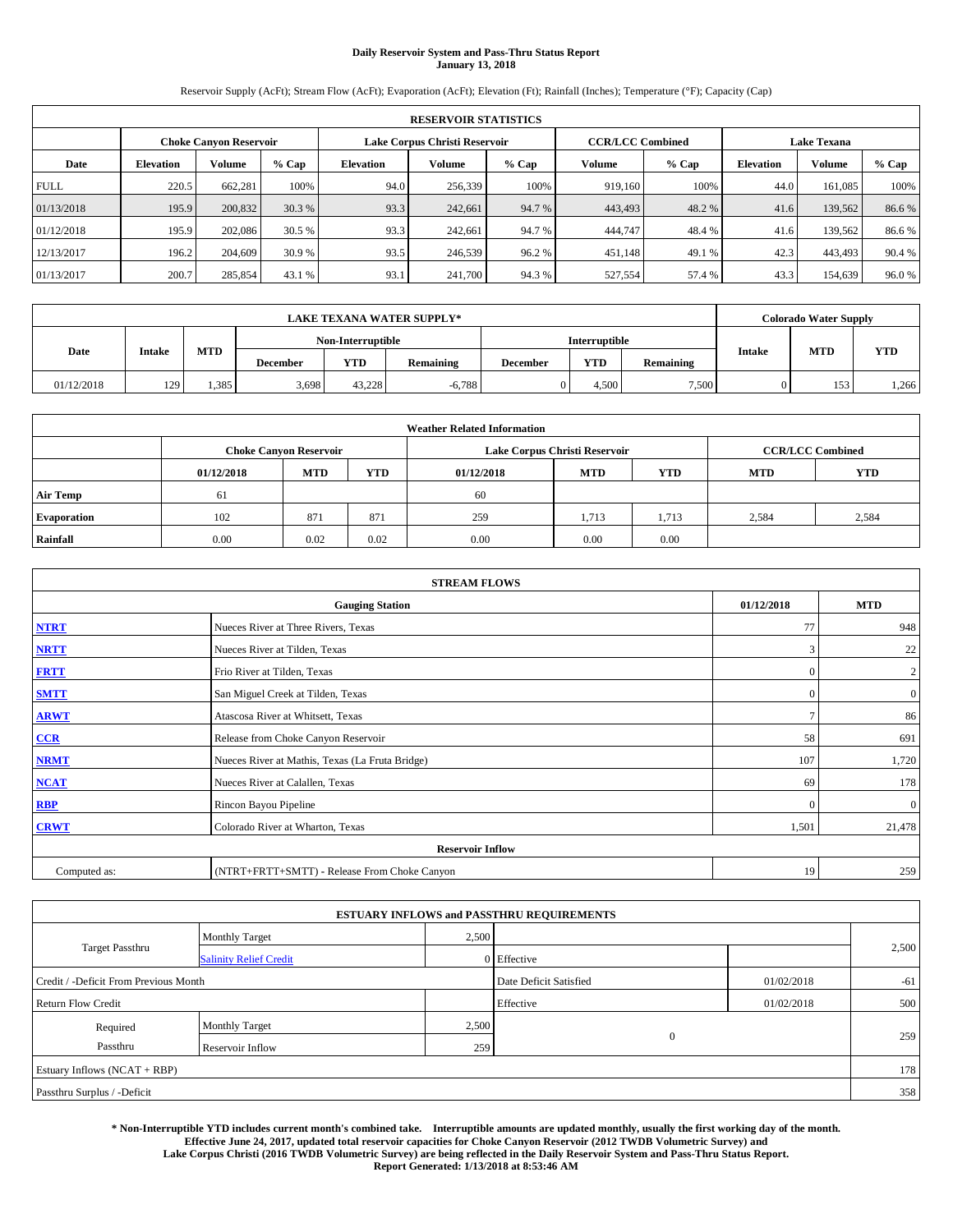# **Daily Reservoir System and Pass-Thru Status Report January 13, 2018**

Reservoir Supply (AcFt); Stream Flow (AcFt); Evaporation (AcFt); Elevation (Ft); Rainfall (Inches); Temperature (°F); Capacity (Cap)

|             | <b>RESERVOIR STATISTICS</b>   |               |        |                               |         |         |                         |         |                    |         |       |
|-------------|-------------------------------|---------------|--------|-------------------------------|---------|---------|-------------------------|---------|--------------------|---------|-------|
|             | <b>Choke Canvon Reservoir</b> |               |        | Lake Corpus Christi Reservoir |         |         | <b>CCR/LCC Combined</b> |         | <b>Lake Texana</b> |         |       |
| Date        | <b>Elevation</b>              | <b>Volume</b> | % Cap  | <b>Elevation</b>              | Volume  | $%$ Cap | Volume                  | $%$ Cap | <b>Elevation</b>   | Volume  | % Cap |
| <b>FULL</b> | 220.5                         | 662.281       | 100%   | 94.0                          | 256,339 | 100%    | 919,160                 | 100%    | 44.0               | 161.085 | 100%  |
| 01/13/2018  | 195.9                         | 200,832       | 30.3 % | 93.3                          | 242,661 | 94.7 %  | 443,493                 | 48.2 %  | 41.6               | 139.562 | 86.6% |
| 01/12/2018  | 195.9                         | 202,086       | 30.5 % | 93.3                          | 242,661 | 94.7 %  | 444,747                 | 48.4 %  | 41.6               | 139.562 | 86.6% |
| 12/13/2017  | 196.2                         | 204,609       | 30.9 % | 93.5                          | 246,539 | 96.2%   | 451,148                 | 49.1 %  | 42.3               | 443,493 | 90.4% |
| 01/13/2017  | 200.7                         | 285,854       | 43.1 % | 93.1                          | 241,700 | 94.3%   | 527,554                 | 57.4 %  | 43.3               | 154,639 | 96.0% |

|            | LAKE TEXANA WATER SUPPLY* |            |                 |                   |           |                 |                      |                  |               |            | <b>Colorado Water Supply</b> |  |  |
|------------|---------------------------|------------|-----------------|-------------------|-----------|-----------------|----------------------|------------------|---------------|------------|------------------------------|--|--|
|            |                           |            |                 | Non-Interruptible |           |                 | <b>Interruptible</b> |                  |               |            |                              |  |  |
| Date       | <b>Intake</b>             | <b>MTD</b> | <b>December</b> | <b>YTD</b>        | Remaining | <b>December</b> | <b>YTD</b>           | <b>Remaining</b> | <b>Intake</b> | <b>MTD</b> | <b>YTD</b>                   |  |  |
| 01/12/2018 | 129                       | 1,385      | 3,698           | 43.228            | $-6,788$  |                 | 4.500                | 7,500            |               | 153        | 1,266                        |  |  |

| <b>Weather Related Information</b> |            |                               |      |            |                               |                         |            |            |  |  |
|------------------------------------|------------|-------------------------------|------|------------|-------------------------------|-------------------------|------------|------------|--|--|
|                                    |            | <b>Choke Canvon Reservoir</b> |      |            | Lake Corpus Christi Reservoir | <b>CCR/LCC Combined</b> |            |            |  |  |
|                                    | 01/12/2018 | <b>MTD</b>                    | YTD  | 01/12/2018 | <b>MTD</b>                    | <b>YTD</b>              | <b>MTD</b> | <b>YTD</b> |  |  |
| <b>Air Temp</b>                    | 61         |                               |      | 60         |                               |                         |            |            |  |  |
| <b>Evaporation</b>                 | 102        | 871                           | 871  | 259        | 1,713                         | 1,713                   | 2,584      | 2,584      |  |  |
| Rainfall                           | 0.00       | 0.02                          | 0.02 | 0.00       | 0.00                          | 0.00                    |            |            |  |  |

|              | <b>STREAM FLOWS</b>                             |               |                |  |  |  |  |  |  |  |
|--------------|-------------------------------------------------|---------------|----------------|--|--|--|--|--|--|--|
|              | <b>Gauging Station</b>                          | 01/12/2018    | <b>MTD</b>     |  |  |  |  |  |  |  |
| <b>NTRT</b>  | Nueces River at Three Rivers, Texas             | 77            | 948            |  |  |  |  |  |  |  |
| <b>NRTT</b>  | Nueces River at Tilden, Texas                   | $\mathcal{R}$ | 22             |  |  |  |  |  |  |  |
| <b>FRTT</b>  | Frio River at Tilden, Texas                     | C             | $\overline{2}$ |  |  |  |  |  |  |  |
| <b>SMTT</b>  | San Miguel Creek at Tilden, Texas               | $\Omega$      | $\overline{0}$ |  |  |  |  |  |  |  |
| <b>ARWT</b>  | Atascosa River at Whitsett, Texas               |               | 86             |  |  |  |  |  |  |  |
| $CCR$        | Release from Choke Canyon Reservoir             | 58            | 691            |  |  |  |  |  |  |  |
| <b>NRMT</b>  | Nueces River at Mathis, Texas (La Fruta Bridge) | 107           | 1,720          |  |  |  |  |  |  |  |
| <b>NCAT</b>  | Nueces River at Calallen, Texas                 | 69            | 178            |  |  |  |  |  |  |  |
| RBP          | Rincon Bayou Pipeline                           | $\Omega$      | $\overline{0}$ |  |  |  |  |  |  |  |
| <b>CRWT</b>  | Colorado River at Wharton, Texas                | 1,501         | 21,478         |  |  |  |  |  |  |  |
|              | <b>Reservoir Inflow</b>                         |               |                |  |  |  |  |  |  |  |
| Computed as: | (NTRT+FRTT+SMTT) - Release From Choke Canyon    | 19            | 259            |  |  |  |  |  |  |  |

|                                       |                               | <b>ESTUARY INFLOWS and PASSTHRU REQUIREMENTS</b> |                        |            |       |  |
|---------------------------------------|-------------------------------|--------------------------------------------------|------------------------|------------|-------|--|
|                                       | <b>Monthly Target</b>         | 2,500                                            |                        |            |       |  |
| <b>Target Passthru</b>                | <b>Salinity Relief Credit</b> |                                                  | 0 Effective            |            | 2,500 |  |
| Credit / -Deficit From Previous Month |                               |                                                  | Date Deficit Satisfied | 01/02/2018 | $-61$ |  |
| <b>Return Flow Credit</b>             |                               |                                                  | Effective              | 01/02/2018 | 500   |  |
| Required                              | <b>Monthly Target</b>         | 2,500                                            |                        |            |       |  |
| Passthru                              | <b>Reservoir Inflow</b>       | 259                                              | $\mathbf{0}$           |            | 259   |  |
| Estuary Inflows (NCAT + RBP)          |                               |                                                  |                        |            | 178   |  |
| Passthru Surplus / -Deficit           |                               |                                                  |                        |            | 358   |  |

**\* Non-Interruptible YTD includes current month's combined take. Interruptible amounts are updated monthly, usually the first working day of the month. Effective June 24, 2017, updated total reservoir capacities for Choke Canyon Reservoir (2012 TWDB Volumetric Survey) and Lake Corpus Christi (2016 TWDB Volumetric Survey) are being reflected in the Daily Reservoir System and Pass-Thru Status Report. Report Generated: 1/13/2018 at 8:53:46 AM**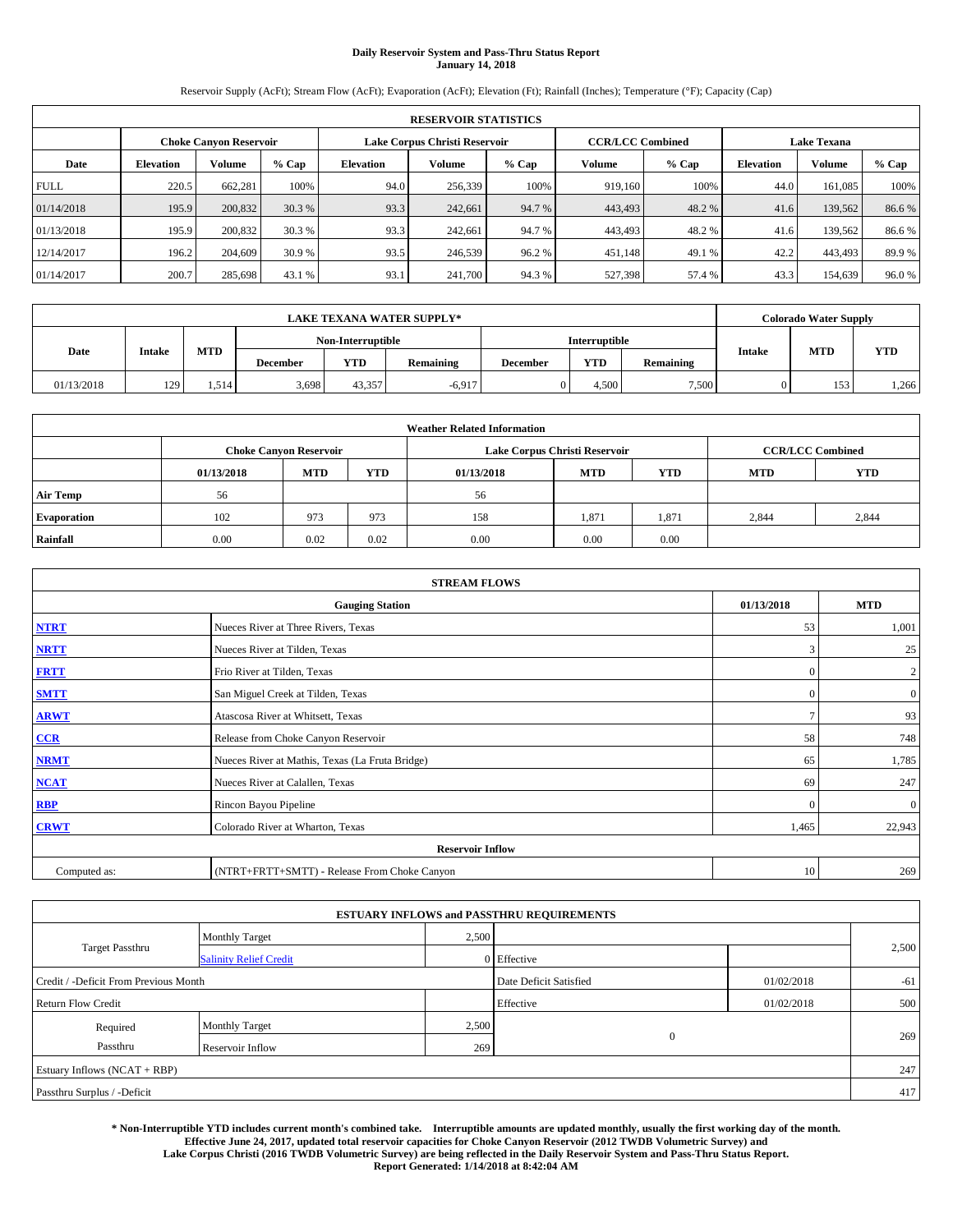# **Daily Reservoir System and Pass-Thru Status Report January 14, 2018**

Reservoir Supply (AcFt); Stream Flow (AcFt); Evaporation (AcFt); Elevation (Ft); Rainfall (Inches); Temperature (°F); Capacity (Cap)

|             | <b>RESERVOIR STATISTICS</b>   |               |        |                               |         |        |                         |         |                    |               |       |
|-------------|-------------------------------|---------------|--------|-------------------------------|---------|--------|-------------------------|---------|--------------------|---------------|-------|
|             | <b>Choke Canyon Reservoir</b> |               |        | Lake Corpus Christi Reservoir |         |        | <b>CCR/LCC Combined</b> |         | <b>Lake Texana</b> |               |       |
| Date        | <b>Elevation</b>              | <b>Volume</b> | % Cap  | <b>Elevation</b>              | Volume  | % Cap  | Volume                  | $%$ Cap | <b>Elevation</b>   | <b>Volume</b> | % Cap |
| <b>FULL</b> | 220.5                         | 662.281       | 100%   | 94.0                          | 256,339 | 100%   | 919.160                 | 100%    | 44.0               | 161,085       | 100%  |
| 01/14/2018  | 195.9                         | 200,832       | 30.3 % | 93.3                          | 242,661 | 94.7 % | 443,493                 | 48.2%   | 41.6               | 139.562       | 86.6% |
| 01/13/2018  | 195.9                         | 200,832       | 30.3 % | 93.3                          | 242,661 | 94.7 % | 443,493                 | 48.2 %  | 41.6               | 139,562       | 86.6% |
| 12/14/2017  | 196.2                         | 204,609       | 30.9 % | 93.5                          | 246,539 | 96.2 % | 451,148                 | 49.1 %  | 42.2               | 443,493       | 89.9% |
| 01/14/2017  | 200.7                         | 285,698       | 43.1 % | 93.1                          | 241,700 | 94.3 % | 527,398                 | 57.4 %  | 43.3               | 154,639       | 96.0% |

|            | <b>LAKE TEXANA WATER SUPPLY*</b> |            |                 |                   |           |                 |               |                  |               | <b>Colorado Water Supply</b> |            |  |
|------------|----------------------------------|------------|-----------------|-------------------|-----------|-----------------|---------------|------------------|---------------|------------------------------|------------|--|
|            |                                  |            |                 | Non-Interruptible |           |                 | Interruptible |                  |               |                              |            |  |
| Date       | <b>Intake</b>                    | <b>MTD</b> | <b>December</b> | <b>YTD</b>        | Remaining | <b>December</b> | <b>YTD</b>    | <b>Remaining</b> | <b>Intake</b> | <b>MTD</b>                   | <b>YTD</b> |  |
| 01/13/2018 | 129                              | . 514      | 5,698           | 43.357            | $-6,917$  |                 | 4.500         | 7,500            |               | 153                          | 1,266      |  |

| <b>Weather Related Information</b> |            |                               |      |            |                               |                                        |       |       |  |  |
|------------------------------------|------------|-------------------------------|------|------------|-------------------------------|----------------------------------------|-------|-------|--|--|
|                                    |            | <b>Choke Canvon Reservoir</b> |      |            | Lake Corpus Christi Reservoir | <b>CCR/LCC Combined</b>                |       |       |  |  |
|                                    | 01/13/2018 | <b>MTD</b>                    | YTD  | 01/13/2018 | <b>MTD</b>                    | <b>YTD</b><br><b>YTD</b><br><b>MTD</b> |       |       |  |  |
| <b>Air Temp</b>                    | 56         |                               |      | 56         |                               |                                        |       |       |  |  |
| <b>Evaporation</b>                 | 102        | 973                           | 973  | 158        | 1,871                         | 1,871                                  | 2.844 | 2,844 |  |  |
| Rainfall                           | 0.00       | 0.02                          | 0.02 | 0.00       | 0.00                          | 0.00                                   |       |       |  |  |

|              | <b>STREAM FLOWS</b>                             |              |                |  |  |  |  |  |  |  |
|--------------|-------------------------------------------------|--------------|----------------|--|--|--|--|--|--|--|
|              | <b>Gauging Station</b>                          | 01/13/2018   | <b>MTD</b>     |  |  |  |  |  |  |  |
| <b>NTRT</b>  | Nueces River at Three Rivers, Texas             | 53           | 1,001          |  |  |  |  |  |  |  |
| <b>NRTT</b>  | Nueces River at Tilden, Texas                   | 3            | 25             |  |  |  |  |  |  |  |
| <b>FRTT</b>  | Frio River at Tilden, Texas                     | $\mathbf{0}$ | $\overline{c}$ |  |  |  |  |  |  |  |
| <b>SMTT</b>  | San Miguel Creek at Tilden, Texas               | $\mathbf{0}$ | $\overline{0}$ |  |  |  |  |  |  |  |
| <b>ARWT</b>  | Atascosa River at Whitsett, Texas               | π            | 93             |  |  |  |  |  |  |  |
| CCR          | Release from Choke Canyon Reservoir             | 58           | 748            |  |  |  |  |  |  |  |
| <b>NRMT</b>  | Nueces River at Mathis, Texas (La Fruta Bridge) | 65           | 1,785          |  |  |  |  |  |  |  |
| <b>NCAT</b>  | Nueces River at Calallen, Texas                 | 69           | 247            |  |  |  |  |  |  |  |
| <b>RBP</b>   | Rincon Bayou Pipeline                           | $\mathbf{0}$ | $\mathbf{0}$   |  |  |  |  |  |  |  |
| <b>CRWT</b>  | Colorado River at Wharton, Texas                | 1,465        | 22,943         |  |  |  |  |  |  |  |
|              | <b>Reservoir Inflow</b>                         |              |                |  |  |  |  |  |  |  |
| Computed as: | (NTRT+FRTT+SMTT) - Release From Choke Canyon    | 10           | 269            |  |  |  |  |  |  |  |

|                                       |                               | <b>ESTUARY INFLOWS and PASSTHRU REQUIREMENTS</b> |                        |            |       |
|---------------------------------------|-------------------------------|--------------------------------------------------|------------------------|------------|-------|
|                                       | <b>Monthly Target</b>         | 2,500                                            |                        |            |       |
| Target Passthru                       | <b>Salinity Relief Credit</b> |                                                  | 0 Effective            |            | 2,500 |
| Credit / -Deficit From Previous Month |                               |                                                  | Date Deficit Satisfied | 01/02/2018 | $-61$ |
| <b>Return Flow Credit</b>             |                               |                                                  | Effective              | 01/02/2018 | 500   |
| Required                              | <b>Monthly Target</b>         | 2,500                                            |                        |            |       |
| Passthru                              | <b>Reservoir Inflow</b>       | 269                                              | $\mathbf{0}$           |            | 269   |
| Estuary Inflows (NCAT + RBP)          |                               |                                                  |                        |            | 247   |
| Passthru Surplus / -Deficit           |                               |                                                  |                        |            | 417   |

**\* Non-Interruptible YTD includes current month's combined take. Interruptible amounts are updated monthly, usually the first working day of the month. Effective June 24, 2017, updated total reservoir capacities for Choke Canyon Reservoir (2012 TWDB Volumetric Survey) and Lake Corpus Christi (2016 TWDB Volumetric Survey) are being reflected in the Daily Reservoir System and Pass-Thru Status Report. Report Generated: 1/14/2018 at 8:42:04 AM**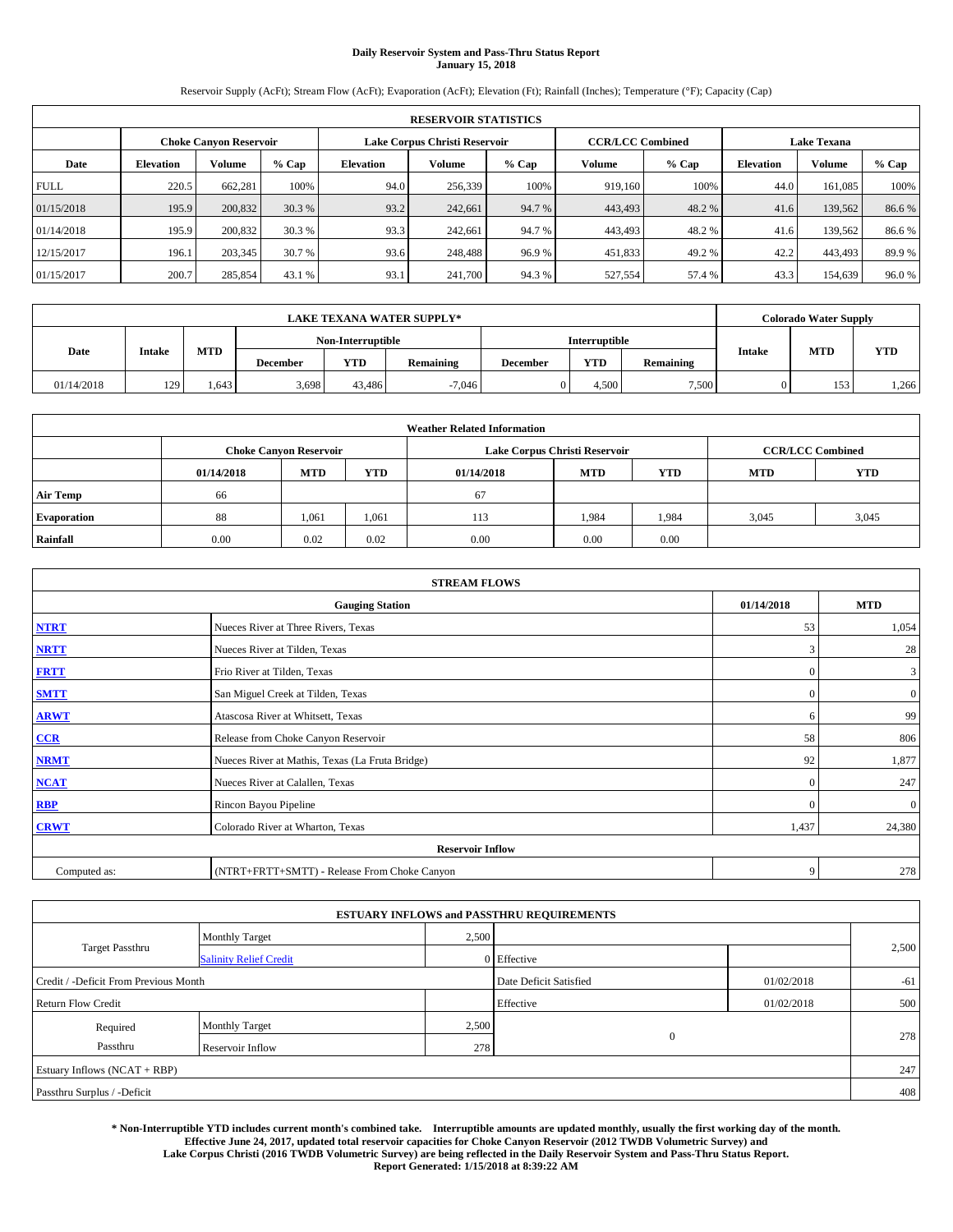# **Daily Reservoir System and Pass-Thru Status Report January 15, 2018**

Reservoir Supply (AcFt); Stream Flow (AcFt); Evaporation (AcFt); Elevation (Ft); Rainfall (Inches); Temperature (°F); Capacity (Cap)

|             | <b>RESERVOIR STATISTICS</b>   |               |        |                               |         |         |                         |         |                    |         |       |
|-------------|-------------------------------|---------------|--------|-------------------------------|---------|---------|-------------------------|---------|--------------------|---------|-------|
|             | <b>Choke Canvon Reservoir</b> |               |        | Lake Corpus Christi Reservoir |         |         | <b>CCR/LCC Combined</b> |         | <b>Lake Texana</b> |         |       |
| Date        | <b>Elevation</b>              | <b>Volume</b> | % Cap  | <b>Elevation</b>              | Volume  | $%$ Cap | Volume                  | $%$ Cap | <b>Elevation</b>   | Volume  | % Cap |
| <b>FULL</b> | 220.5                         | 662.281       | 100%   | 94.0                          | 256,339 | 100%    | 919,160                 | 100%    | 44.0               | 161.085 | 100%  |
| 01/15/2018  | 195.9                         | 200,832       | 30.3 % | 93.2                          | 242,661 | 94.7 %  | 443,493                 | 48.2 %  | 41.6               | 139.562 | 86.6% |
| 01/14/2018  | 195.9                         | 200,832       | 30.3 % | 93.3                          | 242,661 | 94.7 %  | 443,493                 | 48.2 %  | 41.6               | 139.562 | 86.6% |
| 12/15/2017  | 196.1                         | 203,345       | 30.7 % | 93.6                          | 248,488 | 96.9%   | 451,833                 | 49.2 %  | 42.2               | 443,493 | 89.9% |
| 01/15/2017  | 200.7                         | 285,854       | 43.1 % | 93.1                          | 241,700 | 94.3%   | 527,554                 | 57.4 %  | 43.3               | 154,639 | 96.0% |

|            | <b>LAKE TEXANA WATER SUPPLY*</b> |            |                 |                   |           |                 |               |           |               |            | <b>Colorado Water Supply</b> |  |  |
|------------|----------------------------------|------------|-----------------|-------------------|-----------|-----------------|---------------|-----------|---------------|------------|------------------------------|--|--|
|            |                                  |            |                 | Non-Interruptible |           |                 | Interruptible |           |               |            |                              |  |  |
| Date       | <b>Intake</b>                    | <b>MTD</b> | <b>December</b> | <b>YTD</b>        | Remaining | <b>December</b> | <b>YTD</b>    | Remaining | <b>Intake</b> | <b>MTD</b> | <b>YTD</b>                   |  |  |
| 01/14/2018 | 129                              | .643       | 3,698           | 43,486            | $-7.046$  |                 | 4,500         | 7,500     |               | 153        | 1,266                        |  |  |

| <b>Weather Related Information</b> |            |                               |                                                                    |      |                               |                         |       |       |  |
|------------------------------------|------------|-------------------------------|--------------------------------------------------------------------|------|-------------------------------|-------------------------|-------|-------|--|
|                                    |            | <b>Choke Canyon Reservoir</b> |                                                                    |      | Lake Corpus Christi Reservoir | <b>CCR/LCC Combined</b> |       |       |  |
|                                    | 01/14/2018 | <b>MTD</b>                    | <b>YTD</b><br><b>YTD</b><br><b>MTD</b><br><b>MTD</b><br>01/14/2018 |      |                               |                         |       |       |  |
| <b>Air Temp</b>                    | 66         |                               |                                                                    | 67   |                               |                         |       |       |  |
| <b>Evaporation</b>                 | 88         | 1,061                         | 1,061                                                              | 113  | 1,984                         | 1,984                   | 3,045 | 3,045 |  |
| Rainfall                           | 0.00       | 0.02                          | 0.02                                                               | 0.00 | 0.00                          | 0.00                    |       |       |  |

| <b>STREAM FLOWS</b> |                                                 |              |                  |  |  |  |  |  |
|---------------------|-------------------------------------------------|--------------|------------------|--|--|--|--|--|
|                     | 01/14/2018                                      | <b>MTD</b>   |                  |  |  |  |  |  |
| <b>NTRT</b>         | Nueces River at Three Rivers, Texas             | 53           | 1,054            |  |  |  |  |  |
| <b>NRTT</b>         | Nueces River at Tilden, Texas                   | 3            | 28               |  |  |  |  |  |
| <b>FRTT</b>         | Frio River at Tilden, Texas                     | $\mathbf{0}$ | 3                |  |  |  |  |  |
| <b>SMTT</b>         | San Miguel Creek at Tilden, Texas               | $\mathbf{0}$ | $\boldsymbol{0}$ |  |  |  |  |  |
| <b>ARWT</b>         | Atascosa River at Whitsett, Texas               | 6            | 99               |  |  |  |  |  |
| $CCR$               | Release from Choke Canyon Reservoir             | 58           | 806              |  |  |  |  |  |
| <b>NRMT</b>         | Nueces River at Mathis, Texas (La Fruta Bridge) | 92           | 1,877            |  |  |  |  |  |
| <b>NCAT</b>         | Nueces River at Calallen, Texas                 | $\Omega$     | 247              |  |  |  |  |  |
| RBP                 | Rincon Bayou Pipeline                           | $\Omega$     | $\mathbf{0}$     |  |  |  |  |  |
| <b>CRWT</b>         | Colorado River at Wharton, Texas                | 1,437        | 24,380           |  |  |  |  |  |
|                     |                                                 |              |                  |  |  |  |  |  |
| Computed as:        | (NTRT+FRTT+SMTT) - Release From Choke Canyon    | 9            | 278              |  |  |  |  |  |

|                                       |                               |                        | <b>ESTUARY INFLOWS and PASSTHRU REQUIREMENTS</b> |            |       |  |  |  |
|---------------------------------------|-------------------------------|------------------------|--------------------------------------------------|------------|-------|--|--|--|
|                                       | <b>Monthly Target</b>         | 2,500                  |                                                  |            |       |  |  |  |
| <b>Target Passthru</b>                | <b>Salinity Relief Credit</b> |                        | 0 Effective                                      |            | 2,500 |  |  |  |
| Credit / -Deficit From Previous Month |                               | Date Deficit Satisfied | 01/02/2018                                       | $-61$      |       |  |  |  |
| <b>Return Flow Credit</b>             |                               |                        | Effective                                        | 01/02/2018 | 500   |  |  |  |
| Required                              | <b>Monthly Target</b>         | 2,500                  |                                                  |            |       |  |  |  |
| Passthru                              | Reservoir Inflow              | 278                    | $\mathbf{0}$                                     |            | 278   |  |  |  |
| Estuary Inflows (NCAT + RBP)          |                               |                        |                                                  |            |       |  |  |  |
| Passthru Surplus / -Deficit           |                               |                        |                                                  |            | 408   |  |  |  |

**\* Non-Interruptible YTD includes current month's combined take. Interruptible amounts are updated monthly, usually the first working day of the month. Effective June 24, 2017, updated total reservoir capacities for Choke Canyon Reservoir (2012 TWDB Volumetric Survey) and Lake Corpus Christi (2016 TWDB Volumetric Survey) are being reflected in the Daily Reservoir System and Pass-Thru Status Report. Report Generated: 1/15/2018 at 8:39:22 AM**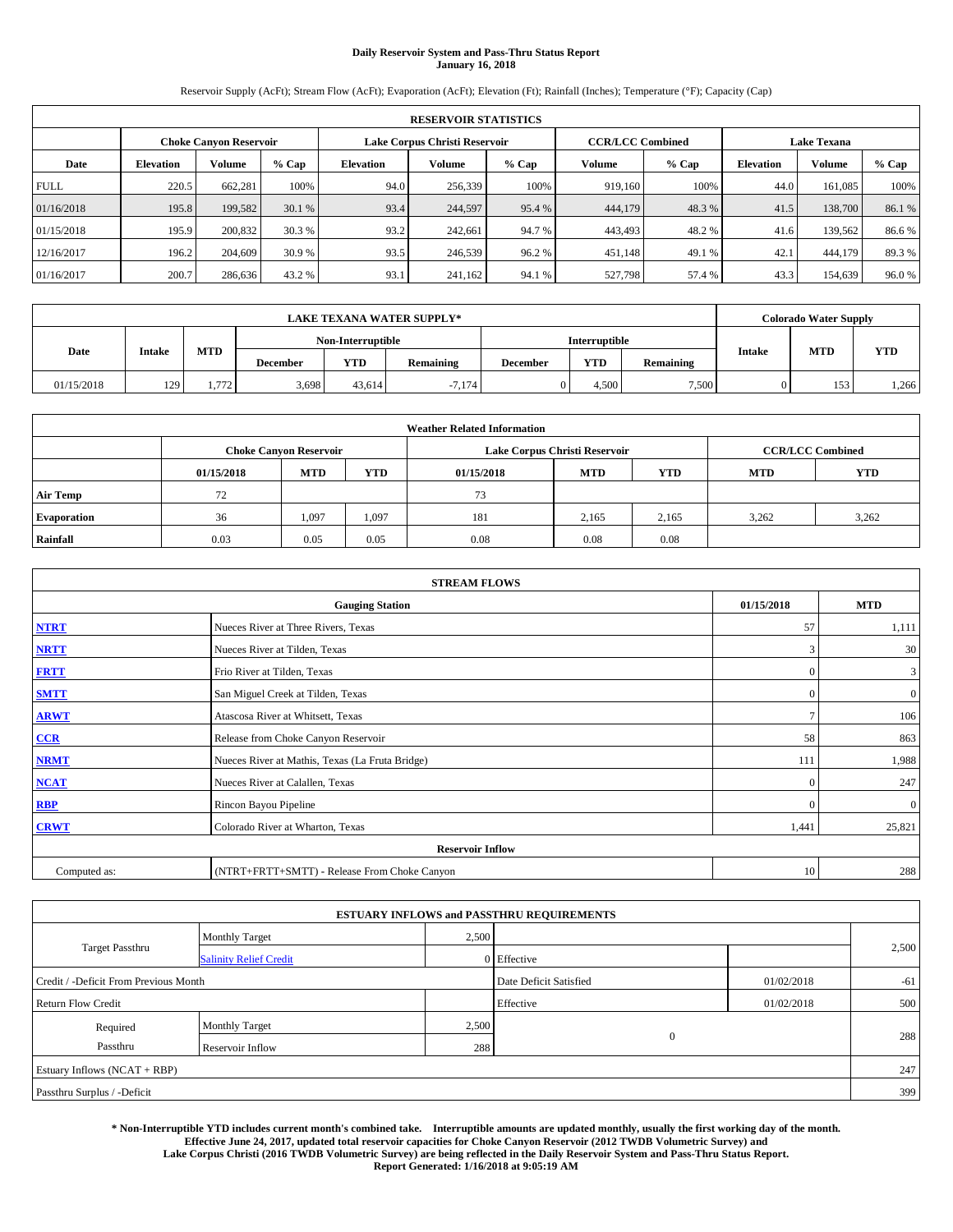# **Daily Reservoir System and Pass-Thru Status Report January 16, 2018**

Reservoir Supply (AcFt); Stream Flow (AcFt); Evaporation (AcFt); Elevation (Ft); Rainfall (Inches); Temperature (°F); Capacity (Cap)

| <b>RESERVOIR STATISTICS</b> |                  |                        |        |                               |         |         |                         |         |                    |         |       |
|-----------------------------|------------------|------------------------|--------|-------------------------------|---------|---------|-------------------------|---------|--------------------|---------|-------|
|                             |                  | Choke Canvon Reservoir |        | Lake Corpus Christi Reservoir |         |         | <b>CCR/LCC Combined</b> |         | <b>Lake Texana</b> |         |       |
| Date                        | <b>Elevation</b> | Volume                 | % Cap  | Elevation                     | Volume  | $%$ Cap | Volume                  | $%$ Cap | <b>Elevation</b>   | Volume  | % Cap |
| <b>FULL</b>                 | 220.5            | 662.281                | 100%   | 94.0                          | 256,339 | 100%    | 919.160                 | 100%    | 44.0               | 161.085 | 100%  |
| 01/16/2018                  | 195.8            | 199,582                | 30.1 % | 93.4                          | 244,597 | 95.4 %  | 444,179                 | 48.3 %  | 41.5               | 138,700 | 86.1% |
| 01/15/2018                  | 195.9            | 200,832                | 30.3 % | 93.2                          | 242,661 | 94.7 %  | 443,493                 | 48.2 %  | 41.6               | 139.562 | 86.6% |
| 12/16/2017                  | 196.2            | 204,609                | 30.9 % | 93.5                          | 246,539 | 96.2%   | 451,148                 | 49.1 %  | 42.1               | 444,179 | 89.3% |
| 01/16/2017                  | 200.7            | 286,636                | 43.2 % | 93.1                          | 241,162 | 94.1 %  | 527,798                 | 57.4 %  | 43.3               | 154,639 | 96.0% |

| <b>LAKE TEXANA WATER SUPPLY*</b> |               |                   |                 |            |           |                 |            |           |               | <b>Colorado Water Supply</b> |            |
|----------------------------------|---------------|-------------------|-----------------|------------|-----------|-----------------|------------|-----------|---------------|------------------------------|------------|
|                                  |               | Non-Interruptible |                 |            |           | Interruptible   |            |           |               |                              |            |
| Date                             | <b>Intake</b> | <b>MTD</b>        | <b>December</b> | <b>YTD</b> | Remaining | <b>December</b> | <b>YTD</b> | Remaining | <b>Intake</b> | <b>MTD</b>                   | <b>YTD</b> |
| 01/15/2018                       | 129           | 1.772             | 3,698           | 43.614     | $-7.174$  |                 | 4,500      | 7,500     |               | 153                          | 1,266      |

| <b>Weather Related Information</b> |            |                               |            |            |                               |                         |       |       |  |
|------------------------------------|------------|-------------------------------|------------|------------|-------------------------------|-------------------------|-------|-------|--|
|                                    |            | <b>Choke Canyon Reservoir</b> |            |            | Lake Corpus Christi Reservoir | <b>CCR/LCC Combined</b> |       |       |  |
|                                    | 01/15/2018 | <b>MTD</b>                    | <b>YTD</b> | <b>MTD</b> | <b>YTD</b>                    |                         |       |       |  |
| <b>Air Temp</b>                    | 72         |                               |            | 73         |                               |                         |       |       |  |
| <b>Evaporation</b>                 | 36         | 1,097                         | 1,097      | 181        | 2,165                         | 2,165                   | 3.262 | 3,262 |  |
| Rainfall                           | 0.03       | 0.05                          | 0.05       | 0.08       | 0.08                          | 0.08                    |       |       |  |

| <b>STREAM FLOWS</b> |                                                 |               |                  |  |  |  |  |  |
|---------------------|-------------------------------------------------|---------------|------------------|--|--|--|--|--|
|                     | 01/15/2018                                      | <b>MTD</b>    |                  |  |  |  |  |  |
| <b>NTRT</b>         | Nueces River at Three Rivers, Texas             | 57            | 1,111            |  |  |  |  |  |
| <b>NRTT</b>         | Nueces River at Tilden, Texas                   | 3             | 30               |  |  |  |  |  |
| <b>FRTT</b>         | Frio River at Tilden, Texas                     | $\mathbf{0}$  | 3                |  |  |  |  |  |
| <b>SMTT</b>         | San Miguel Creek at Tilden, Texas               | $\mathbf{0}$  | $\boldsymbol{0}$ |  |  |  |  |  |
| <b>ARWT</b>         | Atascosa River at Whitsett, Texas               | $\mathcal{I}$ | 106              |  |  |  |  |  |
| $CCR$               | Release from Choke Canyon Reservoir             | 58            | 863              |  |  |  |  |  |
| <b>NRMT</b>         | Nueces River at Mathis, Texas (La Fruta Bridge) | 111           | 1,988            |  |  |  |  |  |
| <b>NCAT</b>         | Nueces River at Calallen, Texas                 | $\Omega$      | 247              |  |  |  |  |  |
| RBP                 | Rincon Bayou Pipeline                           | $\Omega$      | $\mathbf{0}$     |  |  |  |  |  |
| <b>CRWT</b>         | Colorado River at Wharton, Texas                | 1,441         | 25,821           |  |  |  |  |  |
|                     |                                                 |               |                  |  |  |  |  |  |
| Computed as:        | (NTRT+FRTT+SMTT) - Release From Choke Canyon    | 10            | 288              |  |  |  |  |  |

|                                       |                               |                        | <b>ESTUARY INFLOWS and PASSTHRU REQUIREMENTS</b> |            |       |  |  |
|---------------------------------------|-------------------------------|------------------------|--------------------------------------------------|------------|-------|--|--|
|                                       | <b>Monthly Target</b>         | 2,500                  |                                                  |            |       |  |  |
| <b>Target Passthru</b>                | <b>Salinity Relief Credit</b> |                        | 0 Effective                                      |            | 2,500 |  |  |
| Credit / -Deficit From Previous Month |                               | Date Deficit Satisfied | 01/02/2018                                       | $-61$      |       |  |  |
| <b>Return Flow Credit</b>             |                               |                        | Effective                                        | 01/02/2018 | 500   |  |  |
| Required                              | Monthly Target                | 2,500                  |                                                  |            |       |  |  |
| Passthru                              | Reservoir Inflow              | 288                    | $\overline{0}$                                   |            | 288   |  |  |
| Estuary Inflows (NCAT + RBP)          |                               |                        |                                                  |            |       |  |  |
| Passthru Surplus / -Deficit           |                               |                        |                                                  |            | 399   |  |  |

**\* Non-Interruptible YTD includes current month's combined take. Interruptible amounts are updated monthly, usually the first working day of the month. Effective June 24, 2017, updated total reservoir capacities for Choke Canyon Reservoir (2012 TWDB Volumetric Survey) and Lake Corpus Christi (2016 TWDB Volumetric Survey) are being reflected in the Daily Reservoir System and Pass-Thru Status Report. Report Generated: 1/16/2018 at 9:05:19 AM**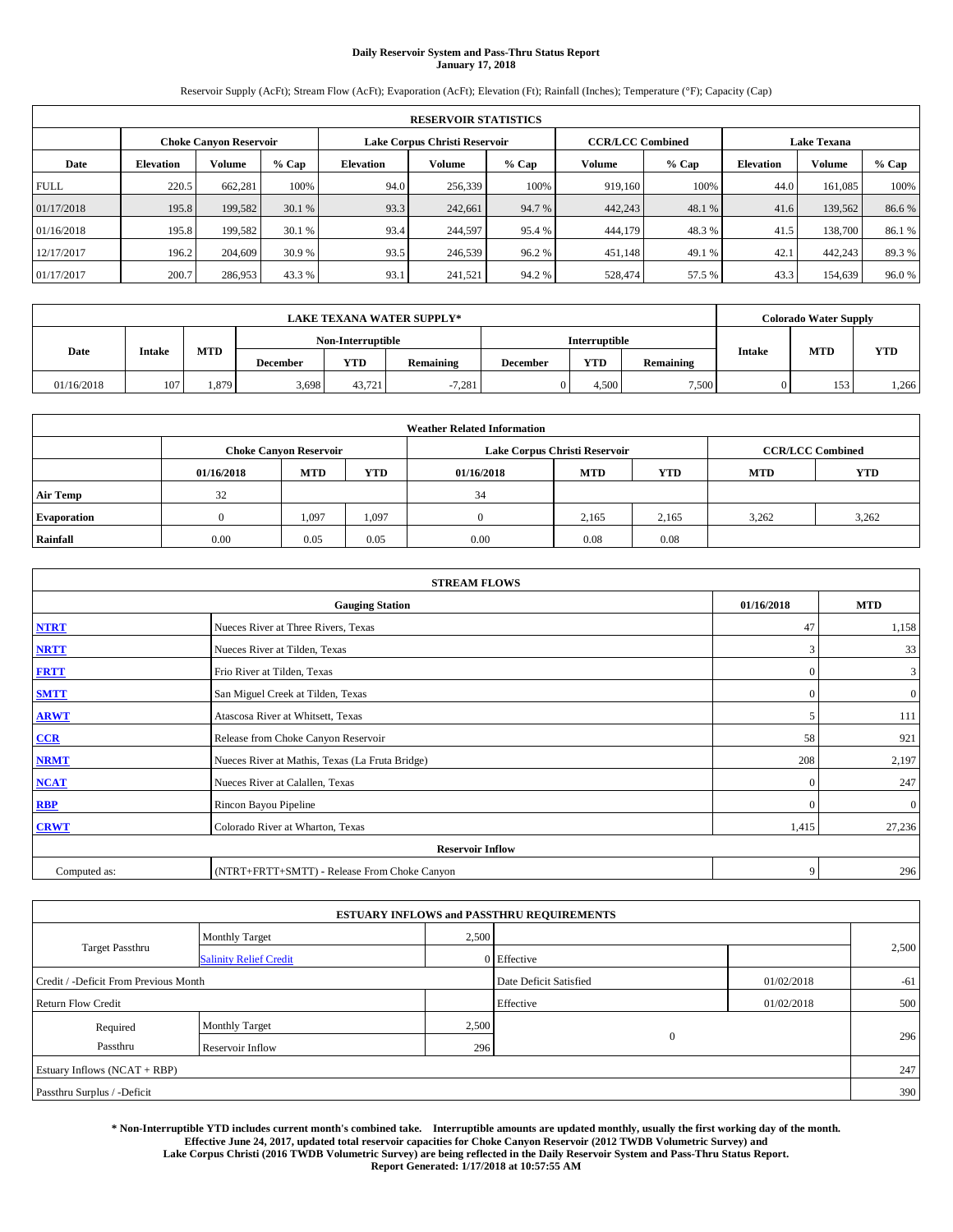# **Daily Reservoir System and Pass-Thru Status Report January 17, 2018**

Reservoir Supply (AcFt); Stream Flow (AcFt); Evaporation (AcFt); Elevation (Ft); Rainfall (Inches); Temperature (°F); Capacity (Cap)

| <b>RESERVOIR STATISTICS</b> |                  |                               |        |                  |                               |         |                         |         |                    |         |       |
|-----------------------------|------------------|-------------------------------|--------|------------------|-------------------------------|---------|-------------------------|---------|--------------------|---------|-------|
|                             |                  | <b>Choke Canyon Reservoir</b> |        |                  | Lake Corpus Christi Reservoir |         | <b>CCR/LCC Combined</b> |         | <b>Lake Texana</b> |         |       |
| Date                        | <b>Elevation</b> | <b>Volume</b>                 | % Cap  | <b>Elevation</b> | Volume                        | $%$ Cap | Volume                  | $%$ Cap | <b>Elevation</b>   | Volume  | % Cap |
| <b>FULL</b>                 | 220.5            | 662.281                       | 100%   | 94.0             | 256,339                       | 100%    | 919.160                 | 100%    | 44.0               | 161.085 | 100%  |
| 01/17/2018                  | 195.8            | 199,582                       | 30.1 % | 93.3             | 242,661                       | 94.7 %  | 442,243                 | 48.1 %  | 41.6               | 139.562 | 86.6% |
| 01/16/2018                  | 195.8            | 199,582                       | 30.1 % | 93.4             | 244,597                       | 95.4 %  | 444,179                 | 48.3 %  | 41.5               | 138,700 | 86.1% |
| 12/17/2017                  | 196.2            | 204,609                       | 30.9 % | 93.5             | 246,539                       | 96.2%   | 451,148                 | 49.1 %  | 42.1               | 442,243 | 89.3% |
| 01/17/2017                  | 200.7            | 286,953                       | 43.3 % | 93.1             | 241,521                       | 94.2 %  | 528,474                 | 57.5 %  | 43.3               | 154,639 | 96.0% |

| <b>LAKE TEXANA WATER SUPPLY*</b> |               |            |                 |                   |           |                 |                      |                  |                             | <b>Colorado Water Supply</b> |            |
|----------------------------------|---------------|------------|-----------------|-------------------|-----------|-----------------|----------------------|------------------|-----------------------------|------------------------------|------------|
|                                  |               |            |                 | Non-Interruptible |           |                 | <b>Interruptible</b> |                  |                             |                              |            |
| Date                             | <b>Intake</b> | <b>MTD</b> | <b>December</b> | <b>YTD</b>        | Remaining | <b>December</b> | YTD                  | <b>Remaining</b> | <b>MTD</b><br><b>Intake</b> |                              | <b>YTD</b> |
| 01/16/2018                       | 107           | .379       | 5,698           | 43.721            | $-7,281$  |                 | 4.500                | 7,500            |                             | 153                          | 1,266      |

| <b>Weather Related Information</b> |            |                               |            |            |                               |                         |       |       |  |
|------------------------------------|------------|-------------------------------|------------|------------|-------------------------------|-------------------------|-------|-------|--|
|                                    |            | <b>Choke Canyon Reservoir</b> |            |            | Lake Corpus Christi Reservoir | <b>CCR/LCC Combined</b> |       |       |  |
|                                    | 01/16/2018 | <b>MTD</b>                    | <b>YTD</b> | 01/16/2018 | <b>MTD</b>                    | <b>YTD</b>              |       |       |  |
| <b>Air Temp</b>                    | 32         |                               |            | 34         |                               |                         |       |       |  |
| <b>Evaporation</b>                 |            | 1,097                         | 1,097      |            | 2,165                         | 2,165                   | 3.262 | 3,262 |  |
| Rainfall                           | 0.00       | 0.05                          | 0.05       | 0.00       | 0.08                          | 0.08                    |       |       |  |

| <b>STREAM FLOWS</b> |                                                 |              |              |  |  |  |  |  |
|---------------------|-------------------------------------------------|--------------|--------------|--|--|--|--|--|
|                     | 01/16/2018                                      | <b>MTD</b>   |              |  |  |  |  |  |
| <b>NTRT</b>         | Nueces River at Three Rivers, Texas             | 47           | 1,158        |  |  |  |  |  |
| <b>NRTT</b>         | Nueces River at Tilden, Texas                   | 3            | 33           |  |  |  |  |  |
| <b>FRTT</b>         | Frio River at Tilden, Texas                     | $\mathbf{0}$ | 3            |  |  |  |  |  |
| <b>SMTT</b>         | San Miguel Creek at Tilden, Texas               | $\mathbf{0}$ | $\mathbf{0}$ |  |  |  |  |  |
| <b>ARWT</b>         | Atascosa River at Whitsett, Texas               | 5            | 111          |  |  |  |  |  |
| CCR                 | Release from Choke Canyon Reservoir             | 58           | 921          |  |  |  |  |  |
| <b>NRMT</b>         | Nueces River at Mathis, Texas (La Fruta Bridge) | 208          | 2,197        |  |  |  |  |  |
| <b>NCAT</b>         | Nueces River at Calallen, Texas                 | $\Omega$     | 247          |  |  |  |  |  |
| <b>RBP</b>          | Rincon Bayou Pipeline                           | $\Omega$     | $\mathbf{0}$ |  |  |  |  |  |
| <b>CRWT</b>         | Colorado River at Wharton, Texas                | 1,415        | 27,236       |  |  |  |  |  |
|                     |                                                 |              |              |  |  |  |  |  |
| Computed as:        | (NTRT+FRTT+SMTT) - Release From Choke Canyon    | 9            | 296          |  |  |  |  |  |

|                                       |                               |       | <b>ESTUARY INFLOWS and PASSTHRU REQUIREMENTS</b> |            |       |
|---------------------------------------|-------------------------------|-------|--------------------------------------------------|------------|-------|
|                                       | <b>Monthly Target</b>         | 2,500 |                                                  |            |       |
| <b>Target Passthru</b>                | <b>Salinity Relief Credit</b> |       | 0 Effective                                      |            | 2,500 |
| Credit / -Deficit From Previous Month |                               |       | Date Deficit Satisfied                           | 01/02/2018 | $-61$ |
| <b>Return Flow Credit</b>             |                               |       | Effective                                        | 01/02/2018 | 500   |
| Required                              | <b>Monthly Target</b>         | 2,500 |                                                  |            |       |
| Passthru                              | Reservoir Inflow              | 296   | $\theta$                                         |            | 296   |
| Estuary Inflows (NCAT + RBP)          |                               |       |                                                  |            | 247   |
| Passthru Surplus / -Deficit           |                               |       |                                                  |            | 390   |

**\* Non-Interruptible YTD includes current month's combined take. Interruptible amounts are updated monthly, usually the first working day of the month. Effective June 24, 2017, updated total reservoir capacities for Choke Canyon Reservoir (2012 TWDB Volumetric Survey) and Lake Corpus Christi (2016 TWDB Volumetric Survey) are being reflected in the Daily Reservoir System and Pass-Thru Status Report. Report Generated: 1/17/2018 at 10:57:55 AM**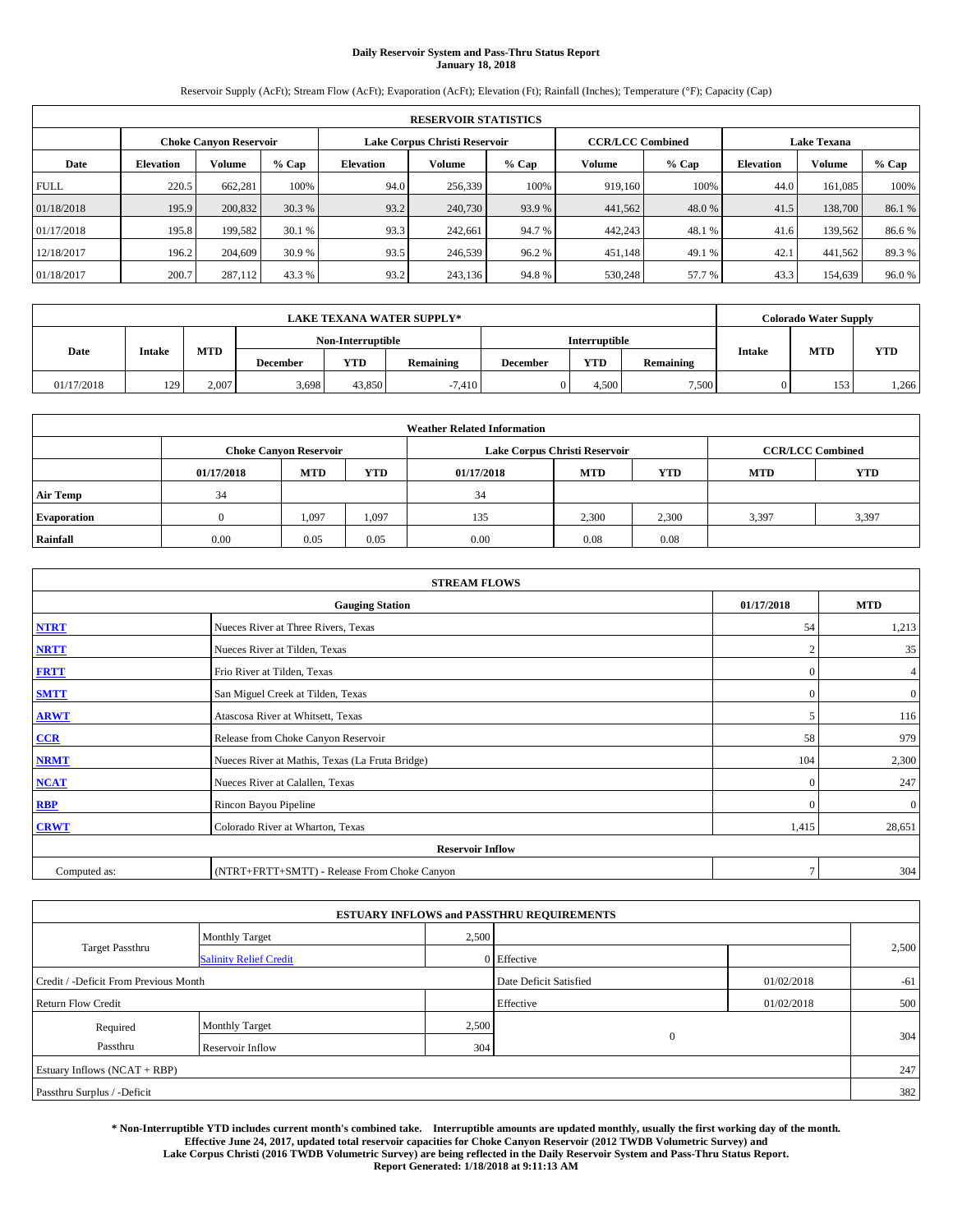# **Daily Reservoir System and Pass-Thru Status Report January 18, 2018**

Reservoir Supply (AcFt); Stream Flow (AcFt); Evaporation (AcFt); Elevation (Ft); Rainfall (Inches); Temperature (°F); Capacity (Cap)

|             | <b>RESERVOIR STATISTICS</b> |                               |        |                  |                               |        |         |                                               |                  |               |       |
|-------------|-----------------------------|-------------------------------|--------|------------------|-------------------------------|--------|---------|-----------------------------------------------|------------------|---------------|-------|
|             |                             | <b>Choke Canvon Reservoir</b> |        |                  | Lake Corpus Christi Reservoir |        |         | <b>Lake Texana</b><br><b>CCR/LCC Combined</b> |                  |               |       |
| Date        | <b>Elevation</b>            | <b>Volume</b>                 | % Cap  | <b>Elevation</b> | Volume                        | % Cap  | Volume  | $%$ Cap                                       | <b>Elevation</b> | <b>Volume</b> | % Cap |
| <b>FULL</b> | 220.5                       | 662.281                       | 100%   | 94.0             | 256,339                       | 100%   | 919.160 | 100%                                          | 44.0             | 161,085       | 100%  |
| 01/18/2018  | 195.9                       | 200,832                       | 30.3 % | 93.2             | 240,730                       | 93.9 % | 441,562 | 48.0%                                         | 41.5             | 138,700       | 86.1% |
| 01/17/2018  | 195.8                       | 199.582                       | 30.1 % | 93.3             | 242,661                       | 94.7 % | 442,243 | 48.1 %                                        | 41.6             | 139.562       | 86.6% |
| 12/18/2017  | 196.2                       | 204,609                       | 30.9 % | 93.5             | 246,539                       | 96.2%  | 451,148 | 49.1 %                                        | 42.1             | 441.562       | 89.3% |
| 01/18/2017  | 200.7                       | 287,112                       | 43.3 % | 93.2             | 243,136                       | 94.8%  | 530,248 | 57.7 %                                        | 43.3             | 154,639       | 96.0% |

|            |               |            |                   |            | <b>LAKE TEXANA WATER SUPPLY*</b> |                 |            |                  |               | <b>Colorado Water Supply</b> |            |
|------------|---------------|------------|-------------------|------------|----------------------------------|-----------------|------------|------------------|---------------|------------------------------|------------|
|            |               |            | Non-Interruptible |            |                                  | Interruptible   |            |                  |               |                              |            |
| Date       | <b>Intake</b> | <b>MTD</b> | <b>December</b>   | <b>YTD</b> | Remaining                        | <b>December</b> | <b>YTD</b> | <b>Remaining</b> | <b>Intake</b> | <b>MTD</b>                   | <b>YTD</b> |
| 01/17/2018 | 129           | 2.007      | 5,698             | 43.850     | $-7.410$                         |                 | 4.500      | 7,500            |               | 153                          | 1,266      |

| <b>Weather Related Information</b> |            |                                                                                  |       |      |                               |       |                         |            |  |  |
|------------------------------------|------------|----------------------------------------------------------------------------------|-------|------|-------------------------------|-------|-------------------------|------------|--|--|
|                                    |            | <b>Choke Canyon Reservoir</b>                                                    |       |      | Lake Corpus Christi Reservoir |       | <b>CCR/LCC Combined</b> |            |  |  |
|                                    | 01/17/2018 | <b>YTD</b><br><b>YTD</b><br><b>MTD</b><br><b>MTD</b><br><b>MTD</b><br>01/17/2018 |       |      |                               |       |                         | <b>YTD</b> |  |  |
| <b>Air Temp</b>                    | 34         |                                                                                  |       | 34   |                               |       |                         |            |  |  |
| <b>Evaporation</b>                 |            | 1,097                                                                            | 1,097 | 135  | 2,300                         | 2,300 | 3.397                   | 3,397      |  |  |
| Rainfall                           | 0.00       | 0.05                                                                             | 0.05  | 0.00 | 0.08                          | 0.08  |                         |            |  |  |

|              | <b>STREAM FLOWS</b>                             |                |                  |
|--------------|-------------------------------------------------|----------------|------------------|
|              | <b>Gauging Station</b>                          | 01/17/2018     | <b>MTD</b>       |
| <b>NTRT</b>  | Nueces River at Three Rivers, Texas             | 54             | 1,213            |
| <b>NRTT</b>  | Nueces River at Tilden, Texas                   | $\overline{2}$ | 35               |
| <b>FRTT</b>  | Frio River at Tilden, Texas                     | $\mathbf{0}$   | 4                |
| <b>SMTT</b>  | San Miguel Creek at Tilden, Texas               | $\mathbf{0}$   | $\boldsymbol{0}$ |
| <b>ARWT</b>  | Atascosa River at Whitsett, Texas               | 5              | 116              |
| $CCR$        | Release from Choke Canyon Reservoir             | 58             | 979              |
| <b>NRMT</b>  | Nueces River at Mathis, Texas (La Fruta Bridge) | 104            | 2,300            |
| <b>NCAT</b>  | Nueces River at Calallen, Texas                 | $\Omega$       | 247              |
| RBP          | Rincon Bayou Pipeline                           | $\Omega$       | $\mathbf{0}$     |
| <b>CRWT</b>  | Colorado River at Wharton, Texas                | 1,415          | 28,651           |
|              | <b>Reservoir Inflow</b>                         |                |                  |
| Computed as: | (NTRT+FRTT+SMTT) - Release From Choke Canyon    | $\tau$         | 304              |

| <b>ESTUARY INFLOWS and PASSTHRU REQUIREMENTS</b> |                               |       |                        |            |       |  |  |  |  |  |
|--------------------------------------------------|-------------------------------|-------|------------------------|------------|-------|--|--|--|--|--|
|                                                  | <b>Monthly Target</b>         | 2,500 |                        |            |       |  |  |  |  |  |
| <b>Target Passthru</b>                           | <b>Salinity Relief Credit</b> |       | 0 Effective            |            | 2,500 |  |  |  |  |  |
| Credit / -Deficit From Previous Month            |                               |       | Date Deficit Satisfied | 01/02/2018 | $-61$ |  |  |  |  |  |
| <b>Return Flow Credit</b>                        |                               |       | Effective              | 01/02/2018 | 500   |  |  |  |  |  |
| Required                                         | Monthly Target                | 2,500 |                        |            |       |  |  |  |  |  |
| Passthru                                         | Reservoir Inflow              | 304   | $\mathbf{0}$           |            | 304   |  |  |  |  |  |
| Estuary Inflows (NCAT + RBP)                     |                               |       |                        |            | 247   |  |  |  |  |  |
| Passthru Surplus / -Deficit                      |                               |       |                        |            | 382   |  |  |  |  |  |

**\* Non-Interruptible YTD includes current month's combined take. Interruptible amounts are updated monthly, usually the first working day of the month. Effective June 24, 2017, updated total reservoir capacities for Choke Canyon Reservoir (2012 TWDB Volumetric Survey) and Lake Corpus Christi (2016 TWDB Volumetric Survey) are being reflected in the Daily Reservoir System and Pass-Thru Status Report. Report Generated: 1/18/2018 at 9:11:13 AM**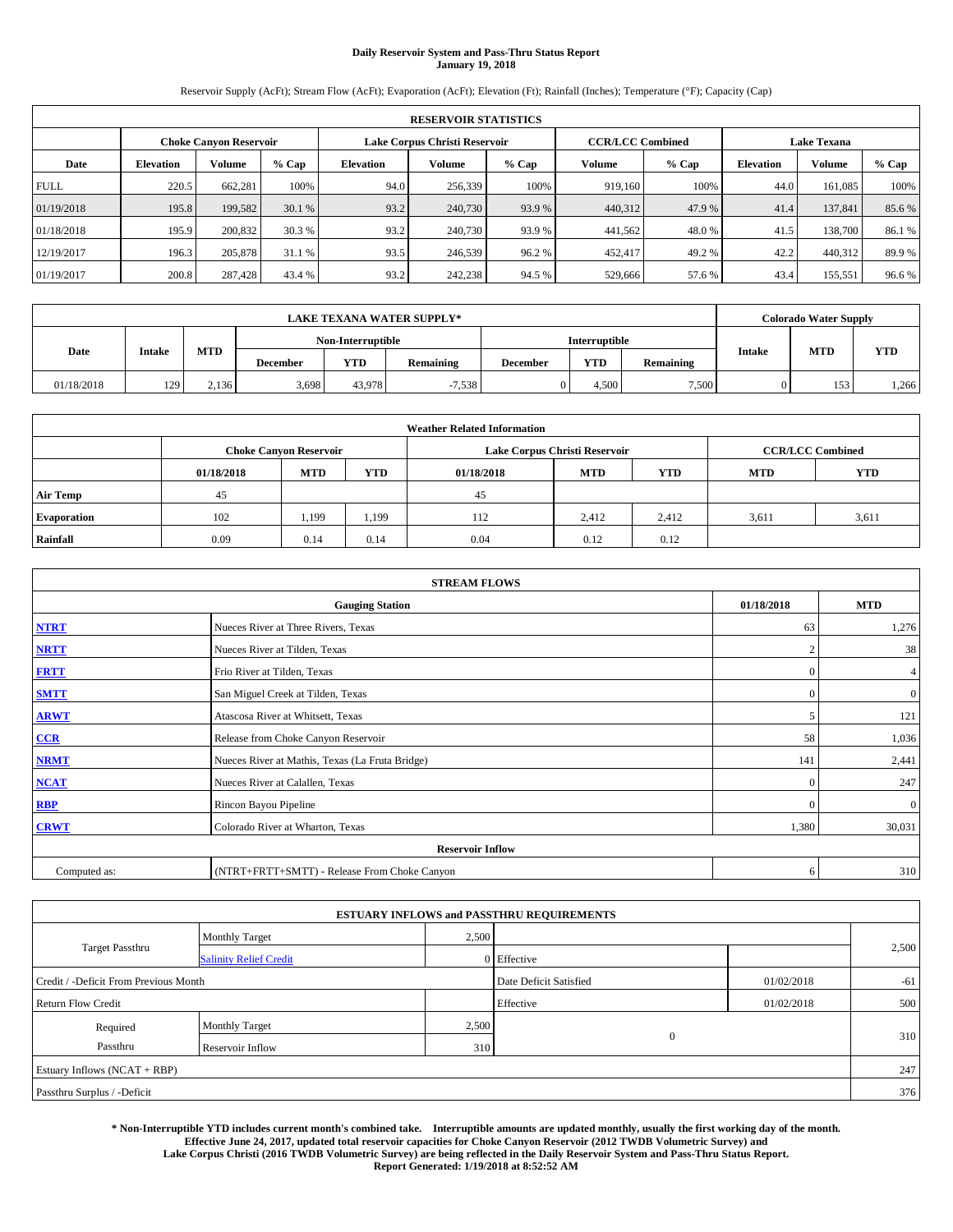# **Daily Reservoir System and Pass-Thru Status Report January 19, 2018**

Reservoir Supply (AcFt); Stream Flow (AcFt); Evaporation (AcFt); Elevation (Ft); Rainfall (Inches); Temperature (°F); Capacity (Cap)

|             | <b>RESERVOIR STATISTICS</b> |                               |        |                  |                               |         |                         |         |                                                                                                          |         |       |
|-------------|-----------------------------|-------------------------------|--------|------------------|-------------------------------|---------|-------------------------|---------|----------------------------------------------------------------------------------------------------------|---------|-------|
|             |                             | <b>Choke Canyon Reservoir</b> |        |                  | Lake Corpus Christi Reservoir |         | <b>CCR/LCC Combined</b> |         | <b>Lake Texana</b><br>Volume<br><b>Elevation</b><br>100%<br>44.0<br>161.085<br>47.9 %<br>137,841<br>41.4 |         |       |
| Date        | <b>Elevation</b>            | <b>Volume</b>                 | % Cap  | <b>Elevation</b> | Volume                        | $%$ Cap | Volume                  | $%$ Cap |                                                                                                          |         | % Cap |
| <b>FULL</b> | 220.5                       | 662.281                       | 100%   | 94.0             | 256,339                       | 100%    | 919.160                 |         |                                                                                                          |         | 100%  |
| 01/19/2018  | 195.8                       | 199,582                       | 30.1 % | 93.2             | 240,730                       | 93.9%   | 440,312                 |         |                                                                                                          |         | 85.6% |
| 01/18/2018  | 195.9                       | 200,832                       | 30.3 % | 93.2             | 240,730                       | 93.9 %  | 441,562                 | 48.0 %  | 41.5                                                                                                     | 138,700 | 86.1% |
| 12/19/2017  | 196.3                       | 205,878                       | 31.1 % | 93.5             | 246,539                       | 96.2%   | 452,417                 | 49.2 %  | 42.2                                                                                                     | 440,312 | 89.9% |
| 01/19/2017  | 200.8                       | 287,428                       | 43.4 % | 93.2             | 242,238                       | 94.5 %  | 529,666                 | 57.6 %  | 43.4                                                                                                     | 155,551 | 96.6% |

|            |               |            |                 |                   | <b>LAKE TEXANA WATER SUPPLY*</b> |                 |            |           |               | <b>Colorado Water Supply</b> |            |
|------------|---------------|------------|-----------------|-------------------|----------------------------------|-----------------|------------|-----------|---------------|------------------------------|------------|
|            |               |            |                 | Non-Interruptible |                                  | Interruptible   |            |           |               |                              |            |
| Date       | <b>Intake</b> | <b>MTD</b> | <b>December</b> | <b>YTD</b>        | Remaining                        | <b>December</b> | <b>YTD</b> | Remaining | <b>Intake</b> | <b>MTD</b>                   | <b>YTD</b> |
| 01/18/2018 | 129           | 2.136      | 3,698           | 43.978            | $-7,538$                         |                 | 4,500      | 7,500     |               | 153                          | 1,266      |

| <b>Weather Related Information</b> |            |                                                                                  |       |      |                               |       |                         |            |  |  |
|------------------------------------|------------|----------------------------------------------------------------------------------|-------|------|-------------------------------|-------|-------------------------|------------|--|--|
|                                    |            | <b>Choke Canvon Reservoir</b>                                                    |       |      | Lake Corpus Christi Reservoir |       | <b>CCR/LCC Combined</b> |            |  |  |
|                                    | 01/18/2018 | <b>YTD</b><br><b>YTD</b><br><b>MTD</b><br><b>MTD</b><br><b>MTD</b><br>01/18/2018 |       |      |                               |       |                         | <b>YTD</b> |  |  |
| <b>Air Temp</b>                    | 45         |                                                                                  |       | 45   |                               |       |                         |            |  |  |
| <b>Evaporation</b>                 | 102        | 1,199                                                                            | 1,199 | 112  | 2.412                         | 2.412 | 3.611                   | 3,611      |  |  |
| Rainfall                           | 0.09       | 0.14                                                                             | 0.14  | 0.04 | 0.12                          | 0.12  |                         |            |  |  |

|              | <b>STREAM FLOWS</b>                             |              |              |
|--------------|-------------------------------------------------|--------------|--------------|
|              | <b>Gauging Station</b>                          | 01/18/2018   | <b>MTD</b>   |
| <b>NTRT</b>  | Nueces River at Three Rivers, Texas             | 63           | 1,276        |
| <b>NRTT</b>  | Nueces River at Tilden, Texas                   | $\bigcap$    | 38           |
| <b>FRTT</b>  | Frio River at Tilden, Texas                     | $\Omega$     | 4            |
| <b>SMTT</b>  | San Miguel Creek at Tilden, Texas               | $\mathbf{0}$ | $\mathbf{0}$ |
| <b>ARWT</b>  | Atascosa River at Whitsett, Texas               | 5            | 121          |
| $CCR$        | Release from Choke Canyon Reservoir             | 58           | 1,036        |
| <b>NRMT</b>  | Nueces River at Mathis, Texas (La Fruta Bridge) | 141          | 2,441        |
| <b>NCAT</b>  | Nueces River at Calallen, Texas                 | $\mathbf{0}$ | 247          |
| RBP          | Rincon Bayou Pipeline                           | $\Omega$     | $\mathbf{0}$ |
| <b>CRWT</b>  | Colorado River at Wharton, Texas                | 1,380        | 30,031       |
|              |                                                 |              |              |
| Computed as: | (NTRT+FRTT+SMTT) - Release From Choke Canyon    | 6            | 310          |

|                                       |                               |       | <b>ESTUARY INFLOWS and PASSTHRU REQUIREMENTS</b> |            |       |
|---------------------------------------|-------------------------------|-------|--------------------------------------------------|------------|-------|
|                                       | <b>Monthly Target</b>         | 2,500 |                                                  |            |       |
| <b>Target Passthru</b>                | <b>Salinity Relief Credit</b> |       | 0 Effective                                      |            | 2,500 |
| Credit / -Deficit From Previous Month |                               |       | Date Deficit Satisfied                           | 01/02/2018 | $-61$ |
| <b>Return Flow Credit</b>             |                               |       | Effective                                        | 01/02/2018 | 500   |
| Required                              | <b>Monthly Target</b>         | 2,500 |                                                  |            |       |
| Passthru                              | Reservoir Inflow              | 310   | $\mathbf{0}$                                     |            | 310   |
| Estuary Inflows (NCAT + RBP)          |                               |       |                                                  |            | 247   |
| Passthru Surplus / -Deficit           |                               |       |                                                  |            | 376   |

**\* Non-Interruptible YTD includes current month's combined take. Interruptible amounts are updated monthly, usually the first working day of the month. Effective June 24, 2017, updated total reservoir capacities for Choke Canyon Reservoir (2012 TWDB Volumetric Survey) and Lake Corpus Christi (2016 TWDB Volumetric Survey) are being reflected in the Daily Reservoir System and Pass-Thru Status Report. Report Generated: 1/19/2018 at 8:52:52 AM**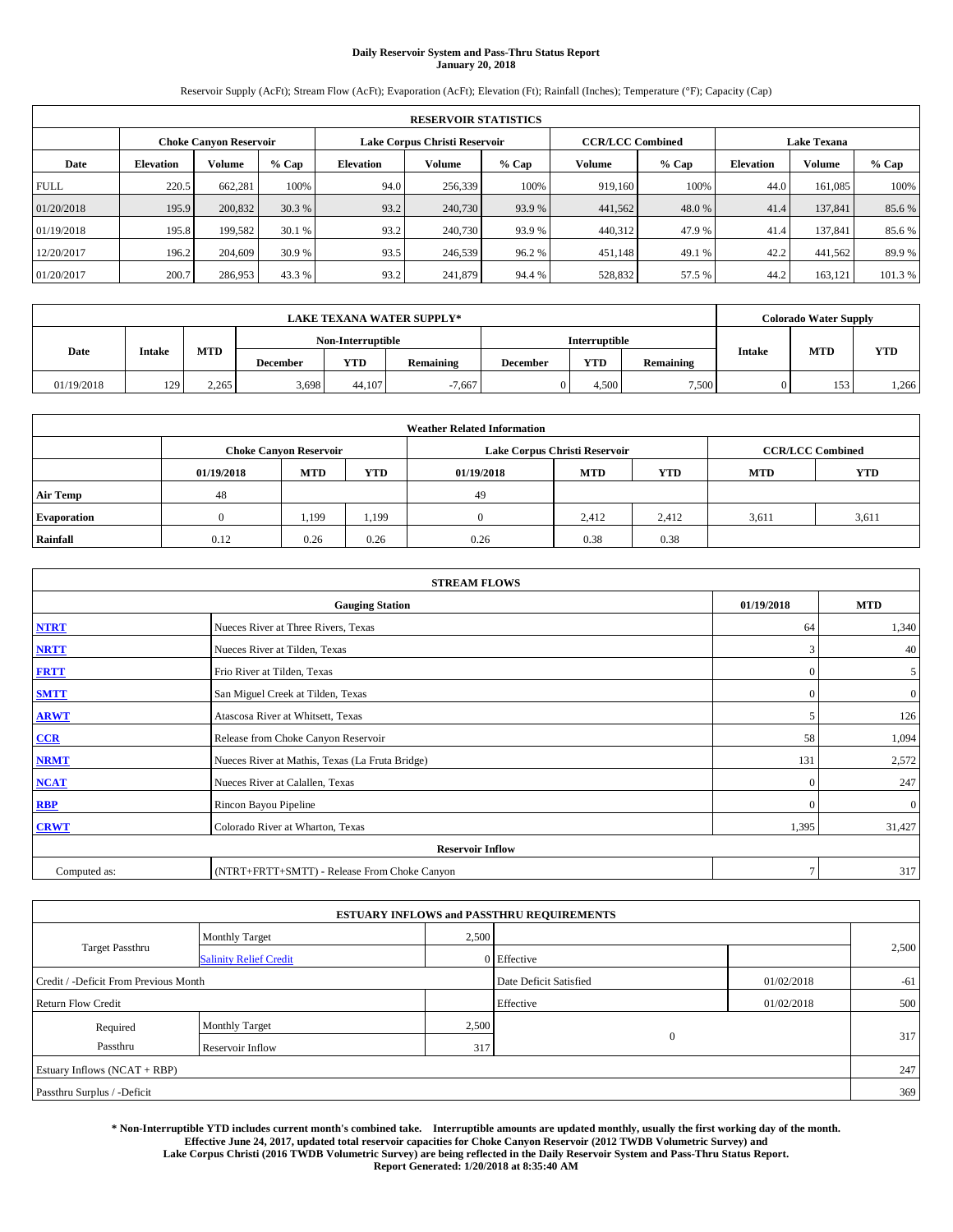# **Daily Reservoir System and Pass-Thru Status Report January 20, 2018**

Reservoir Supply (AcFt); Stream Flow (AcFt); Evaporation (AcFt); Elevation (Ft); Rainfall (Inches); Temperature (°F); Capacity (Cap)

|             | <b>RESERVOIR STATISTICS</b> |                               |         |                  |                               |         |                                               |         |                  |               |         |
|-------------|-----------------------------|-------------------------------|---------|------------------|-------------------------------|---------|-----------------------------------------------|---------|------------------|---------------|---------|
|             |                             | <b>Choke Canyon Reservoir</b> |         |                  | Lake Corpus Christi Reservoir |         | <b>CCR/LCC Combined</b><br><b>Lake Texana</b> |         |                  |               |         |
| Date        | <b>Elevation</b>            | Volume                        | $%$ Cap | <b>Elevation</b> | Volume                        | $%$ Cap | Volume                                        | $%$ Cap | <b>Elevation</b> | <b>Volume</b> | $%$ Cap |
| <b>FULL</b> | 220.5                       | 662,281                       | 100%    | 94.0             | 256,339                       | 100%    | 919.160                                       | 100%    | 44.0             | 161.085       | 100%    |
| 01/20/2018  | 195.9                       | 200,832                       | 30.3 %  | 93.2             | 240,730                       | 93.9%   | 441,562                                       | 48.0 %  | 41.4             | 137,841       | 85.6%   |
| 01/19/2018  | 195.8                       | 199.582                       | 30.1 %  | 93.2             | 240,730                       | 93.9 %  | 440,312                                       | 47.9 %  | 41.4             | 137,841       | 85.6%   |
| 12/20/2017  | 196.2                       | 204,609                       | 30.9 %  | 93.5             | 246,539                       | 96.2 %  | 451.148                                       | 49.1 %  | 42.2             | 441,562       | 89.9%   |
| 01/20/2017  | 200.7                       | 286,953                       | 43.3 %  | 93.2             | 241,879                       | 94.4 %  | 528,832                                       | 57.5 %  | 44.2             | 163.121       | 101.3 % |

|            | <b>LAKE TEXANA WATER SUPPLY*</b> |            |                 |                   |           |                 |               |           |  | <b>Colorado Water Supply</b> |            |
|------------|----------------------------------|------------|-----------------|-------------------|-----------|-----------------|---------------|-----------|--|------------------------------|------------|
|            |                                  |            |                 | Non-Interruptible |           |                 | Interruptible |           |  | <b>MTD</b><br><b>Intake</b>  |            |
| Date       | <b>Intake</b>                    | <b>MTD</b> | <b>December</b> | <b>YTD</b>        | Remaining | <b>December</b> | <b>YTD</b>    | Remaining |  |                              | <b>YTD</b> |
| 01/19/2018 | 129                              | 2.265      | 3,698           | 44,107            | $-7.667$  |                 | 4,500         | 7,500     |  | 153                          | 1,266      |

| <b>Weather Related Information</b>                                                             |      |                               |       |      |                               |                         |       |            |  |  |  |
|------------------------------------------------------------------------------------------------|------|-------------------------------|-------|------|-------------------------------|-------------------------|-------|------------|--|--|--|
|                                                                                                |      | <b>Choke Canvon Reservoir</b> |       |      | Lake Corpus Christi Reservoir | <b>CCR/LCC Combined</b> |       |            |  |  |  |
| <b>YTD</b><br><b>YTD</b><br><b>MTD</b><br><b>MTD</b><br><b>MTD</b><br>01/19/2018<br>01/19/2018 |      |                               |       |      |                               |                         |       | <b>YTD</b> |  |  |  |
| <b>Air Temp</b>                                                                                | 48   |                               |       | 49   |                               |                         |       |            |  |  |  |
| <b>Evaporation</b>                                                                             |      | 1,199                         | 1,199 |      | 2.412                         | 2.412                   | 3.611 | 3,611      |  |  |  |
| Rainfall                                                                                       | 0.12 | 0.26                          | 0.26  | 0.26 | 0.38                          | 0.38                    |       |            |  |  |  |

| <b>STREAM FLOWS</b> |                                                 |              |                  |  |  |  |  |  |
|---------------------|-------------------------------------------------|--------------|------------------|--|--|--|--|--|
|                     | <b>Gauging Station</b>                          | 01/19/2018   | <b>MTD</b>       |  |  |  |  |  |
| <b>NTRT</b>         | Nueces River at Three Rivers, Texas             | 64           | 1,340            |  |  |  |  |  |
| <b>NRTT</b>         | Nueces River at Tilden, Texas                   | 3            | 40               |  |  |  |  |  |
| <b>FRTT</b>         | Frio River at Tilden, Texas                     | $\mathbf{0}$ | 5                |  |  |  |  |  |
| <b>SMTT</b>         | San Miguel Creek at Tilden, Texas               | $\mathbf{0}$ | $\boldsymbol{0}$ |  |  |  |  |  |
| <b>ARWT</b>         | Atascosa River at Whitsett, Texas               | 5            | 126              |  |  |  |  |  |
| $CCR$               | Release from Choke Canyon Reservoir             | 58           | 1,094            |  |  |  |  |  |
| <b>NRMT</b>         | Nueces River at Mathis, Texas (La Fruta Bridge) | 131          | 2,572            |  |  |  |  |  |
| <b>NCAT</b>         | Nueces River at Calallen, Texas                 | $\Omega$     | 247              |  |  |  |  |  |
| RBP                 | Rincon Bayou Pipeline                           | $\Omega$     | $\mathbf{0}$     |  |  |  |  |  |
| <b>CRWT</b>         | Colorado River at Wharton, Texas                | 1,395        | 31,427           |  |  |  |  |  |
|                     | <b>Reservoir Inflow</b>                         |              |                  |  |  |  |  |  |
| Computed as:        | (NTRT+FRTT+SMTT) - Release From Choke Canyon    | $\tau$       | 317              |  |  |  |  |  |

|                                       |                               |       | <b>ESTUARY INFLOWS and PASSTHRU REQUIREMENTS</b> |            |       |
|---------------------------------------|-------------------------------|-------|--------------------------------------------------|------------|-------|
|                                       | <b>Monthly Target</b>         | 2,500 |                                                  |            |       |
| <b>Target Passthru</b>                | <b>Salinity Relief Credit</b> |       | 0 Effective                                      |            | 2,500 |
| Credit / -Deficit From Previous Month |                               |       | Date Deficit Satisfied                           | 01/02/2018 | $-61$ |
| <b>Return Flow Credit</b>             |                               |       | Effective                                        | 01/02/2018 | 500   |
| Required                              | <b>Monthly Target</b>         | 2,500 |                                                  |            |       |
| Passthru                              | Reservoir Inflow              | 317   | $\theta$                                         |            | 317   |
| Estuary Inflows (NCAT + RBP)          |                               |       |                                                  |            | 247   |
| Passthru Surplus / -Deficit           |                               |       |                                                  |            | 369   |

**\* Non-Interruptible YTD includes current month's combined take. Interruptible amounts are updated monthly, usually the first working day of the month. Effective June 24, 2017, updated total reservoir capacities for Choke Canyon Reservoir (2012 TWDB Volumetric Survey) and Lake Corpus Christi (2016 TWDB Volumetric Survey) are being reflected in the Daily Reservoir System and Pass-Thru Status Report. Report Generated: 1/20/2018 at 8:35:40 AM**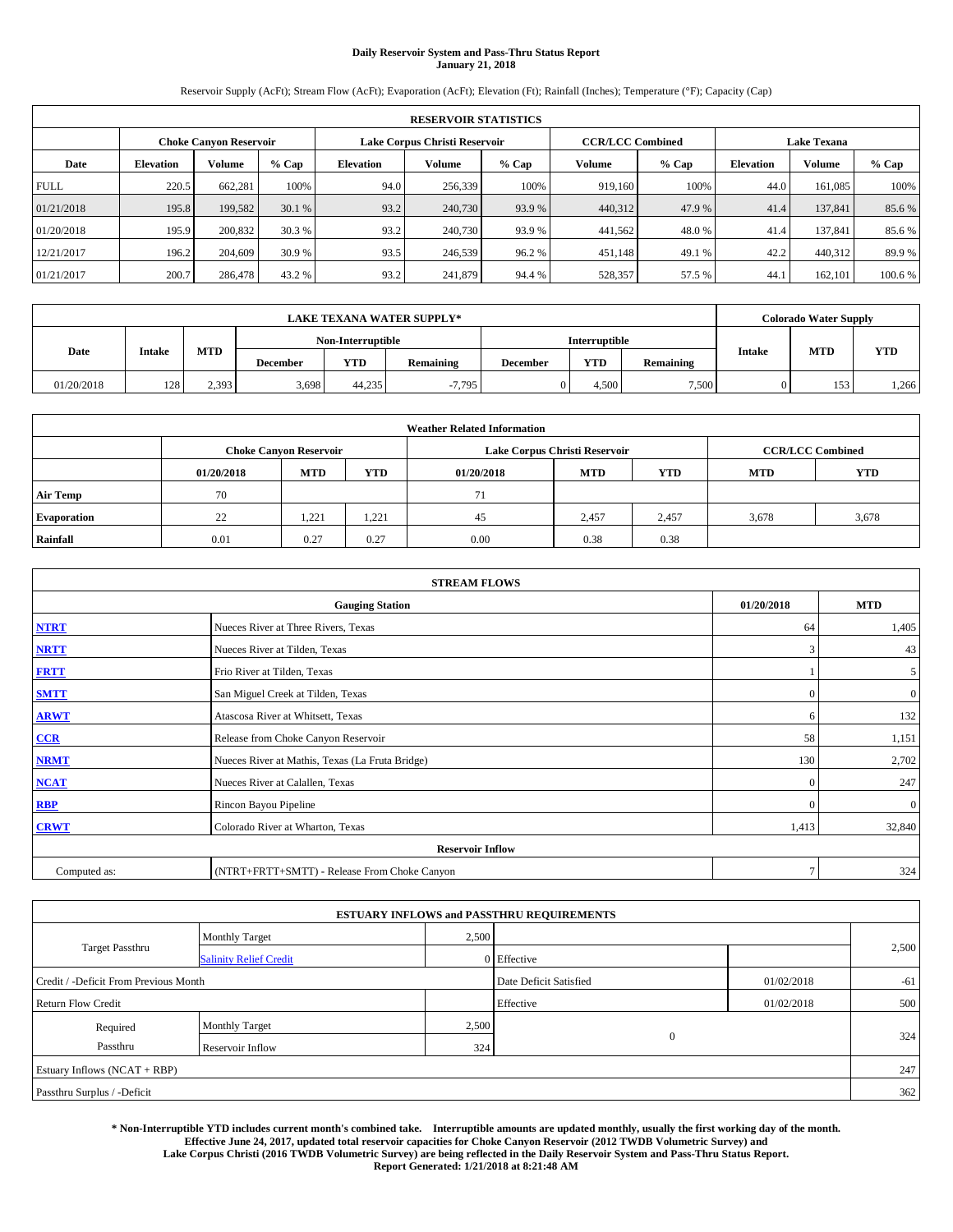# **Daily Reservoir System and Pass-Thru Status Report January 21, 2018**

Reservoir Supply (AcFt); Stream Flow (AcFt); Evaporation (AcFt); Elevation (Ft); Rainfall (Inches); Temperature (°F); Capacity (Cap)

|             | <b>RESERVOIR STATISTICS</b> |                               |         |                               |         |         |                         |         |                    |               |         |  |  |
|-------------|-----------------------------|-------------------------------|---------|-------------------------------|---------|---------|-------------------------|---------|--------------------|---------------|---------|--|--|
|             |                             | <b>Choke Canyon Reservoir</b> |         | Lake Corpus Christi Reservoir |         |         | <b>CCR/LCC Combined</b> |         | <b>Lake Texana</b> |               |         |  |  |
| Date        | <b>Elevation</b>            | Volume                        | $%$ Cap | <b>Elevation</b>              | Volume  | $%$ Cap | Volume                  | $%$ Cap | <b>Elevation</b>   | <b>Volume</b> | % Cap   |  |  |
| <b>FULL</b> | 220.5                       | 662,281                       | 100%    | 94.0                          | 256,339 | 100%    | 919.160                 | 100%    | 44.0               | 161.085       | 100%    |  |  |
| 01/21/2018  | 195.8                       | 199,582                       | 30.1 %  | 93.2                          | 240,730 | 93.9%   | 440,312                 | 47.9 %  | 41.4               | 137,841       | 85.6%   |  |  |
| 01/20/2018  | 195.9                       | 200,832                       | 30.3 %  | 93.2                          | 240,730 | 93.9 %  | 441,562                 | 48.0%   | 41.4               | 137,841       | 85.6%   |  |  |
| 12/21/2017  | 196.2                       | 204,609                       | 30.9 %  | 93.5                          | 246,539 | 96.2 %  | 451.148                 | 49.1 %  | 42.2               | 440,312       | 89.9%   |  |  |
| 01/21/2017  | 200.7                       | 286,478                       | 43.2 %  | 93.2                          | 241,879 | 94.4 %  | 528,357                 | 57.5 %  | 44.                | 162.101       | 100.6 % |  |  |

|            | <b>LAKE TEXANA WATER SUPPLY*</b> |            |                 |                   |           |                 |               |           |               | <b>Colorado Water Supply</b> |            |
|------------|----------------------------------|------------|-----------------|-------------------|-----------|-----------------|---------------|-----------|---------------|------------------------------|------------|
|            |                                  |            |                 | Non-Interruptible |           |                 | Interruptible |           |               |                              |            |
| Date       | <b>Intake</b>                    | <b>MTD</b> | <b>December</b> | <b>YTD</b>        | Remaining | <b>December</b> | <b>YTD</b>    | Remaining | <b>Intake</b> | <b>MTD</b>                   | <b>YTD</b> |
| 01/20/2018 | 128                              | 2.393      | 3,698           | 44,235            | $-7.795$  |                 | 4,500         | 7,500     |               | 153                          | 1,266      |

| <b>Weather Related Information</b>                                                             |      |                               |       |      |                               |                         |       |            |  |  |  |
|------------------------------------------------------------------------------------------------|------|-------------------------------|-------|------|-------------------------------|-------------------------|-------|------------|--|--|--|
|                                                                                                |      | <b>Choke Canvon Reservoir</b> |       |      | Lake Corpus Christi Reservoir | <b>CCR/LCC Combined</b> |       |            |  |  |  |
| <b>YTD</b><br><b>YTD</b><br><b>MTD</b><br><b>MTD</b><br><b>MTD</b><br>01/20/2018<br>01/20/2018 |      |                               |       |      |                               |                         |       | <b>YTD</b> |  |  |  |
| <b>Air Temp</b>                                                                                | 70   |                               |       | 71   |                               |                         |       |            |  |  |  |
| <b>Evaporation</b>                                                                             | 22   | 1,221                         | 1,221 | 45   | 2,457                         | 2,457                   | 3,678 | 3,678      |  |  |  |
| Rainfall                                                                                       | 0.01 | 0.27                          | 0.27  | 0.00 | 0.38                          | 0.38                    |       |            |  |  |  |

| <b>STREAM FLOWS</b> |                                                 |              |                  |  |  |  |  |  |
|---------------------|-------------------------------------------------|--------------|------------------|--|--|--|--|--|
|                     | <b>Gauging Station</b>                          | 01/20/2018   | <b>MTD</b>       |  |  |  |  |  |
| <b>NTRT</b>         | Nueces River at Three Rivers, Texas             | 64           | 1,405            |  |  |  |  |  |
| <b>NRTT</b>         | Nueces River at Tilden, Texas                   | 3            | 43               |  |  |  |  |  |
| <b>FRTT</b>         | Frio River at Tilden, Texas                     |              | 5                |  |  |  |  |  |
| <b>SMTT</b>         | San Miguel Creek at Tilden, Texas               | $\mathbf{0}$ | $\boldsymbol{0}$ |  |  |  |  |  |
| <b>ARWT</b>         | Atascosa River at Whitsett, Texas               | 6            | 132              |  |  |  |  |  |
| $CCR$               | Release from Choke Canyon Reservoir             | 58           | 1,151            |  |  |  |  |  |
| <b>NRMT</b>         | Nueces River at Mathis, Texas (La Fruta Bridge) | 130          | 2,702            |  |  |  |  |  |
| <b>NCAT</b>         | Nueces River at Calallen, Texas                 | $\Omega$     | 247              |  |  |  |  |  |
| RBP                 | Rincon Bayou Pipeline                           | $\Omega$     | $\mathbf{0}$     |  |  |  |  |  |
| <b>CRWT</b>         | Colorado River at Wharton, Texas                | 1,413        | 32,840           |  |  |  |  |  |
|                     | <b>Reservoir Inflow</b>                         |              |                  |  |  |  |  |  |
| Computed as:        | (NTRT+FRTT+SMTT) - Release From Choke Canyon    | $\tau$       | 324              |  |  |  |  |  |

|                                       |                               |       | <b>ESTUARY INFLOWS and PASSTHRU REQUIREMENTS</b> |            |       |
|---------------------------------------|-------------------------------|-------|--------------------------------------------------|------------|-------|
|                                       | <b>Monthly Target</b>         | 2,500 |                                                  |            |       |
| <b>Target Passthru</b>                | <b>Salinity Relief Credit</b> |       | 0 Effective                                      |            | 2,500 |
| Credit / -Deficit From Previous Month |                               |       | Date Deficit Satisfied                           | 01/02/2018 | $-61$ |
| <b>Return Flow Credit</b>             |                               |       | Effective                                        | 01/02/2018 | 500   |
| Required                              | <b>Monthly Target</b>         | 2,500 |                                                  |            |       |
| Passthru                              | Reservoir Inflow              | 324   | $\mathbf{0}$                                     |            | 324   |
| Estuary Inflows (NCAT + RBP)          |                               |       |                                                  |            | 247   |
| Passthru Surplus / -Deficit           |                               |       |                                                  |            | 362   |

**\* Non-Interruptible YTD includes current month's combined take. Interruptible amounts are updated monthly, usually the first working day of the month. Effective June 24, 2017, updated total reservoir capacities for Choke Canyon Reservoir (2012 TWDB Volumetric Survey) and Lake Corpus Christi (2016 TWDB Volumetric Survey) are being reflected in the Daily Reservoir System and Pass-Thru Status Report. Report Generated: 1/21/2018 at 8:21:48 AM**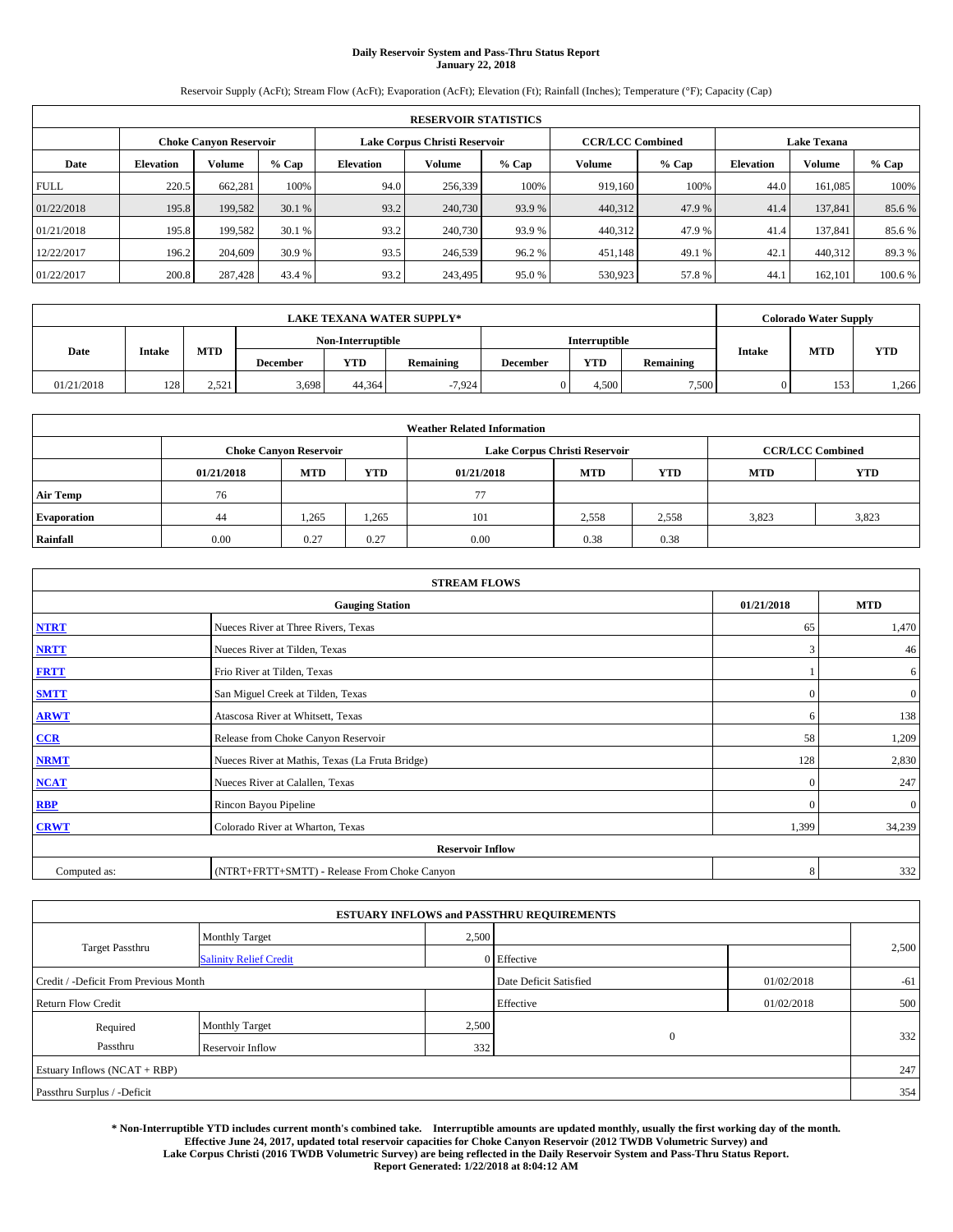# **Daily Reservoir System and Pass-Thru Status Report January 22, 2018**

Reservoir Supply (AcFt); Stream Flow (AcFt); Evaporation (AcFt); Elevation (Ft); Rainfall (Inches); Temperature (°F); Capacity (Cap)

|             | <b>RESERVOIR STATISTICS</b> |                               |         |                  |                               |         |                         |         |                    |               |         |  |  |
|-------------|-----------------------------|-------------------------------|---------|------------------|-------------------------------|---------|-------------------------|---------|--------------------|---------------|---------|--|--|
|             |                             | <b>Choke Canyon Reservoir</b> |         |                  | Lake Corpus Christi Reservoir |         | <b>CCR/LCC Combined</b> |         | <b>Lake Texana</b> |               |         |  |  |
| Date        | <b>Elevation</b>            | Volume                        | $%$ Cap | <b>Elevation</b> | Volume                        | $%$ Cap | Volume                  | $%$ Cap | <b>Elevation</b>   | <b>Volume</b> | $%$ Cap |  |  |
| <b>FULL</b> | 220.5                       | 662,281                       | 100%    | 94.0             | 256,339                       | 100%    | 919.160                 | 100%    | 44.0               | 161.085       | 100%    |  |  |
| 01/22/2018  | 195.8                       | 199,582                       | 30.1 %  | 93.2             | 240,730                       | 93.9%   | 440,312                 | 47.9 %  | 41.4               | 137,841       | 85.6%   |  |  |
| 01/21/2018  | 195.8                       | 199.582                       | 30.1 %  | 93.2             | 240,730                       | 93.9 %  | 440,312                 | 47.9 %  | 41.4               | 137,841       | 85.6%   |  |  |
| 12/22/2017  | 196.2                       | 204,609                       | 30.9 %  | 93.5             | 246,539                       | 96.2 %  | 451.148                 | 49.1 %  | 42.1               | 440.312       | 89.3%   |  |  |
| 01/22/2017  | 200.8                       | 287,428                       | 43.4 %  | 93.2             | 243,495                       | 95.0%   | 530,923                 | 57.8%   | 44.                | 162.101       | 100.6 % |  |  |

|            | <b>LAKE TEXANA WATER SUPPLY*</b> |            |                 |                   |           |                 |            |           |                             | <b>Colorado Water Supply</b> |            |
|------------|----------------------------------|------------|-----------------|-------------------|-----------|-----------------|------------|-----------|-----------------------------|------------------------------|------------|
|            |                                  |            |                 | Non-Interruptible |           | Interruptible   |            |           |                             |                              |            |
| Date       | <b>Intake</b>                    | <b>MTD</b> | <b>December</b> | <b>YTD</b>        | Remaining | <b>December</b> | <b>YTD</b> | Remaining | <b>MTD</b><br><b>Intake</b> |                              | <b>YTD</b> |
| 01/21/2018 | 128                              | 2.521      | 3,698           | 44.364            | $-7.924$  |                 | 4,500      | 7,500     |                             | 153                          | 1,266      |

| <b>Weather Related Information</b>                                                             |      |                               |       |      |                               |                         |       |            |  |  |  |
|------------------------------------------------------------------------------------------------|------|-------------------------------|-------|------|-------------------------------|-------------------------|-------|------------|--|--|--|
|                                                                                                |      | <b>Choke Canyon Reservoir</b> |       |      | Lake Corpus Christi Reservoir | <b>CCR/LCC Combined</b> |       |            |  |  |  |
| <b>YTD</b><br><b>YTD</b><br><b>MTD</b><br><b>MTD</b><br><b>MTD</b><br>01/21/2018<br>01/21/2018 |      |                               |       |      |                               |                         |       | <b>YTD</b> |  |  |  |
| <b>Air Temp</b>                                                                                | 76   |                               |       | 77   |                               |                         |       |            |  |  |  |
| <b>Evaporation</b>                                                                             | 44   | 1,265                         | 1,265 | 101  | 2,558                         | 2,558                   | 3,823 | 3,823      |  |  |  |
| Rainfall                                                                                       | 0.00 | 0.27                          | 0.27  | 0.00 | 0.38                          | 0.38                    |       |            |  |  |  |

| <b>STREAM FLOWS</b> |                                                 |              |                  |  |  |  |  |  |  |
|---------------------|-------------------------------------------------|--------------|------------------|--|--|--|--|--|--|
|                     | <b>Gauging Station</b>                          |              |                  |  |  |  |  |  |  |
| <b>NTRT</b>         | Nueces River at Three Rivers, Texas             | 65           | 1,470            |  |  |  |  |  |  |
| <b>NRTT</b>         | Nueces River at Tilden, Texas                   | 3            | 46               |  |  |  |  |  |  |
| <b>FRTT</b>         | Frio River at Tilden, Texas                     |              | 6                |  |  |  |  |  |  |
| <b>SMTT</b>         | San Miguel Creek at Tilden, Texas               | $\mathbf{0}$ | $\boldsymbol{0}$ |  |  |  |  |  |  |
| <b>ARWT</b>         | Atascosa River at Whitsett, Texas               | 6            | 138              |  |  |  |  |  |  |
| $CCR$               | Release from Choke Canyon Reservoir             | 58           | 1,209            |  |  |  |  |  |  |
| <b>NRMT</b>         | Nueces River at Mathis, Texas (La Fruta Bridge) | 128          | 2,830            |  |  |  |  |  |  |
| <b>NCAT</b>         | Nueces River at Calallen, Texas                 | $\Omega$     | 247              |  |  |  |  |  |  |
| RBP                 | Rincon Bayou Pipeline                           | $\Omega$     | $\mathbf{0}$     |  |  |  |  |  |  |
| <b>CRWT</b>         | Colorado River at Wharton, Texas                | 1,399        | 34,239           |  |  |  |  |  |  |
|                     | <b>Reservoir Inflow</b>                         |              |                  |  |  |  |  |  |  |
| Computed as:        | (NTRT+FRTT+SMTT) - Release From Choke Canyon    | 8            | 332              |  |  |  |  |  |  |

| <b>ESTUARY INFLOWS and PASSTHRU REQUIREMENTS</b> |                               |                        |              |            |       |  |  |  |  |  |
|--------------------------------------------------|-------------------------------|------------------------|--------------|------------|-------|--|--|--|--|--|
|                                                  | <b>Monthly Target</b>         | 2,500                  |              |            |       |  |  |  |  |  |
| <b>Target Passthru</b>                           | <b>Salinity Relief Credit</b> |                        | 0 Effective  |            | 2,500 |  |  |  |  |  |
| Credit / -Deficit From Previous Month            |                               | Date Deficit Satisfied | 01/02/2018   | $-61$      |       |  |  |  |  |  |
| <b>Return Flow Credit</b>                        |                               |                        | Effective    | 01/02/2018 | 500   |  |  |  |  |  |
| Required                                         | <b>Monthly Target</b>         | 2,500                  |              |            |       |  |  |  |  |  |
| Passthru                                         | Reservoir Inflow              | 332                    | $\mathbf{0}$ |            | 332   |  |  |  |  |  |
| Estuary Inflows (NCAT + RBP)                     |                               |                        |              |            | 247   |  |  |  |  |  |
| Passthru Surplus / -Deficit                      |                               |                        |              |            | 354   |  |  |  |  |  |

**\* Non-Interruptible YTD includes current month's combined take. Interruptible amounts are updated monthly, usually the first working day of the month. Effective June 24, 2017, updated total reservoir capacities for Choke Canyon Reservoir (2012 TWDB Volumetric Survey) and Lake Corpus Christi (2016 TWDB Volumetric Survey) are being reflected in the Daily Reservoir System and Pass-Thru Status Report. Report Generated: 1/22/2018 at 8:04:12 AM**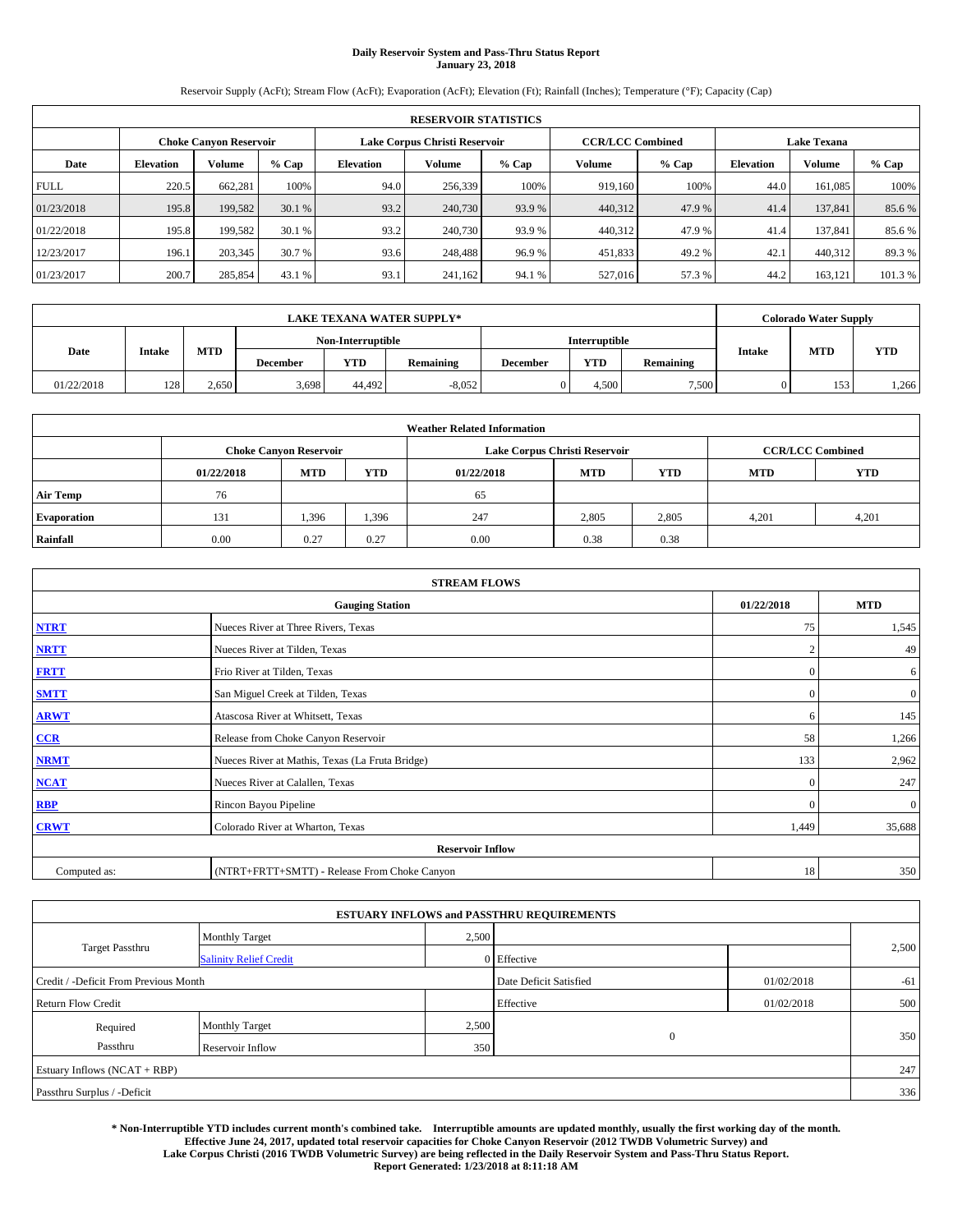# **Daily Reservoir System and Pass-Thru Status Report January 23, 2018**

Reservoir Supply (AcFt); Stream Flow (AcFt); Evaporation (AcFt); Elevation (Ft); Rainfall (Inches); Temperature (°F); Capacity (Cap)

|             | <b>RESERVOIR STATISTICS</b> |                               |         |                  |                               |         |                         |         |                    |               |         |  |
|-------------|-----------------------------|-------------------------------|---------|------------------|-------------------------------|---------|-------------------------|---------|--------------------|---------------|---------|--|
|             |                             | <b>Choke Canyon Reservoir</b> |         |                  | Lake Corpus Christi Reservoir |         | <b>CCR/LCC Combined</b> |         | <b>Lake Texana</b> |               |         |  |
| Date        | <b>Elevation</b>            | Volume                        | $%$ Cap | <b>Elevation</b> | Volume                        | $%$ Cap | Volume                  | $%$ Cap | <b>Elevation</b>   | <b>Volume</b> | $%$ Cap |  |
| <b>FULL</b> | 220.5                       | 662,281                       | 100%    | 94.0             | 256,339                       | 100%    | 919.160                 | 100%    | 44.0               | 161.085       | 100%    |  |
| 01/23/2018  | 195.8                       | 199,582                       | 30.1 %  | 93.2             | 240,730                       | 93.9%   | 440,312                 | 47.9 %  | 41.4               | 137,841       | 85.6%   |  |
| 01/22/2018  | 195.8                       | 199.582                       | 30.1 %  | 93.2             | 240,730                       | 93.9 %  | 440,312                 | 47.9 %  | 41.4               | 137,841       | 85.6%   |  |
| 12/23/2017  | 196.1                       | 203,345                       | 30.7 %  | 93.6             | 248,488                       | 96.9%   | 451,833                 | 49.2%   | 42.1               | 440.312       | 89.3%   |  |
| 01/23/2017  | 200.7                       | 285,854                       | 43.1 %  | 93.1             | 241,162                       | 94.1 %  | 527,016                 | 57.3 %  | 44.2               | 163.121       | 101.3 % |  |

| <b>LAKE TEXANA WATER SUPPLY*</b> |               |            |                   |            |           |                      |            | <b>Colorado Water Supply</b> |               |            |            |
|----------------------------------|---------------|------------|-------------------|------------|-----------|----------------------|------------|------------------------------|---------------|------------|------------|
|                                  |               |            | Non-Interruptible |            |           | <b>Interruptible</b> |            |                              |               |            |            |
| Date                             | <b>Intake</b> | <b>MTD</b> | <b>December</b>   | <b>YTD</b> | Remaining | December             | <b>YTD</b> | Remaining                    | <b>Intake</b> | <b>MTD</b> | <b>YTD</b> |
| 01/22/2018                       | 128           | 2.650      | 3,698             | 44.492     | $-8,052$  |                      | 4.500      | 7,500                        |               | 153        | 1,266      |

| <b>Weather Related Information</b> |            |                               |            |            |                               |                         |            |            |  |  |  |
|------------------------------------|------------|-------------------------------|------------|------------|-------------------------------|-------------------------|------------|------------|--|--|--|
|                                    |            | <b>Choke Canyon Reservoir</b> |            |            | Lake Corpus Christi Reservoir | <b>CCR/LCC Combined</b> |            |            |  |  |  |
|                                    | 01/22/2018 | <b>MTD</b>                    | <b>YTD</b> | 01/22/2018 | <b>MTD</b>                    | <b>YTD</b>              | <b>MTD</b> | <b>YTD</b> |  |  |  |
| <b>Air Temp</b>                    | 76         |                               |            | 65         |                               |                         |            |            |  |  |  |
| <b>Evaporation</b>                 | 131        | 1,396                         | 1,396      | 247        | 2,805                         | 2,805                   | 4.201      | 4,201      |  |  |  |
| Rainfall                           | 0.00       | 0.27                          | 0.27       | 0.00       | 0.38                          | 0.38                    |            |            |  |  |  |

| <b>STREAM FLOWS</b> |                                                 |                |              |  |  |  |  |  |  |
|---------------------|-------------------------------------------------|----------------|--------------|--|--|--|--|--|--|
|                     | <b>Gauging Station</b>                          |                |              |  |  |  |  |  |  |
| <b>NTRT</b>         | Nueces River at Three Rivers, Texas             | 75             | 1,545        |  |  |  |  |  |  |
| <b>NRTT</b>         | Nueces River at Tilden, Texas                   | $\overline{2}$ | 49           |  |  |  |  |  |  |
| <b>FRTT</b>         | Frio River at Tilden, Texas                     | $\mathbf{0}$   | 6            |  |  |  |  |  |  |
| <b>SMTT</b>         | San Miguel Creek at Tilden, Texas               | $\mathbf{0}$   | $\mathbf{0}$ |  |  |  |  |  |  |
| <b>ARWT</b>         | Atascosa River at Whitsett, Texas               | 6              | 145          |  |  |  |  |  |  |
| CCR                 | Release from Choke Canyon Reservoir             | 58             | 1,266        |  |  |  |  |  |  |
| <b>NRMT</b>         | Nueces River at Mathis, Texas (La Fruta Bridge) | 133            | 2,962        |  |  |  |  |  |  |
| <b>NCAT</b>         | Nueces River at Calallen, Texas                 | $\Omega$       | 247          |  |  |  |  |  |  |
| <b>RBP</b>          | Rincon Bayou Pipeline                           | $\Omega$       | $\mathbf{0}$ |  |  |  |  |  |  |
| <b>CRWT</b>         | Colorado River at Wharton, Texas                | 1,449          | 35,688       |  |  |  |  |  |  |
|                     | <b>Reservoir Inflow</b>                         |                |              |  |  |  |  |  |  |
| Computed as:        | (NTRT+FRTT+SMTT) - Release From Choke Canyon    | 18             | 350          |  |  |  |  |  |  |

|                                       |                               |       | <b>ESTUARY INFLOWS and PASSTHRU REQUIREMENTS</b> |            |       |
|---------------------------------------|-------------------------------|-------|--------------------------------------------------|------------|-------|
|                                       | <b>Monthly Target</b>         | 2,500 |                                                  |            |       |
| <b>Target Passthru</b>                | <b>Salinity Relief Credit</b> |       | 0 Effective                                      |            | 2,500 |
| Credit / -Deficit From Previous Month |                               |       | Date Deficit Satisfied                           | 01/02/2018 | $-61$ |
| <b>Return Flow Credit</b>             |                               |       | Effective                                        | 01/02/2018 | 500   |
| Required                              | <b>Monthly Target</b>         | 2,500 |                                                  |            |       |
| Passthru                              | Reservoir Inflow              | 350   | $\mathbf{0}$                                     |            | 350   |
| Estuary Inflows (NCAT + RBP)          |                               |       |                                                  |            | 247   |
| Passthru Surplus / -Deficit           |                               |       |                                                  |            | 336   |

**\* Non-Interruptible YTD includes current month's combined take. Interruptible amounts are updated monthly, usually the first working day of the month. Effective June 24, 2017, updated total reservoir capacities for Choke Canyon Reservoir (2012 TWDB Volumetric Survey) and Lake Corpus Christi (2016 TWDB Volumetric Survey) are being reflected in the Daily Reservoir System and Pass-Thru Status Report. Report Generated: 1/23/2018 at 8:11:18 AM**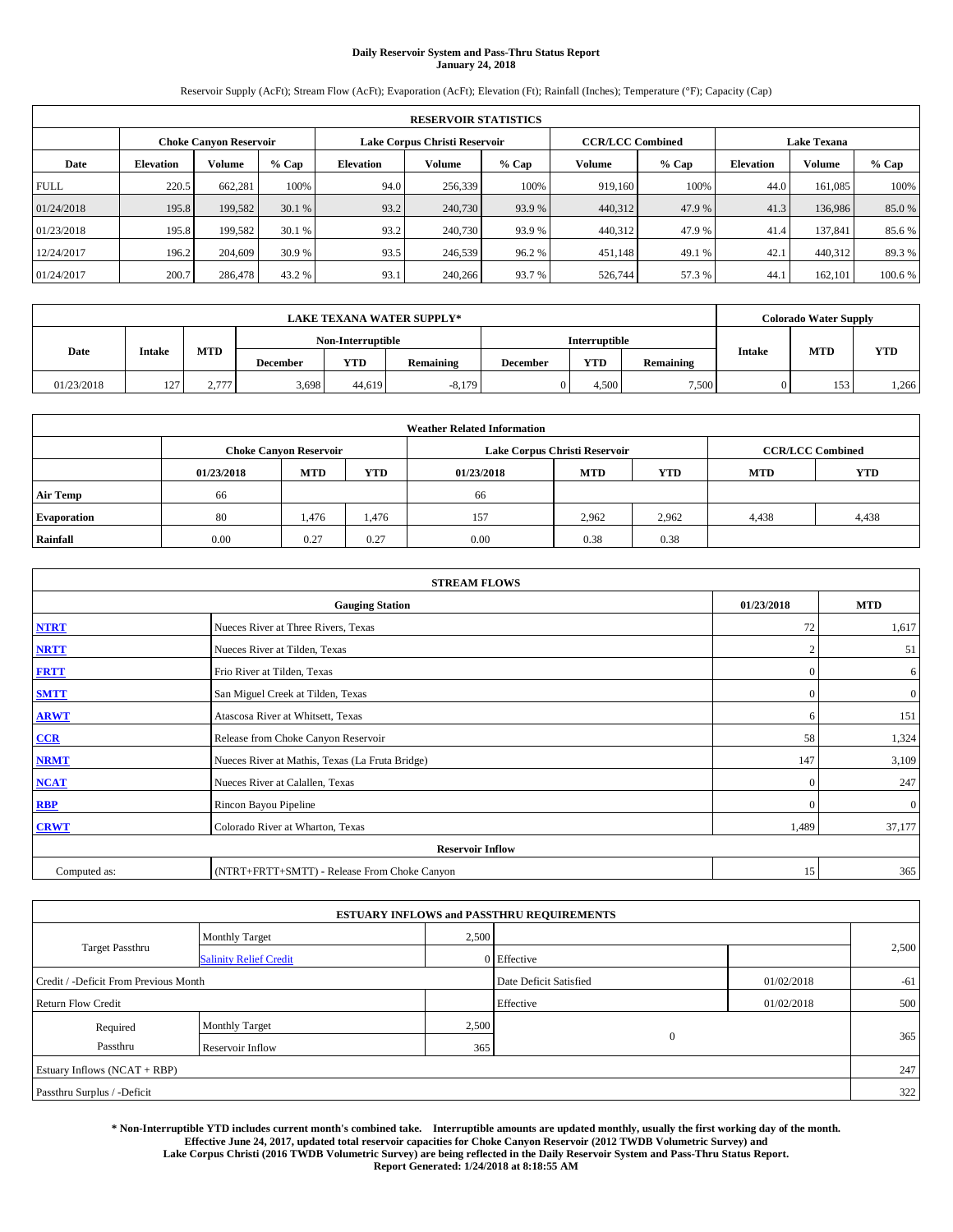# **Daily Reservoir System and Pass-Thru Status Report January 24, 2018**

Reservoir Supply (AcFt); Stream Flow (AcFt); Evaporation (AcFt); Elevation (Ft); Rainfall (Inches); Temperature (°F); Capacity (Cap)

|             | <b>RESERVOIR STATISTICS</b> |                               |         |                  |                               |         |                         |         |                    |               |         |  |
|-------------|-----------------------------|-------------------------------|---------|------------------|-------------------------------|---------|-------------------------|---------|--------------------|---------------|---------|--|
|             |                             | <b>Choke Canyon Reservoir</b> |         |                  | Lake Corpus Christi Reservoir |         | <b>CCR/LCC Combined</b> |         | <b>Lake Texana</b> |               |         |  |
| Date        | <b>Elevation</b>            | Volume                        | $%$ Cap | <b>Elevation</b> | Volume                        | $%$ Cap | Volume                  | $%$ Cap | <b>Elevation</b>   | <b>Volume</b> | % Cap   |  |
| <b>FULL</b> | 220.5                       | 662.281                       | 100%    | 94.0             | 256,339                       | 100%    | 919.160                 | 100%    | 44.0               | 161.085       | 100%    |  |
| 01/24/2018  | 195.8                       | 199,582                       | 30.1 %  | 93.2             | 240,730                       | 93.9 %  | 440,312                 | 47.9 %  | 41.3               | 136,986       | 85.0%   |  |
| 01/23/2018  | 195.8                       | 199.582                       | 30.1 %  | 93.2             | 240,730                       | 93.9 %  | 440,312                 | 47.9 %  | 41.4               | 137,841       | 85.6 %  |  |
| 12/24/2017  | 196.2                       | 204,609                       | 30.9 %  | 93.5             | 246,539                       | 96.2%   | 451,148                 | 49.1 %  | 42.1               | 440.312       | 89.3%   |  |
| 01/24/2017  | 200.7                       | 286,478                       | 43.2 %  | 93.1             | 240,266                       | 93.7 %  | 526,744                 | 57.3 %  | 44.                | 162,101       | 100.6 % |  |

| <b>LAKE TEXANA WATER SUPPLY*</b> |               |            |                   |            |           |                      |            | <b>Colorado Water Supply</b> |               |            |            |
|----------------------------------|---------------|------------|-------------------|------------|-----------|----------------------|------------|------------------------------|---------------|------------|------------|
|                                  |               |            | Non-Interruptible |            |           | <b>Interruptible</b> |            |                              |               |            |            |
| Date                             | <b>Intake</b> | <b>MTD</b> | <b>December</b>   | <b>YTD</b> | Remaining | December             | <b>YTD</b> | Remaining                    | <b>Intake</b> | <b>MTD</b> | <b>YTD</b> |
| 01/23/2018                       | 127<br>- 1    | 2.777      | 3,698             | 44,619     | $-8,179$  |                      | 4.500      | 7,500                        |               | 153        | 1,266      |

| <b>Weather Related Information</b> |            |                               |            |            |                               |                         |            |            |  |  |  |
|------------------------------------|------------|-------------------------------|------------|------------|-------------------------------|-------------------------|------------|------------|--|--|--|
|                                    |            | <b>Choke Canvon Reservoir</b> |            |            | Lake Corpus Christi Reservoir | <b>CCR/LCC Combined</b> |            |            |  |  |  |
|                                    | 01/23/2018 | <b>MTD</b>                    | <b>YTD</b> | 01/23/2018 | <b>MTD</b>                    | <b>YTD</b>              | <b>MTD</b> | <b>YTD</b> |  |  |  |
| <b>Air Temp</b>                    | 66         |                               |            | 66         |                               |                         |            |            |  |  |  |
| <b>Evaporation</b>                 | 80         | 1,476                         | 1,476      | 157        | 2,962                         | 2,962                   | 4,438      | 4,438      |  |  |  |
| Rainfall                           | 0.00       | 0.27                          | 0.27       | 0.00       | 0.38                          | 0.38                    |            |            |  |  |  |

| <b>STREAM FLOWS</b> |                                                 |              |              |  |  |  |  |  |  |
|---------------------|-------------------------------------------------|--------------|--------------|--|--|--|--|--|--|
|                     | <b>Gauging Station</b>                          | 01/23/2018   | <b>MTD</b>   |  |  |  |  |  |  |
| <b>NTRT</b>         | Nueces River at Three Rivers, Texas             | 72           | 1,617        |  |  |  |  |  |  |
| <b>NRTT</b>         | Nueces River at Tilden, Texas                   | $\bigcap$    | 51           |  |  |  |  |  |  |
| <b>FRTT</b>         | Frio River at Tilden, Texas                     | $\Omega$     | 6            |  |  |  |  |  |  |
| <b>SMTT</b>         | San Miguel Creek at Tilden, Texas               | $\mathbf{0}$ | $\mathbf{0}$ |  |  |  |  |  |  |
| <b>ARWT</b>         | Atascosa River at Whitsett, Texas               | 6            | 151          |  |  |  |  |  |  |
| $CCR$               | Release from Choke Canyon Reservoir             | 58           | 1,324        |  |  |  |  |  |  |
| <b>NRMT</b>         | Nueces River at Mathis, Texas (La Fruta Bridge) | 147          | 3,109        |  |  |  |  |  |  |
| <b>NCAT</b>         | Nueces River at Calallen, Texas                 | $\mathbf{0}$ | 247          |  |  |  |  |  |  |
| RBP                 | Rincon Bayou Pipeline                           | $\Omega$     | $\mathbf{0}$ |  |  |  |  |  |  |
| <b>CRWT</b>         | Colorado River at Wharton, Texas                | 1,489        | 37,177       |  |  |  |  |  |  |
|                     | <b>Reservoir Inflow</b>                         |              |              |  |  |  |  |  |  |
| Computed as:        | (NTRT+FRTT+SMTT) - Release From Choke Canyon    | 15           | 365          |  |  |  |  |  |  |

| <b>ESTUARY INFLOWS and PASSTHRU REQUIREMENTS</b> |                               |       |                        |            |       |  |  |  |  |  |
|--------------------------------------------------|-------------------------------|-------|------------------------|------------|-------|--|--|--|--|--|
|                                                  | <b>Monthly Target</b>         | 2,500 |                        |            |       |  |  |  |  |  |
| <b>Target Passthru</b>                           | <b>Salinity Relief Credit</b> |       | 0 Effective            |            | 2,500 |  |  |  |  |  |
| Credit / -Deficit From Previous Month            |                               |       | Date Deficit Satisfied | 01/02/2018 | $-61$ |  |  |  |  |  |
| <b>Return Flow Credit</b>                        |                               |       | Effective              | 01/02/2018 | 500   |  |  |  |  |  |
| Required                                         | <b>Monthly Target</b>         | 2,500 |                        |            |       |  |  |  |  |  |
| Passthru                                         | <b>Reservoir Inflow</b>       | 365   | $\mathbf{0}$           |            | 365   |  |  |  |  |  |
| Estuary Inflows (NCAT + RBP)                     |                               |       |                        |            | 247   |  |  |  |  |  |
| Passthru Surplus / -Deficit                      |                               |       |                        |            | 322   |  |  |  |  |  |

**\* Non-Interruptible YTD includes current month's combined take. Interruptible amounts are updated monthly, usually the first working day of the month. Effective June 24, 2017, updated total reservoir capacities for Choke Canyon Reservoir (2012 TWDB Volumetric Survey) and Lake Corpus Christi (2016 TWDB Volumetric Survey) are being reflected in the Daily Reservoir System and Pass-Thru Status Report. Report Generated: 1/24/2018 at 8:18:55 AM**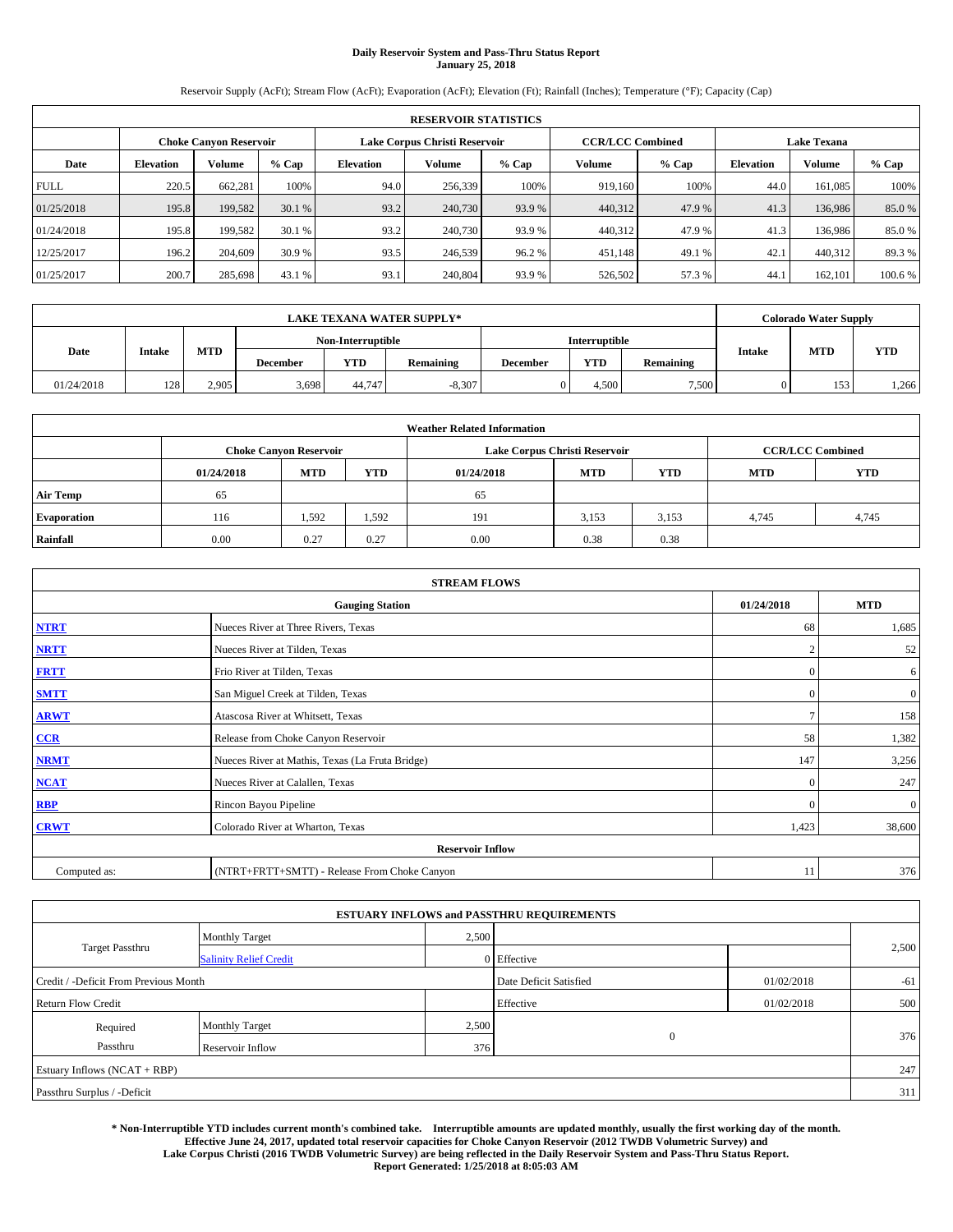# **Daily Reservoir System and Pass-Thru Status Report January 25, 2018**

Reservoir Supply (AcFt); Stream Flow (AcFt); Evaporation (AcFt); Elevation (Ft); Rainfall (Inches); Temperature (°F); Capacity (Cap)

|             | <b>RESERVOIR STATISTICS</b> |                               |         |                  |                               |         |                         |         |                  |                    |         |  |
|-------------|-----------------------------|-------------------------------|---------|------------------|-------------------------------|---------|-------------------------|---------|------------------|--------------------|---------|--|
|             |                             | <b>Choke Canyon Reservoir</b> |         |                  | Lake Corpus Christi Reservoir |         | <b>CCR/LCC Combined</b> |         |                  | <b>Lake Texana</b> |         |  |
| Date        | <b>Elevation</b>            | Volume                        | $%$ Cap | <b>Elevation</b> | Volume                        | $%$ Cap | Volume                  | $%$ Cap | <b>Elevation</b> | <b>Volume</b>      | % Cap   |  |
| <b>FULL</b> | 220.5                       | 662,281                       | 100%    | 94.0             | 256,339                       | 100%    | 919.160                 | 100%    | 44.0             | 161.085            | 100%    |  |
| 01/25/2018  | 195.8                       | 199,582                       | 30.1 %  | 93.2             | 240,730                       | 93.9%   | 440,312                 | 47.9 %  | 41.3             | 136,986            | 85.0%   |  |
| 01/24/2018  | 195.8                       | 199.582                       | 30.1 %  | 93.2             | 240,730                       | 93.9 %  | 440,312                 | 47.9 %  | 41.3             | 136,986            | 85.0%   |  |
| 12/25/2017  | 196.2                       | 204,609                       | 30.9 %  | 93.5             | 246,539                       | 96.2 %  | 451.148                 | 49.1 %  | 42.1             | 440,312            | 89.3%   |  |
| 01/25/2017  | 200.7                       | 285,698                       | 43.1 %  | 93.1             | 240,804                       | 93.9%   | 526,502                 | 57.3 %  | 44.              | 162.101            | 100.6 % |  |

|            | <b>LAKE TEXANA WATER SUPPLY*</b> |            |                 |                         |          |  |                      |           |               | <b>Colorado Water Supply</b> |            |
|------------|----------------------------------|------------|-----------------|-------------------------|----------|--|----------------------|-----------|---------------|------------------------------|------------|
|            |                                  |            |                 | Non-Interruptible       |          |  | <b>Interruptible</b> |           |               |                              |            |
| Date       | <b>Intake</b>                    | <b>MTD</b> | <b>December</b> | <b>YTD</b><br>Remaining |          |  | <b>YTD</b>           | Remaining | <b>Intake</b> | <b>MTD</b>                   | <b>YTD</b> |
| 01/24/2018 | 128                              | 2.905      | 3,698           | 44,747                  | $-8,307$ |  | 4.500                | 7,500     |               | 153                          | 1,266      |

| <b>Weather Related Information</b> |            |                               |            |            |                                                      |                         |       |       |  |  |
|------------------------------------|------------|-------------------------------|------------|------------|------------------------------------------------------|-------------------------|-------|-------|--|--|
|                                    |            | <b>Choke Canyon Reservoir</b> |            |            | Lake Corpus Christi Reservoir                        | <b>CCR/LCC Combined</b> |       |       |  |  |
|                                    | 01/24/2018 | <b>MTD</b>                    | <b>YTD</b> | 01/24/2018 | <b>YTD</b><br><b>YTD</b><br><b>MTD</b><br><b>MTD</b> |                         |       |       |  |  |
| <b>Air Temp</b>                    | 65         |                               |            | 65         |                                                      |                         |       |       |  |  |
| <b>Evaporation</b>                 | 116        | 1,592                         | 1,592      | 191        | 3,153                                                | 3,153                   | 4.745 | 4,745 |  |  |
| Rainfall                           | 0.00       | 0.27                          | 0.27       | 0.00       | 0.38                                                 | 0.38                    |       |       |  |  |

| <b>STREAM FLOWS</b> |                                                 |                |                  |  |  |  |  |  |  |
|---------------------|-------------------------------------------------|----------------|------------------|--|--|--|--|--|--|
|                     | <b>Gauging Station</b>                          | 01/24/2018     | <b>MTD</b>       |  |  |  |  |  |  |
| <b>NTRT</b>         | Nueces River at Three Rivers, Texas             | 68             | 1,685            |  |  |  |  |  |  |
| <b>NRTT</b>         | Nueces River at Tilden, Texas                   | $\overline{2}$ | 52               |  |  |  |  |  |  |
| <b>FRTT</b>         | Frio River at Tilden, Texas                     | $\mathbf{0}$   | 6                |  |  |  |  |  |  |
| <b>SMTT</b>         | San Miguel Creek at Tilden, Texas               | $\mathbf{0}$   | $\boldsymbol{0}$ |  |  |  |  |  |  |
| <b>ARWT</b>         | Atascosa River at Whitsett, Texas               | $\mathcal{I}$  | 158              |  |  |  |  |  |  |
| $CCR$               | Release from Choke Canyon Reservoir             | 58             | 1,382            |  |  |  |  |  |  |
| <b>NRMT</b>         | Nueces River at Mathis, Texas (La Fruta Bridge) | 147            | 3,256            |  |  |  |  |  |  |
| <b>NCAT</b>         | Nueces River at Calallen, Texas                 | $\Omega$       | 247              |  |  |  |  |  |  |
| RBP                 | Rincon Bayou Pipeline                           | $\Omega$       | $\mathbf{0}$     |  |  |  |  |  |  |
| <b>CRWT</b>         | Colorado River at Wharton, Texas                | 1,423          | 38,600           |  |  |  |  |  |  |
|                     | <b>Reservoir Inflow</b>                         |                |                  |  |  |  |  |  |  |
| Computed as:        | (NTRT+FRTT+SMTT) - Release From Choke Canyon    | 11             | 376              |  |  |  |  |  |  |

|                                       |                               |       | <b>ESTUARY INFLOWS and PASSTHRU REQUIREMENTS</b> |            |       |
|---------------------------------------|-------------------------------|-------|--------------------------------------------------|------------|-------|
|                                       | <b>Monthly Target</b>         | 2,500 |                                                  |            |       |
| <b>Target Passthru</b>                | <b>Salinity Relief Credit</b> |       | 0 Effective                                      |            | 2,500 |
| Credit / -Deficit From Previous Month |                               |       | Date Deficit Satisfied                           | 01/02/2018 | $-61$ |
| <b>Return Flow Credit</b>             |                               |       | Effective                                        | 01/02/2018 | 500   |
| Required                              | <b>Monthly Target</b>         | 2,500 |                                                  |            |       |
| Passthru                              | Reservoir Inflow              | 376   | $\theta$                                         |            | 376   |
| Estuary Inflows (NCAT + RBP)          |                               |       |                                                  |            | 247   |
| Passthru Surplus / -Deficit           |                               |       |                                                  |            | 311   |

**\* Non-Interruptible YTD includes current month's combined take. Interruptible amounts are updated monthly, usually the first working day of the month. Effective June 24, 2017, updated total reservoir capacities for Choke Canyon Reservoir (2012 TWDB Volumetric Survey) and Lake Corpus Christi (2016 TWDB Volumetric Survey) are being reflected in the Daily Reservoir System and Pass-Thru Status Report. Report Generated: 1/25/2018 at 8:05:03 AM**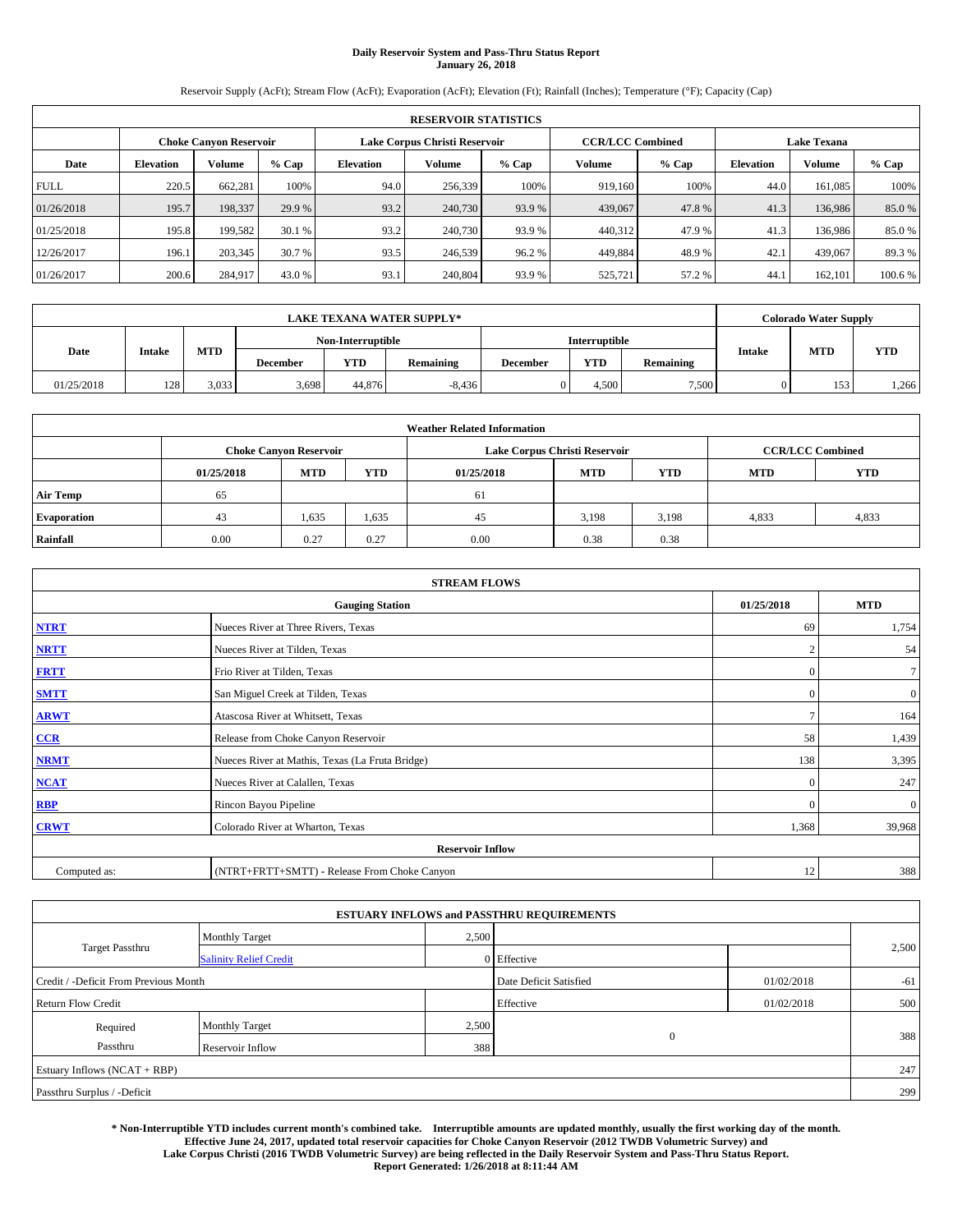# **Daily Reservoir System and Pass-Thru Status Report January 26, 2018**

Reservoir Supply (AcFt); Stream Flow (AcFt); Evaporation (AcFt); Elevation (Ft); Rainfall (Inches); Temperature (°F); Capacity (Cap)

|             | <b>RESERVOIR STATISTICS</b> |                               |         |                  |                               |         |                         |         |                  |                    |         |  |
|-------------|-----------------------------|-------------------------------|---------|------------------|-------------------------------|---------|-------------------------|---------|------------------|--------------------|---------|--|
|             |                             | <b>Choke Canyon Reservoir</b> |         |                  | Lake Corpus Christi Reservoir |         | <b>CCR/LCC Combined</b> |         |                  | <b>Lake Texana</b> |         |  |
| Date        | <b>Elevation</b>            | Volume                        | $%$ Cap | <b>Elevation</b> | Volume                        | $%$ Cap | Volume                  | $%$ Cap | <b>Elevation</b> | <b>Volume</b>      | % Cap   |  |
| <b>FULL</b> | 220.5                       | 662,281                       | 100%    | 94.0             | 256,339                       | 100%    | 919.160                 | 100%    | 44.0             | 161.085            | 100%    |  |
| 01/26/2018  | 195.7                       | 198,337                       | 29.9 %  | 93.2             | 240,730                       | 93.9%   | 439,067                 | 47.8%   | 41.3             | 136,986            | 85.0%   |  |
| 01/25/2018  | 195.8                       | 199.582                       | 30.1 %  | 93.2             | 240,730                       | 93.9 %  | 440,312                 | 47.9 %  | 41.3             | 136,986            | 85.0%   |  |
| 12/26/2017  | 196.1                       | 203,345                       | 30.7 %  | 93.5             | 246,539                       | 96.2 %  | 449.884                 | 48.9%   | 42.1             | 439,067            | 89.3%   |  |
| 01/26/2017  | 200.6                       | 284,917                       | 43.0 %  | 93.1             | 240,804                       | 93.9%   | 525,721                 | 57.2%   | 44.              | 162.101            | 100.6 % |  |

|            | <b>LAKE TEXANA WATER SUPPLY*</b> |            |                 |                   |           |                 |               |           |               | <b>Colorado Water Supply</b> |            |
|------------|----------------------------------|------------|-----------------|-------------------|-----------|-----------------|---------------|-----------|---------------|------------------------------|------------|
|            |                                  |            |                 | Non-Interruptible |           |                 | Interruptible |           |               |                              |            |
| Date       | <b>Intake</b>                    | <b>MTD</b> | <b>December</b> | <b>YTD</b>        | Remaining | <b>December</b> | <b>YTD</b>    | Remaining | <b>Intake</b> | <b>MTD</b>                   | <b>YTD</b> |
| 01/25/2018 | 128                              | 3.033      | 3,698           | 44,876            | $-8.436$  |                 | 4,500         | 7,500     |               | 153                          | 1,266      |

| <b>Weather Related Information</b> |            |                               |                                                                    |      |                               |                         |            |       |  |  |
|------------------------------------|------------|-------------------------------|--------------------------------------------------------------------|------|-------------------------------|-------------------------|------------|-------|--|--|
|                                    |            | <b>Choke Canyon Reservoir</b> |                                                                    |      | Lake Corpus Christi Reservoir | <b>CCR/LCC Combined</b> |            |       |  |  |
|                                    | 01/25/2018 | <b>MTD</b>                    | <b>YTD</b><br><b>YTD</b><br><b>MTD</b><br><b>MTD</b><br>01/25/2018 |      |                               |                         | <b>YTD</b> |       |  |  |
| <b>Air Temp</b>                    | 65         |                               |                                                                    | 61   |                               |                         |            |       |  |  |
| <b>Evaporation</b>                 | 43         | 1,635                         | 1,635                                                              | 45   | 3,198                         | 3,198                   | 4,833      | 4,833 |  |  |
| Rainfall                           | 0.00       | 0.27                          | 0.27                                                               | 0.00 | 0.38                          | 0.38                    |            |       |  |  |

| <b>STREAM FLOWS</b> |                                                 |                |                  |  |  |  |  |  |  |
|---------------------|-------------------------------------------------|----------------|------------------|--|--|--|--|--|--|
|                     | <b>Gauging Station</b>                          | 01/25/2018     | <b>MTD</b>       |  |  |  |  |  |  |
| <b>NTRT</b>         | Nueces River at Three Rivers, Texas             | 69             | 1,754            |  |  |  |  |  |  |
| <b>NRTT</b>         | Nueces River at Tilden, Texas                   | $\overline{2}$ | 54               |  |  |  |  |  |  |
| <b>FRTT</b>         | Frio River at Tilden, Texas                     | $\mathbf{0}$   | $\tau$           |  |  |  |  |  |  |
| <b>SMTT</b>         | San Miguel Creek at Tilden, Texas               | $\mathbf{0}$   | $\boldsymbol{0}$ |  |  |  |  |  |  |
| <b>ARWT</b>         | Atascosa River at Whitsett, Texas               | $\overline{ }$ | 164              |  |  |  |  |  |  |
| $CCR$               | Release from Choke Canyon Reservoir             | 58             | 1,439            |  |  |  |  |  |  |
| <b>NRMT</b>         | Nueces River at Mathis, Texas (La Fruta Bridge) | 138            | 3,395            |  |  |  |  |  |  |
| <b>NCAT</b>         | Nueces River at Calallen, Texas                 | $\Omega$       | 247              |  |  |  |  |  |  |
| RBP                 | Rincon Bayou Pipeline                           | $\Omega$       | $\mathbf{0}$     |  |  |  |  |  |  |
| <b>CRWT</b>         | Colorado River at Wharton, Texas                | 1,368          | 39,968           |  |  |  |  |  |  |
|                     | <b>Reservoir Inflow</b>                         |                |                  |  |  |  |  |  |  |
| Computed as:        | (NTRT+FRTT+SMTT) - Release From Choke Canyon    | 12             | 388              |  |  |  |  |  |  |

|                                       |                               |       | <b>ESTUARY INFLOWS and PASSTHRU REQUIREMENTS</b> |            |       |
|---------------------------------------|-------------------------------|-------|--------------------------------------------------|------------|-------|
|                                       | <b>Monthly Target</b>         | 2,500 |                                                  |            |       |
| <b>Target Passthru</b>                | <b>Salinity Relief Credit</b> |       | 0 Effective                                      |            | 2,500 |
| Credit / -Deficit From Previous Month |                               |       | Date Deficit Satisfied                           | 01/02/2018 | $-61$ |
| <b>Return Flow Credit</b>             |                               |       | Effective                                        | 01/02/2018 | 500   |
| Required                              | <b>Monthly Target</b>         | 2,500 |                                                  |            |       |
| Passthru                              | Reservoir Inflow              | 388   | $\theta$                                         |            | 388   |
| Estuary Inflows (NCAT + RBP)          |                               |       |                                                  |            | 247   |
| Passthru Surplus / -Deficit           |                               |       |                                                  |            | 299   |

**\* Non-Interruptible YTD includes current month's combined take. Interruptible amounts are updated monthly, usually the first working day of the month. Effective June 24, 2017, updated total reservoir capacities for Choke Canyon Reservoir (2012 TWDB Volumetric Survey) and Lake Corpus Christi (2016 TWDB Volumetric Survey) are being reflected in the Daily Reservoir System and Pass-Thru Status Report. Report Generated: 1/26/2018 at 8:11:44 AM**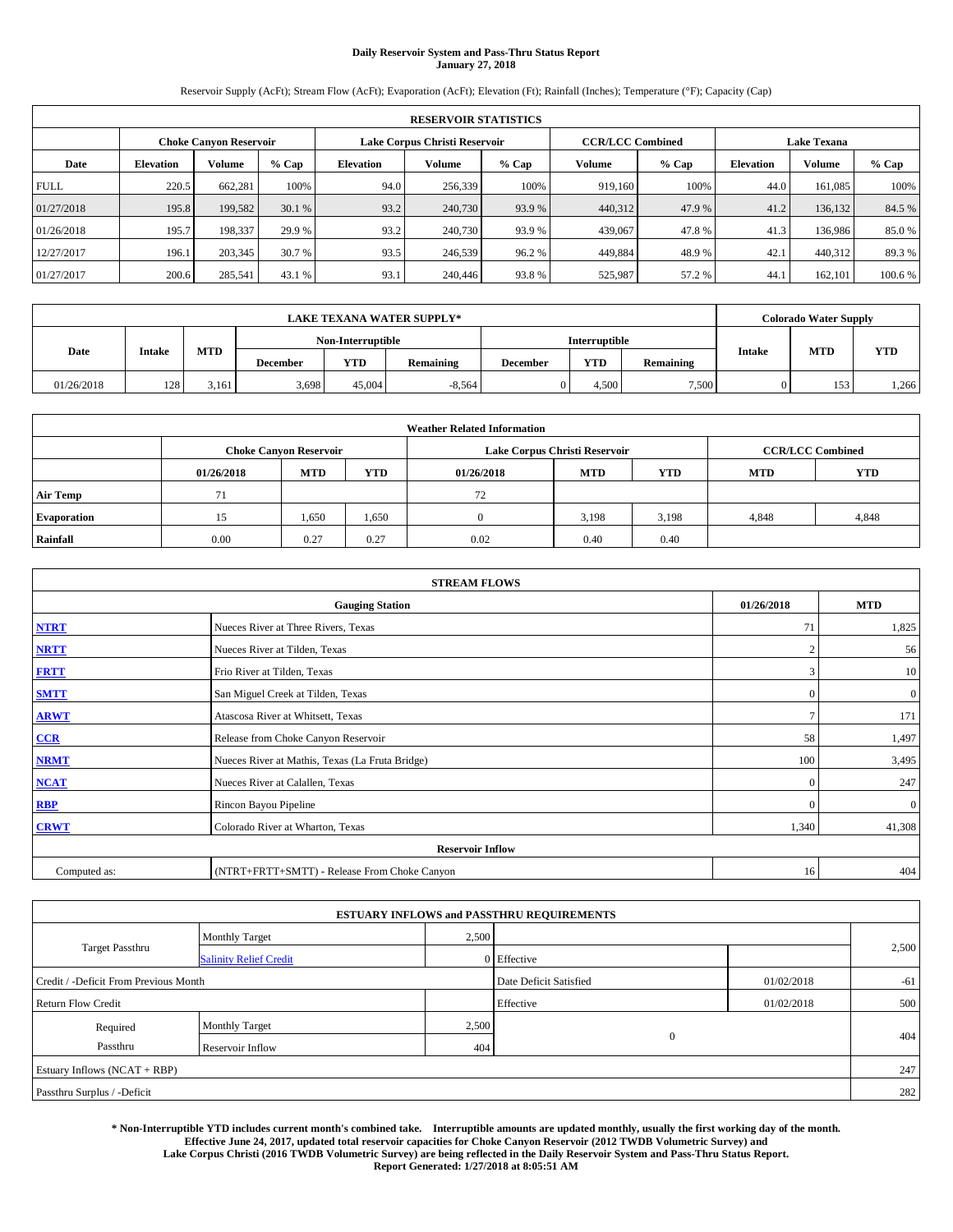# **Daily Reservoir System and Pass-Thru Status Report January 27, 2018**

Reservoir Supply (AcFt); Stream Flow (AcFt); Evaporation (AcFt); Elevation (Ft); Rainfall (Inches); Temperature (°F); Capacity (Cap)

|             | <b>RESERVOIR STATISTICS</b> |                               |         |                  |                               |         |                         |         |                  |                    |         |  |
|-------------|-----------------------------|-------------------------------|---------|------------------|-------------------------------|---------|-------------------------|---------|------------------|--------------------|---------|--|
|             |                             | <b>Choke Canyon Reservoir</b> |         |                  | Lake Corpus Christi Reservoir |         | <b>CCR/LCC Combined</b> |         |                  | <b>Lake Texana</b> |         |  |
| Date        | <b>Elevation</b>            | Volume                        | $%$ Cap | <b>Elevation</b> | Volume                        | $%$ Cap | Volume                  | $%$ Cap | <b>Elevation</b> | <b>Volume</b>      | % Cap   |  |
| <b>FULL</b> | 220.5                       | 662,281                       | 100%    | 94.0             | 256,339                       | 100%    | 919.160                 | 100%    | 44.0             | 161.085            | 100%    |  |
| 01/27/2018  | 195.8                       | 199,582                       | 30.1 %  | 93.2             | 240,730                       | 93.9%   | 440,312                 | 47.9 %  | 41.2             | 136,132            | 84.5 %  |  |
| 01/26/2018  | 195.7                       | 198,337                       | 29.9 %  | 93.2             | 240,730                       | 93.9 %  | 439,067                 | 47.8%   | 41.3             | 136,986            | 85.0%   |  |
| 12/27/2017  | 196.1                       | 203,345                       | 30.7 %  | 93.5             | 246,539                       | 96.2 %  | 449.884                 | 48.9%   | 42.1             | 440,312            | 89.3%   |  |
| 01/27/2017  | 200.6                       | 285,541                       | 43.1 %  | 93.1             | 240,446                       | 93.8%   | 525,987                 | 57.2 %  | 44.              | 162.101            | 100.6 % |  |

|            | <b>LAKE TEXANA WATER SUPPLY*</b> |            |                 |                         |          |  |                      |           |               | <b>Colorado Water Supply</b> |            |
|------------|----------------------------------|------------|-----------------|-------------------------|----------|--|----------------------|-----------|---------------|------------------------------|------------|
|            |                                  |            |                 | Non-Interruptible       |          |  | <b>Interruptible</b> |           |               |                              |            |
| Date       | <b>Intake</b>                    | <b>MTD</b> | <b>December</b> | <b>YTD</b><br>Remaining |          |  | <b>YTD</b>           | Remaining | <b>Intake</b> | <b>MTD</b>                   | <b>YTD</b> |
| 01/26/2018 | 128                              | 3.161      | 3,698           | 45,004                  | $-8,564$ |  | 4.500                | 7,500     |               | 153                          | 1,266      |

| <b>Weather Related Information</b> |            |                               |            |            |                               |                         |            |            |  |  |
|------------------------------------|------------|-------------------------------|------------|------------|-------------------------------|-------------------------|------------|------------|--|--|
|                                    |            | <b>Choke Canyon Reservoir</b> |            |            | Lake Corpus Christi Reservoir | <b>CCR/LCC Combined</b> |            |            |  |  |
|                                    | 01/26/2018 | <b>MTD</b>                    | <b>YTD</b> | 01/26/2018 | <b>MTD</b>                    | <b>YTD</b>              | <b>MTD</b> | <b>YTD</b> |  |  |
| <b>Air Temp</b>                    |            |                               |            | 72         |                               |                         |            |            |  |  |
| <b>Evaporation</b>                 |            | 1,650                         | 1,650      |            | 3,198                         | 3,198                   | 4,848      | 4,848      |  |  |
| Rainfall                           | 0.00       | 0.27                          | 0.27       | 0.02       | 0.40                          | 0.40                    |            |            |  |  |

| <b>STREAM FLOWS</b> |                                                 |                |                  |  |  |  |  |  |  |
|---------------------|-------------------------------------------------|----------------|------------------|--|--|--|--|--|--|
|                     | 01/26/2018                                      | <b>MTD</b>     |                  |  |  |  |  |  |  |
| <b>NTRT</b>         | Nueces River at Three Rivers, Texas             | 71             | 1,825            |  |  |  |  |  |  |
| <b>NRTT</b>         | Nueces River at Tilden, Texas                   | $\overline{2}$ | 56               |  |  |  |  |  |  |
| <b>FRTT</b>         | Frio River at Tilden, Texas                     | 3              | 10               |  |  |  |  |  |  |
| <b>SMTT</b>         | San Miguel Creek at Tilden, Texas               | $\mathbf{0}$   | $\boldsymbol{0}$ |  |  |  |  |  |  |
| <b>ARWT</b>         | Atascosa River at Whitsett, Texas               | $\mathcal{I}$  | 171              |  |  |  |  |  |  |
| $CCR$               | Release from Choke Canyon Reservoir             | 58             | 1,497            |  |  |  |  |  |  |
| <b>NRMT</b>         | Nueces River at Mathis, Texas (La Fruta Bridge) | 100            | 3,495            |  |  |  |  |  |  |
| <b>NCAT</b>         | Nueces River at Calallen, Texas                 | $\Omega$       | 247              |  |  |  |  |  |  |
| RBP                 | Rincon Bayou Pipeline                           | $\Omega$       | $\mathbf{0}$     |  |  |  |  |  |  |
| <b>CRWT</b>         | Colorado River at Wharton, Texas                | 1,340          | 41,308           |  |  |  |  |  |  |
|                     | <b>Reservoir Inflow</b>                         |                |                  |  |  |  |  |  |  |
| Computed as:        | (NTRT+FRTT+SMTT) - Release From Choke Canyon    | 16             | 404              |  |  |  |  |  |  |

|                                       |                               | <b>ESTUARY INFLOWS and PASSTHRU REQUIREMENTS</b> |                        |            |       |
|---------------------------------------|-------------------------------|--------------------------------------------------|------------------------|------------|-------|
|                                       | <b>Monthly Target</b>         | 2,500                                            |                        |            |       |
| <b>Target Passthru</b>                | <b>Salinity Relief Credit</b> |                                                  | 0 Effective            |            | 2,500 |
| Credit / -Deficit From Previous Month |                               |                                                  | Date Deficit Satisfied | 01/02/2018 | $-61$ |
| <b>Return Flow Credit</b>             |                               |                                                  | Effective              | 01/02/2018 | 500   |
| Required                              | <b>Monthly Target</b>         | 2,500                                            |                        |            |       |
| Passthru                              | <b>Reservoir Inflow</b>       | 404                                              | $\mathbf{0}$           |            | 404   |
| Estuary Inflows (NCAT + RBP)          |                               |                                                  |                        |            | 247   |
| Passthru Surplus / -Deficit           |                               |                                                  |                        |            | 282   |

**\* Non-Interruptible YTD includes current month's combined take. Interruptible amounts are updated monthly, usually the first working day of the month. Effective June 24, 2017, updated total reservoir capacities for Choke Canyon Reservoir (2012 TWDB Volumetric Survey) and Lake Corpus Christi (2016 TWDB Volumetric Survey) are being reflected in the Daily Reservoir System and Pass-Thru Status Report. Report Generated: 1/27/2018 at 8:05:51 AM**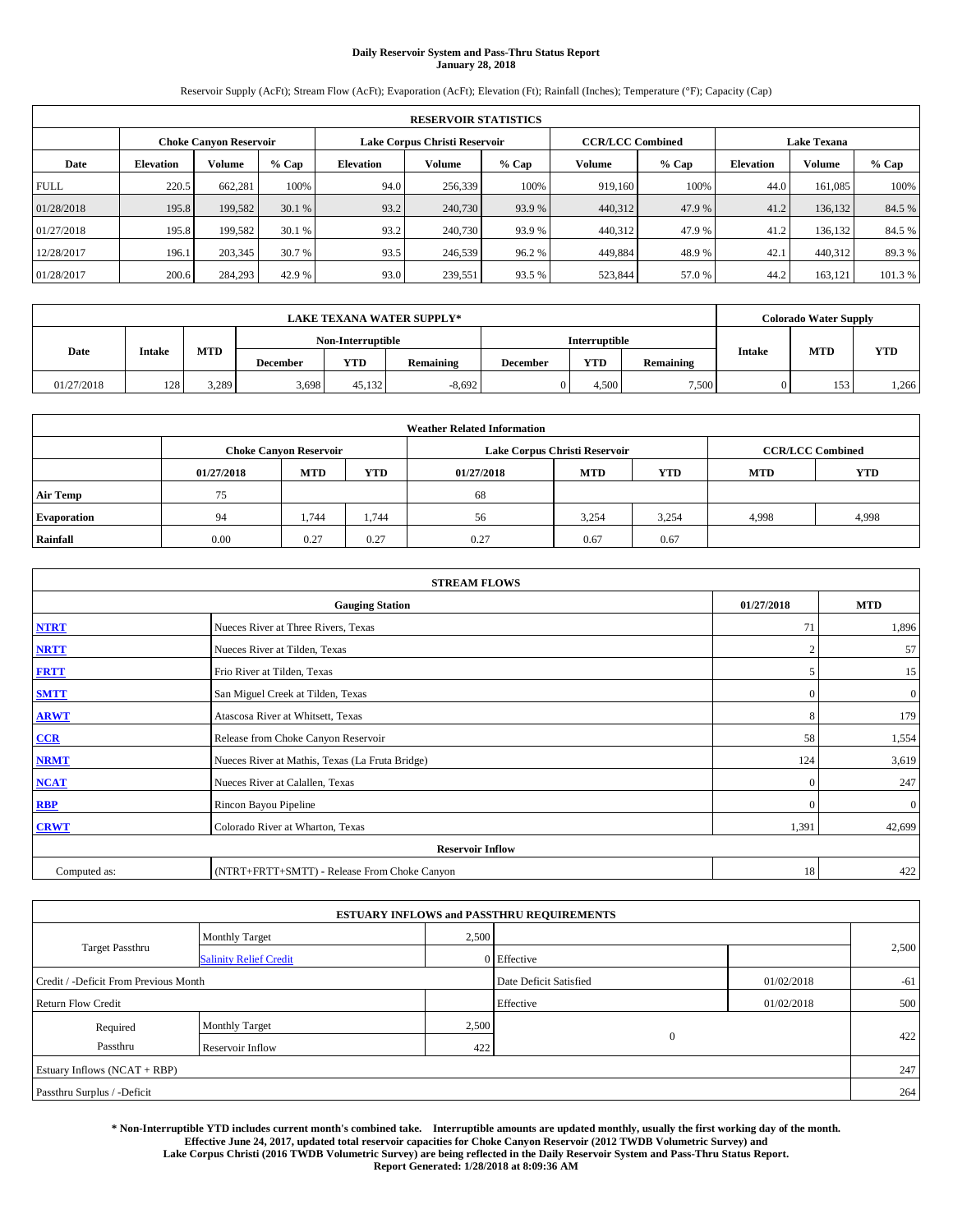# **Daily Reservoir System and Pass-Thru Status Report January 28, 2018**

Reservoir Supply (AcFt); Stream Flow (AcFt); Evaporation (AcFt); Elevation (Ft); Rainfall (Inches); Temperature (°F); Capacity (Cap)

|             | <b>RESERVOIR STATISTICS</b> |                               |         |                  |                               |         |                         |         |                  |                    |         |
|-------------|-----------------------------|-------------------------------|---------|------------------|-------------------------------|---------|-------------------------|---------|------------------|--------------------|---------|
|             |                             | <b>Choke Canyon Reservoir</b> |         |                  | Lake Corpus Christi Reservoir |         | <b>CCR/LCC Combined</b> |         |                  | <b>Lake Texana</b> |         |
| Date        | <b>Elevation</b>            | Volume                        | $%$ Cap | <b>Elevation</b> | Volume                        | $%$ Cap | Volume                  | $%$ Cap | <b>Elevation</b> | <b>Volume</b>      | $%$ Cap |
| <b>FULL</b> | 220.5                       | 662,281                       | 100%    | 94.0             | 256,339                       | 100%    | 919.160                 | 100%    | 44.0             | 161.085            | 100%    |
| 01/28/2018  | 195.8                       | 199,582                       | 30.1 %  | 93.2             | 240,730                       | 93.9%   | 440,312                 | 47.9 %  | 41.2             | 136,132            | 84.5 %  |
| 01/27/2018  | 195.8                       | 199.582                       | 30.1 %  | 93.2             | 240,730                       | 93.9 %  | 440,312                 | 47.9 %  | 41.2             | 136.132            | 84.5 %  |
| 12/28/2017  | 196.1                       | 203,345                       | 30.7 %  | 93.5             | 246,539                       | 96.2 %  | 449.884                 | 48.9%   | 42.1             | 440.312            | 89.3%   |
| 01/28/2017  | 200.6                       | 284,293                       | 42.9 %  | 93.0             | 239,551                       | 93.5 %  | 523,844                 | 57.0%   | 44.2             | 163.121            | 101.3 % |

| <b>LAKE TEXANA WATER SUPPLY*</b> |               |                   |                 |            |                      |          |            |            | <b>Colorado Water Supply</b> |       |
|----------------------------------|---------------|-------------------|-----------------|------------|----------------------|----------|------------|------------|------------------------------|-------|
|                                  |               | Non-Interruptible |                 |            | <b>Interruptible</b> |          |            | <b>YTD</b> |                              |       |
| Date                             | <b>Intake</b> | <b>MTD</b>        | <b>December</b> | <b>YTD</b> | Remaining            | December | <b>YTD</b> | Remaining  | <b>MTD</b><br><b>Intake</b>  |       |
| 01/27/2018                       | 128           | 3.289             | 3,698           | 45.132     | $-8,692$             |          | 4.500      | 7,500      | 153                          | 1,266 |

| <b>Weather Related Information</b> |            |                               |            |            |                               |                         |            |            |  |  |
|------------------------------------|------------|-------------------------------|------------|------------|-------------------------------|-------------------------|------------|------------|--|--|
|                                    |            | <b>Choke Canvon Reservoir</b> |            |            | Lake Corpus Christi Reservoir | <b>CCR/LCC Combined</b> |            |            |  |  |
|                                    | 01/27/2018 | <b>MTD</b>                    | <b>YTD</b> | 01/27/2018 | <b>MTD</b>                    | <b>YTD</b>              | <b>MTD</b> | <b>YTD</b> |  |  |
| <b>Air Temp</b>                    | 75         |                               |            | 68         |                               |                         |            |            |  |  |
| <b>Evaporation</b>                 | 94         | 1,744                         | 1,744      | 56         | 3,254                         | 3,254                   | 4.998      | 4,998      |  |  |
| Rainfall                           | 0.00       | 0.27                          | 0.27       | 0.27       | 0.67                          | 0.67                    |            |            |  |  |

| <b>STREAM FLOWS</b> |                                                 |                |                  |  |  |  |  |  |  |
|---------------------|-------------------------------------------------|----------------|------------------|--|--|--|--|--|--|
|                     | <b>Gauging Station</b>                          | 01/27/2018     | <b>MTD</b>       |  |  |  |  |  |  |
| <b>NTRT</b>         | Nueces River at Three Rivers, Texas             | 71             | 1,896            |  |  |  |  |  |  |
| <b>NRTT</b>         | Nueces River at Tilden, Texas                   | $\overline{2}$ | 57               |  |  |  |  |  |  |
| <b>FRTT</b>         | Frio River at Tilden, Texas                     | 5              | 15               |  |  |  |  |  |  |
| <b>SMTT</b>         | San Miguel Creek at Tilden, Texas               | $\mathbf{0}$   | $\boldsymbol{0}$ |  |  |  |  |  |  |
| <b>ARWT</b>         | Atascosa River at Whitsett, Texas               | 8              | 179              |  |  |  |  |  |  |
| CCR                 | Release from Choke Canyon Reservoir             | 58             | 1,554            |  |  |  |  |  |  |
| <b>NRMT</b>         | Nueces River at Mathis, Texas (La Fruta Bridge) | 124            | 3,619            |  |  |  |  |  |  |
| <b>NCAT</b>         | Nueces River at Calallen, Texas                 | $\Omega$       | 247              |  |  |  |  |  |  |
| <b>RBP</b>          | Rincon Bayou Pipeline                           | $\Omega$       | $\mathbf{0}$     |  |  |  |  |  |  |
| <b>CRWT</b>         | Colorado River at Wharton, Texas                | 1,391          | 42,699           |  |  |  |  |  |  |
|                     | <b>Reservoir Inflow</b>                         |                |                  |  |  |  |  |  |  |
| Computed as:        | (NTRT+FRTT+SMTT) - Release From Choke Canyon    | 18             | 422              |  |  |  |  |  |  |

|                                       |                               |       | <b>ESTUARY INFLOWS and PASSTHRU REQUIREMENTS</b> |            |       |
|---------------------------------------|-------------------------------|-------|--------------------------------------------------|------------|-------|
|                                       | <b>Monthly Target</b>         | 2,500 |                                                  |            |       |
| <b>Target Passthru</b>                | <b>Salinity Relief Credit</b> |       | 0 Effective                                      |            | 2,500 |
| Credit / -Deficit From Previous Month |                               |       | Date Deficit Satisfied                           | 01/02/2018 | $-61$ |
| <b>Return Flow Credit</b>             |                               |       | Effective                                        | 01/02/2018 | 500   |
| Required                              | <b>Monthly Target</b>         | 2,500 |                                                  |            |       |
| Passthru                              | Reservoir Inflow              | 422   | $\theta$                                         |            | 422   |
| Estuary Inflows (NCAT + RBP)          |                               |       |                                                  |            | 247   |
| Passthru Surplus / -Deficit           |                               |       |                                                  |            | 264   |

**\* Non-Interruptible YTD includes current month's combined take. Interruptible amounts are updated monthly, usually the first working day of the month. Effective June 24, 2017, updated total reservoir capacities for Choke Canyon Reservoir (2012 TWDB Volumetric Survey) and Lake Corpus Christi (2016 TWDB Volumetric Survey) are being reflected in the Daily Reservoir System and Pass-Thru Status Report. Report Generated: 1/28/2018 at 8:09:36 AM**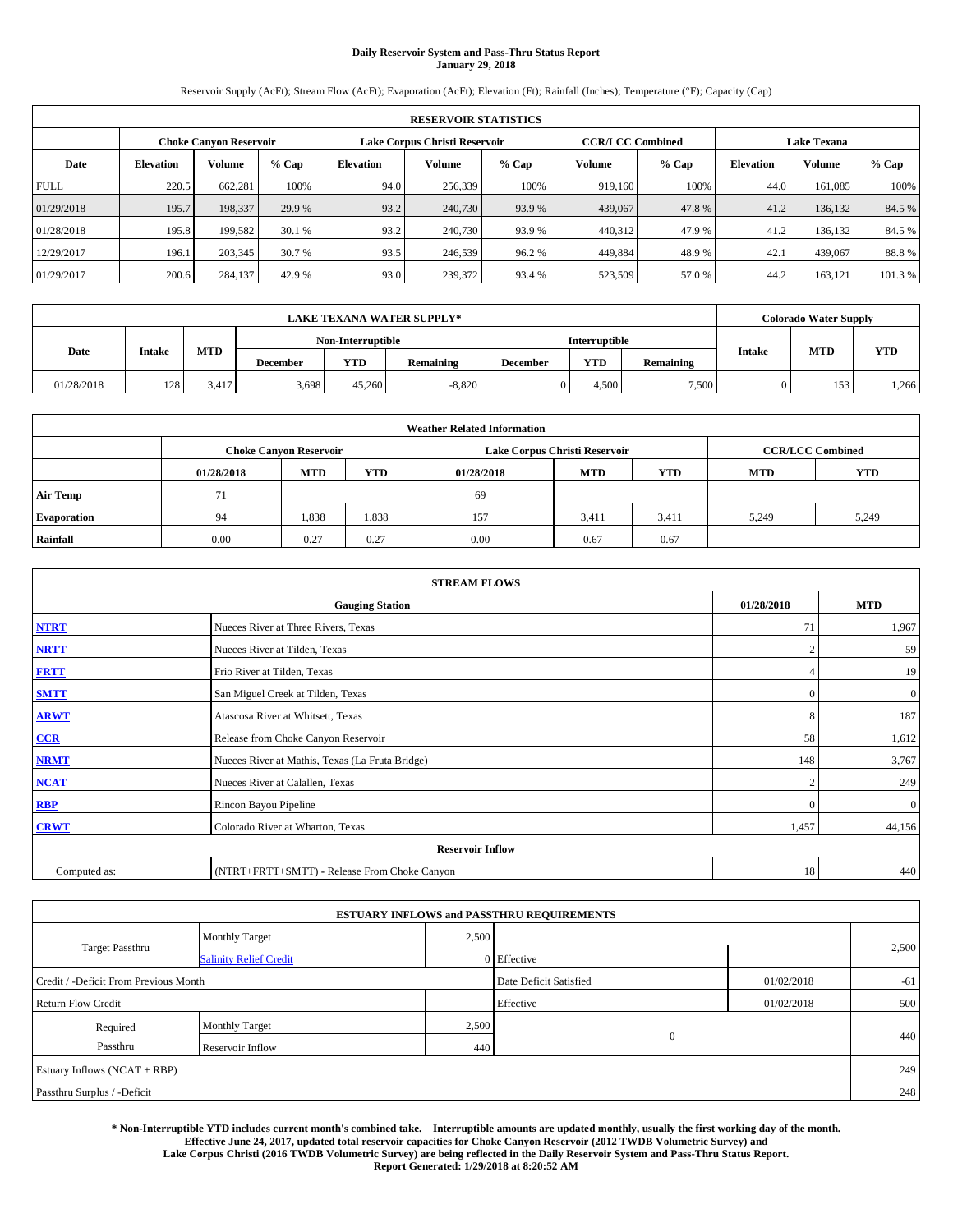# **Daily Reservoir System and Pass-Thru Status Report January 29, 2018**

Reservoir Supply (AcFt); Stream Flow (AcFt); Evaporation (AcFt); Elevation (Ft); Rainfall (Inches); Temperature (°F); Capacity (Cap)

|             | <b>RESERVOIR STATISTICS</b> |                               |         |                  |                               |         |                         |         |                  |                    |        |
|-------------|-----------------------------|-------------------------------|---------|------------------|-------------------------------|---------|-------------------------|---------|------------------|--------------------|--------|
|             |                             | <b>Choke Canyon Reservoir</b> |         |                  | Lake Corpus Christi Reservoir |         | <b>CCR/LCC Combined</b> |         |                  | <b>Lake Texana</b> |        |
| Date        | <b>Elevation</b>            | Volume                        | $%$ Cap | <b>Elevation</b> | Volume                        | $%$ Cap | Volume                  | $%$ Cap | <b>Elevation</b> | <b>Volume</b>      | % Cap  |
| <b>FULL</b> | 220.5                       | 662,281                       | 100%    | 94.0             | 256,339                       | 100%    | 919,160                 | 100%    | 44.0             | 161,085            | 100%   |
| 01/29/2018  | 195.7                       | 198,337                       | 29.9 %  | 93.2             | 240,730                       | 93.9 %  | 439,067                 | 47.8%   | 41.2             | 136,132            | 84.5 % |
| 01/28/2018  | 195.8                       | 199,582                       | 30.1 %  | 93.2             | 240,730                       | 93.9 %  | 440,312                 | 47.9 %  | 41.2             | 136.132            | 84.5 % |
| 12/29/2017  | 196.1                       | 203,345                       | 30.7 %  | 93.5             | 246.539                       | 96.2%   | 449,884                 | 48.9%   | 42.1             | 439,067            | 88.8%  |
| 01/29/2017  | 200.6                       | 284,137                       | 42.9 %  | 93.0             | 239,372                       | 93.4 %  | 523,509                 | 57.0 %  | 44.2             | 163,121            | 101.3% |

| <b>LAKE TEXANA WATER SUPPLY*</b> |               |            |                 |                   |           |                      |            |           | <b>Colorado Water Supply</b> |            |
|----------------------------------|---------------|------------|-----------------|-------------------|-----------|----------------------|------------|-----------|------------------------------|------------|
|                                  |               |            |                 | Non-Interruptible |           | <b>Interruptible</b> |            |           |                              | <b>YTD</b> |
| Date                             | <b>Intake</b> | <b>MTD</b> | <b>December</b> | <b>YTD</b>        | Remaining | December             | <b>YTD</b> | Remaining | <b>MTD</b><br><b>Intake</b>  |            |
| 01/28/2018                       | 128           | 3.417      | 3,698           | 45,260            | $-8,820$  |                      | 4.500      | 7,500     | 153                          | 1,266      |

| <b>Weather Related Information</b> |            |                               |            |            |                               |                         |            |            |  |  |
|------------------------------------|------------|-------------------------------|------------|------------|-------------------------------|-------------------------|------------|------------|--|--|
|                                    |            | <b>Choke Canvon Reservoir</b> |            |            | Lake Corpus Christi Reservoir | <b>CCR/LCC Combined</b> |            |            |  |  |
|                                    | 01/28/2018 | <b>MTD</b>                    | <b>YTD</b> | 01/28/2018 | <b>MTD</b>                    | <b>YTD</b>              | <b>MTD</b> | <b>YTD</b> |  |  |
| <b>Air Temp</b>                    | 71         |                               |            | 69         |                               |                         |            |            |  |  |
| <b>Evaporation</b>                 | 94         | 1,838                         | 1,838      | 157        | 3,411                         | 3,411                   | 5.249      | 5,249      |  |  |
| Rainfall                           | 0.00       | 0.27                          | 0.27       | 0.00       | 0.67                          | 0.67                    |            |            |  |  |

| <b>STREAM FLOWS</b> |                                                 |                |              |  |  |  |  |  |  |
|---------------------|-------------------------------------------------|----------------|--------------|--|--|--|--|--|--|
|                     | <b>Gauging Station</b>                          | 01/28/2018     | <b>MTD</b>   |  |  |  |  |  |  |
| <b>NTRT</b>         | Nueces River at Three Rivers, Texas             | 71             | 1,967        |  |  |  |  |  |  |
| <b>NRTT</b>         | Nueces River at Tilden, Texas                   | $\overline{2}$ | 59           |  |  |  |  |  |  |
| <b>FRTT</b>         | Frio River at Tilden, Texas                     |                | 19           |  |  |  |  |  |  |
| <b>SMTT</b>         | San Miguel Creek at Tilden, Texas               | $\mathbf{0}$   | $\mathbf{0}$ |  |  |  |  |  |  |
| <b>ARWT</b>         | Atascosa River at Whitsett, Texas               | 8              | 187          |  |  |  |  |  |  |
| $CCR$               | Release from Choke Canyon Reservoir             | 58             | 1,612        |  |  |  |  |  |  |
| <b>NRMT</b>         | Nueces River at Mathis, Texas (La Fruta Bridge) | 148            | 3,767        |  |  |  |  |  |  |
| <b>NCAT</b>         | Nueces River at Calallen, Texas                 | $\mathcal{L}$  | 249          |  |  |  |  |  |  |
| <b>RBP</b>          | Rincon Bayou Pipeline                           | $\mathbf{0}$   | $\mathbf{0}$ |  |  |  |  |  |  |
| <b>CRWT</b>         | Colorado River at Wharton, Texas                | 1,457          | 44,156       |  |  |  |  |  |  |
|                     | <b>Reservoir Inflow</b>                         |                |              |  |  |  |  |  |  |
| Computed as:        | (NTRT+FRTT+SMTT) - Release From Choke Canyon    | 18             | 440          |  |  |  |  |  |  |

|                                       |                               |       | <b>ESTUARY INFLOWS and PASSTHRU REQUIREMENTS</b> |            |       |  |
|---------------------------------------|-------------------------------|-------|--------------------------------------------------|------------|-------|--|
|                                       | <b>Monthly Target</b>         | 2,500 |                                                  |            |       |  |
| <b>Target Passthru</b>                | <b>Salinity Relief Credit</b> |       | 0 Effective                                      |            | 2,500 |  |
| Credit / -Deficit From Previous Month |                               |       | Date Deficit Satisfied                           | 01/02/2018 | $-61$ |  |
| <b>Return Flow Credit</b>             |                               |       | Effective                                        | 01/02/2018 | 500   |  |
| Required                              | <b>Monthly Target</b>         | 2,500 |                                                  |            |       |  |
| Passthru                              | Reservoir Inflow              | 440   | $\theta$                                         |            | 440   |  |
| Estuary Inflows (NCAT + RBP)          |                               |       |                                                  |            | 249   |  |
| Passthru Surplus / -Deficit           |                               |       |                                                  |            | 248   |  |

**\* Non-Interruptible YTD includes current month's combined take. Interruptible amounts are updated monthly, usually the first working day of the month. Effective June 24, 2017, updated total reservoir capacities for Choke Canyon Reservoir (2012 TWDB Volumetric Survey) and Lake Corpus Christi (2016 TWDB Volumetric Survey) are being reflected in the Daily Reservoir System and Pass-Thru Status Report. Report Generated: 1/29/2018 at 8:20:52 AM**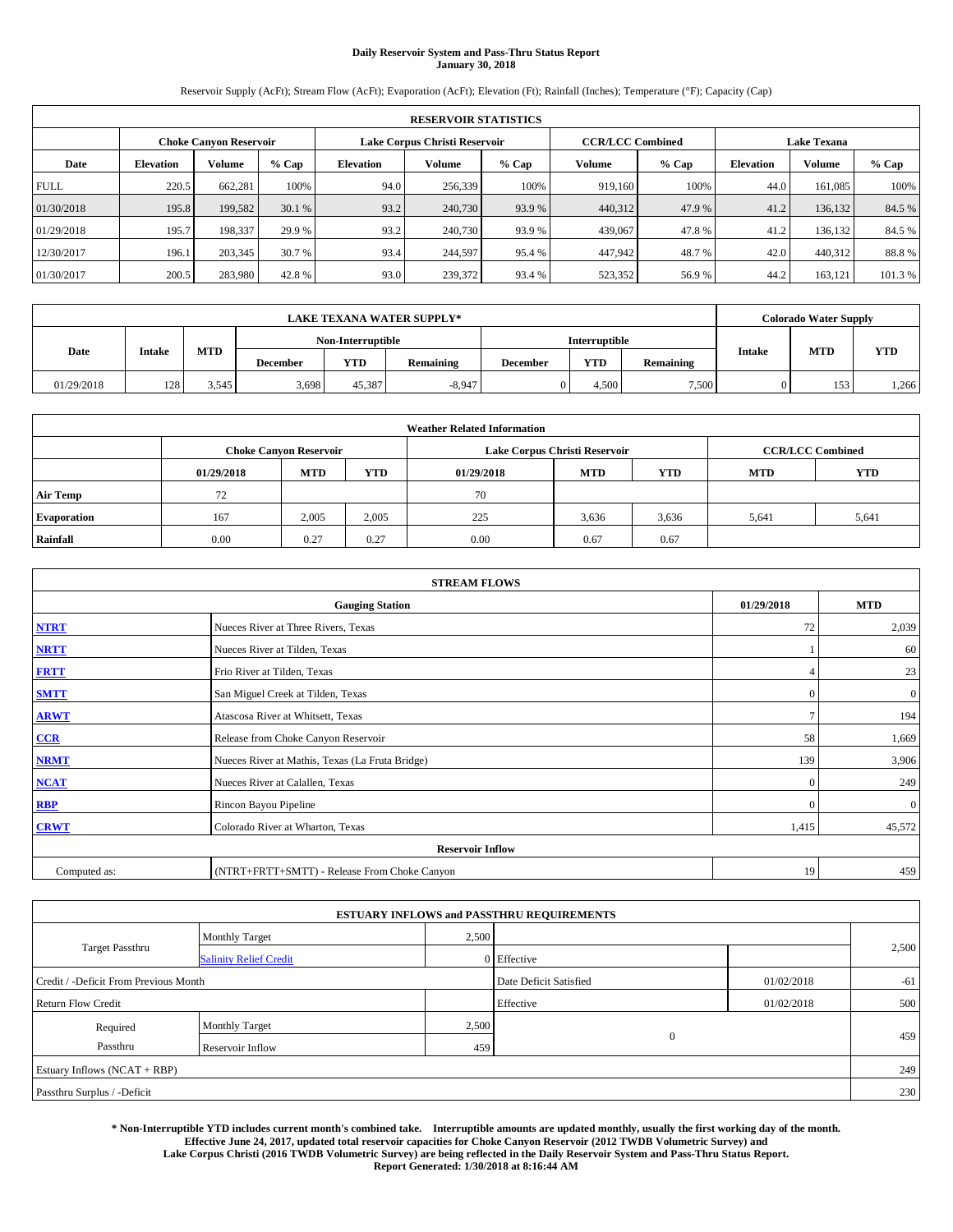# **Daily Reservoir System and Pass-Thru Status Report January 30, 2018**

Reservoir Supply (AcFt); Stream Flow (AcFt); Evaporation (AcFt); Elevation (Ft); Rainfall (Inches); Temperature (°F); Capacity (Cap)

|             | <b>RESERVOIR STATISTICS</b> |                               |         |                  |                               |         |                         |         |                    |               |        |
|-------------|-----------------------------|-------------------------------|---------|------------------|-------------------------------|---------|-------------------------|---------|--------------------|---------------|--------|
|             |                             | <b>Choke Canyon Reservoir</b> |         |                  | Lake Corpus Christi Reservoir |         | <b>CCR/LCC Combined</b> |         | <b>Lake Texana</b> |               |        |
| Date        | <b>Elevation</b>            | Volume                        | $%$ Cap | <b>Elevation</b> | <b>Volume</b>                 | $%$ Cap | Volume                  | $%$ Cap | <b>Elevation</b>   | <b>Volume</b> | % Cap  |
| <b>FULL</b> | 220.5                       | 662,281                       | 100%    | 94.0             | 256,339                       | 100%    | 919,160                 | 100%    | 44.0               | 161,085       | 100%   |
| 01/30/2018  | 195.8                       | 199,582                       | 30.1 %  | 93.2             | 240,730                       | 93.9 %  | 440,312                 | 47.9 %  | 41.2               | 136,132       | 84.5 % |
| 01/29/2018  | 195.7                       | 198,337                       | 29.9 %  | 93.2             | 240,730                       | 93.9 %  | 439,067                 | 47.8%   | 41.2               | 136.132       | 84.5 % |
| 12/30/2017  | 196.1                       | 203,345                       | 30.7 %  | 93.4             | 244,597                       | 95.4 %  | 447,942                 | 48.7%   | 42.0               | 440,312       | 88.8%  |
| 01/30/2017  | 200.5                       | 283,980                       | 42.8%   | 93.0             | 239,372                       | 93.4 %  | 523,352                 | 56.9%   | 44.2               | 163,121       | 101.3% |

| <b>LAKE TEXANA WATER SUPPLY*</b> |                   |            |                 |            |                  |                 |       | <b>Colorado Water Supply</b> |               |     |            |
|----------------------------------|-------------------|------------|-----------------|------------|------------------|-----------------|-------|------------------------------|---------------|-----|------------|
|                                  | Non-Interruptible |            |                 |            | Interruptible    |                 |       |                              |               |     |            |
| Date                             | <b>Intake</b>     | <b>MTD</b> | <b>December</b> | <b>YTD</b> | <b>Remaining</b> | <b>December</b> | YTD   | <b>Remaining</b>             | <b>Intake</b> | MTD | <b>YTD</b> |
| 01/29/2018                       | 128               | 3.545      | 3,698           | 45.387     | $-8,947$         |                 | 4.500 | 7,500                        |               | 153 | 1,266      |

| <b>Weather Related Information</b> |            |                               |            |            |                               |                         |            |            |  |  |
|------------------------------------|------------|-------------------------------|------------|------------|-------------------------------|-------------------------|------------|------------|--|--|
|                                    |            | <b>Choke Canyon Reservoir</b> |            |            | Lake Corpus Christi Reservoir | <b>CCR/LCC Combined</b> |            |            |  |  |
|                                    | 01/29/2018 | <b>MTD</b>                    | <b>YTD</b> | 01/29/2018 | <b>MTD</b>                    | <b>YTD</b>              | <b>MTD</b> | <b>YTD</b> |  |  |
| <b>Air Temp</b>                    | 72         |                               |            | 70         |                               |                         |            |            |  |  |
| <b>Evaporation</b>                 | 167        | 2,005                         | 2,005      | 225        | 3,636                         | 3,636                   | 5.641      | 5,641      |  |  |
| Rainfall                           | 0.00       | 0.27                          | 0.27       | 0.00       | 0.67                          | 0.67                    |            |            |  |  |

| <b>STREAM FLOWS</b> |                                                 |              |              |  |  |  |  |  |  |
|---------------------|-------------------------------------------------|--------------|--------------|--|--|--|--|--|--|
|                     | <b>Gauging Station</b>                          |              |              |  |  |  |  |  |  |
| <b>NTRT</b>         | Nueces River at Three Rivers, Texas             | 72           | 2,039        |  |  |  |  |  |  |
| <b>NRTT</b>         | Nueces River at Tilden, Texas                   |              | 60           |  |  |  |  |  |  |
| <b>FRTT</b>         | Frio River at Tilden, Texas                     |              | 23           |  |  |  |  |  |  |
| <b>SMTT</b>         | San Miguel Creek at Tilden, Texas               | $\mathbf{0}$ | $\mathbf{0}$ |  |  |  |  |  |  |
| <b>ARWT</b>         | Atascosa River at Whitsett, Texas               |              |              |  |  |  |  |  |  |
| $CCR$               | Release from Choke Canyon Reservoir             |              |              |  |  |  |  |  |  |
| <b>NRMT</b>         | Nueces River at Mathis, Texas (La Fruta Bridge) | 139          | 3,906        |  |  |  |  |  |  |
| <b>NCAT</b>         | Nueces River at Calallen, Texas                 | $\Omega$     | 249          |  |  |  |  |  |  |
| RBP                 | Rincon Bayou Pipeline                           | $\theta$     | $\mathbf{0}$ |  |  |  |  |  |  |
| <b>CRWT</b>         | Colorado River at Wharton, Texas                | 1,415        | 45,572       |  |  |  |  |  |  |
|                     | <b>Reservoir Inflow</b>                         |              |              |  |  |  |  |  |  |
| Computed as:        | (NTRT+FRTT+SMTT) - Release From Choke Canyon    |              |              |  |  |  |  |  |  |

| <b>ESTUARY INFLOWS and PASSTHRU REQUIREMENTS</b> |                               |       |                        |            |       |  |  |  |  |  |
|--------------------------------------------------|-------------------------------|-------|------------------------|------------|-------|--|--|--|--|--|
|                                                  | <b>Monthly Target</b>         | 2,500 |                        |            |       |  |  |  |  |  |
| <b>Target Passthru</b>                           | <b>Salinity Relief Credit</b> |       | 0 Effective            |            | 2,500 |  |  |  |  |  |
| Credit / -Deficit From Previous Month            |                               |       | Date Deficit Satisfied | 01/02/2018 | $-61$ |  |  |  |  |  |
| <b>Return Flow Credit</b>                        |                               |       | Effective              | 01/02/2018 | 500   |  |  |  |  |  |
| Required                                         | <b>Monthly Target</b>         | 2,500 |                        |            |       |  |  |  |  |  |
| Passthru<br>Reservoir Inflow                     |                               | 459   | $\mathbf{0}$           |            | 459   |  |  |  |  |  |
| Estuary Inflows (NCAT + RBP)                     |                               |       |                        |            |       |  |  |  |  |  |
| Passthru Surplus / -Deficit                      |                               |       |                        |            |       |  |  |  |  |  |

**\* Non-Interruptible YTD includes current month's combined take. Interruptible amounts are updated monthly, usually the first working day of the month. Effective June 24, 2017, updated total reservoir capacities for Choke Canyon Reservoir (2012 TWDB Volumetric Survey) and Lake Corpus Christi (2016 TWDB Volumetric Survey) are being reflected in the Daily Reservoir System and Pass-Thru Status Report. Report Generated: 1/30/2018 at 8:16:44 AM**